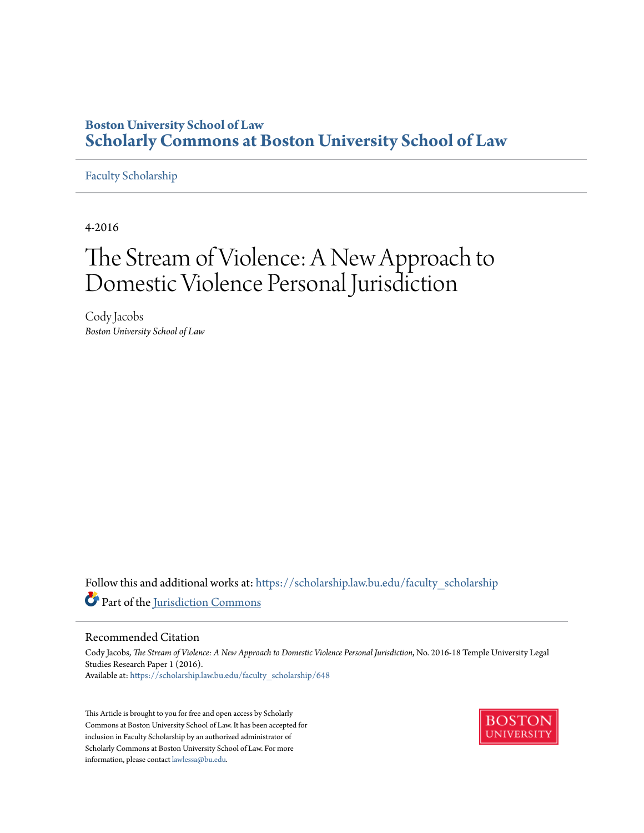# **Boston University School of Law [Scholarly Commons at Boston University School of Law](https://scholarship.law.bu.edu/?utm_source=scholarship.law.bu.edu%2Ffaculty_scholarship%2F648&utm_medium=PDF&utm_campaign=PDFCoverPages)**

# [Faculty Scholarship](https://scholarship.law.bu.edu/faculty_scholarship?utm_source=scholarship.law.bu.edu%2Ffaculty_scholarship%2F648&utm_medium=PDF&utm_campaign=PDFCoverPages)

4-2016

# The Stream of Violence: A New Approach to Domestic Violence Personal Jurisdiction

Cody Jacobs *Boston University School of Law*

Follow this and additional works at: [https://scholarship.law.bu.edu/faculty\\_scholarship](https://scholarship.law.bu.edu/faculty_scholarship?utm_source=scholarship.law.bu.edu%2Ffaculty_scholarship%2F648&utm_medium=PDF&utm_campaign=PDFCoverPages) Part of the [Jurisdiction Commons](http://network.bepress.com/hgg/discipline/850?utm_source=scholarship.law.bu.edu%2Ffaculty_scholarship%2F648&utm_medium=PDF&utm_campaign=PDFCoverPages)

#### Recommended Citation

Cody Jacobs, *The Stream of Violence: A New Approach to Domestic Violence Personal Jurisdiction*, No. 2016-18 Temple University Legal Studies Research Paper 1 (2016). Available at: [https://scholarship.law.bu.edu/faculty\\_scholarship/648](https://scholarship.law.bu.edu/faculty_scholarship/648?utm_source=scholarship.law.bu.edu%2Ffaculty_scholarship%2F648&utm_medium=PDF&utm_campaign=PDFCoverPages)

This Article is brought to you for free and open access by Scholarly Commons at Boston University School of Law. It has been accepted for inclusion in Faculty Scholarship by an authorized administrator of Scholarly Commons at Boston University School of Law. For more information, please contact [lawlessa@bu.edu.](mailto:lawlessa@bu.edu)

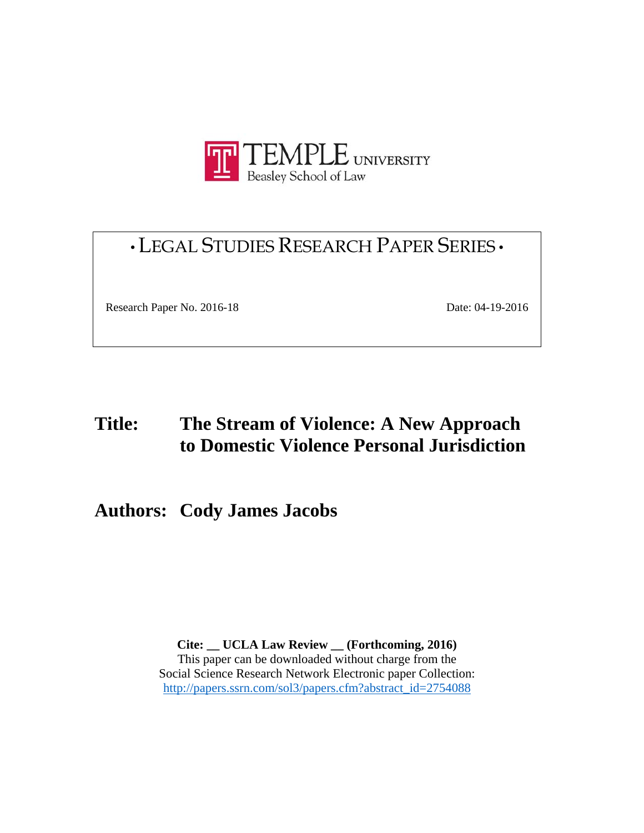

# •LEGAL STUDIES RESEARCH PAPER SERIES •

Research Paper No. 2016-18 Date: 04-19-2016

# **Title: The Stream of Violence: A New Approach to Domestic Violence Personal Jurisdiction**

**Authors: Cody James Jacobs**

**Cite: \_\_ UCLA Law Review \_\_ (Forthcoming, 2016)**  This paper can be downloaded without charge from the Social Science Research Network Electronic paper Collection: http://papers.ssrn.com/sol3/papers.cfm?abstract\_id=2754088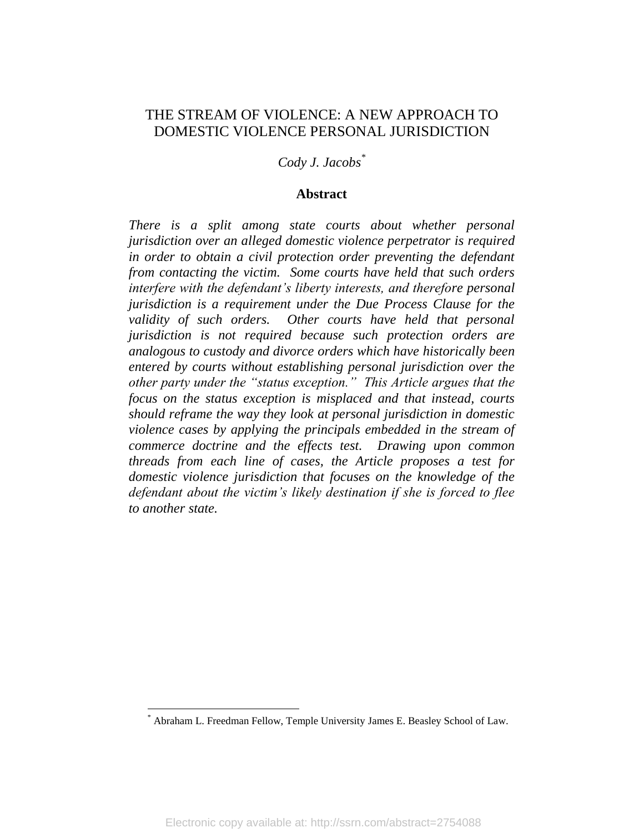# THE STREAM OF VIOLENCE: A NEW APPROACH TO DOMESTIC VIOLENCE PERSONAL JURISDICTION

*Cody J. Jacobs\**

### **Abstract**

*There is a split among state courts about whether personal jurisdiction over an alleged domestic violence perpetrator is required in order to obtain a civil protection order preventing the defendant from contacting the victim. Some courts have held that such orders interfere with the defendant's liberty interests, and therefore personal jurisdiction is a requirement under the Due Process Clause for the validity of such orders. Other courts have held that personal jurisdiction is not required because such protection orders are analogous to custody and divorce orders which have historically been entered by courts without establishing personal jurisdiction over the other party under the "status exception." This Article argues that the focus on the status exception is misplaced and that instead, courts should reframe the way they look at personal jurisdiction in domestic violence cases by applying the principals embedded in the stream of commerce doctrine and the effects test. Drawing upon common threads from each line of cases, the Article proposes a test for domestic violence jurisdiction that focuses on the knowledge of the defendant about the victim's likely destination if she is forced to flee to another state.* 

<sup>\*</sup> Abraham L. Freedman Fellow, Temple University James E. Beasley School of Law.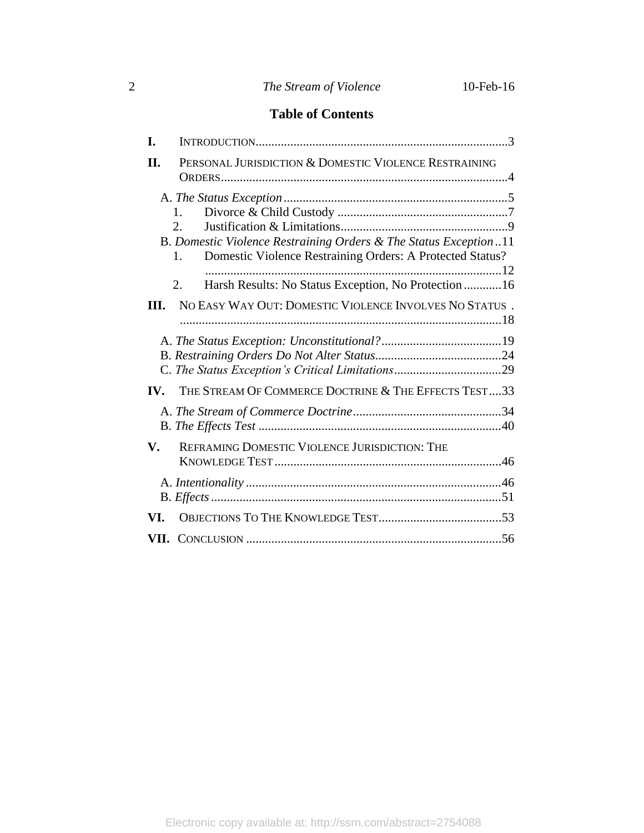# 2 *The Stream of Violence* 10-Feb-16

# **Table of Contents**

| I.             |                                                                                                                                                 |
|----------------|-------------------------------------------------------------------------------------------------------------------------------------------------|
| II.            | PERSONAL JURISDICTION & DOMESTIC VIOLENCE RESTRAINING                                                                                           |
|                | 1.<br>2.<br>B. Domestic Violence Restraining Orders & The Status Exception11<br>Domestic Violence Restraining Orders: A Protected Status?<br>1. |
| Ш.             | Harsh Results: No Status Exception, No Protection16<br>2.<br>NO EASY WAY OUT: DOMESTIC VIOLENCE INVOLVES NO STATUS.                             |
|                |                                                                                                                                                 |
| IV.            | THE STREAM OF COMMERCE DOCTRINE & THE EFFECTS TEST33                                                                                            |
| $\mathbf{V}$ . | REFRAMING DOMESTIC VIOLENCE JURISDICTION: THE                                                                                                   |
| VI.            |                                                                                                                                                 |
|                |                                                                                                                                                 |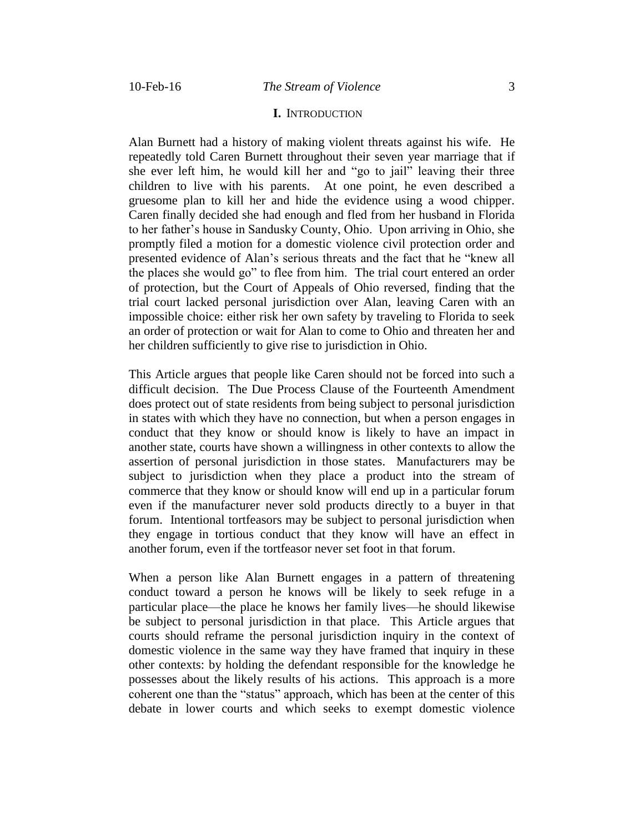#### **I.** INTRODUCTION

Alan Burnett had a history of making violent threats against his wife. He repeatedly told Caren Burnett throughout their seven year marriage that if she ever left him, he would kill her and "go to jail" leaving their three children to live with his parents. At one point, he even described a gruesome plan to kill her and hide the evidence using a wood chipper. Caren finally decided she had enough and fled from her husband in Florida to her father's house in Sandusky County, Ohio. Upon arriving in Ohio, she promptly filed a motion for a domestic violence civil protection order and presented evidence of Alan's serious threats and the fact that he "knew all the places she would go" to flee from him. The trial court entered an order of protection, but the Court of Appeals of Ohio reversed, finding that the trial court lacked personal jurisdiction over Alan, leaving Caren with an impossible choice: either risk her own safety by traveling to Florida to seek an order of protection or wait for Alan to come to Ohio and threaten her and her children sufficiently to give rise to jurisdiction in Ohio.

This Article argues that people like Caren should not be forced into such a difficult decision. The Due Process Clause of the Fourteenth Amendment does protect out of state residents from being subject to personal jurisdiction in states with which they have no connection, but when a person engages in conduct that they know or should know is likely to have an impact in another state, courts have shown a willingness in other contexts to allow the assertion of personal jurisdiction in those states. Manufacturers may be subject to jurisdiction when they place a product into the stream of commerce that they know or should know will end up in a particular forum even if the manufacturer never sold products directly to a buyer in that forum. Intentional tortfeasors may be subject to personal jurisdiction when they engage in tortious conduct that they know will have an effect in another forum, even if the tortfeasor never set foot in that forum.

When a person like Alan Burnett engages in a pattern of threatening conduct toward a person he knows will be likely to seek refuge in a particular place—the place he knows her family lives—he should likewise be subject to personal jurisdiction in that place. This Article argues that courts should reframe the personal jurisdiction inquiry in the context of domestic violence in the same way they have framed that inquiry in these other contexts: by holding the defendant responsible for the knowledge he possesses about the likely results of his actions. This approach is a more coherent one than the "status" approach, which has been at the center of this debate in lower courts and which seeks to exempt domestic violence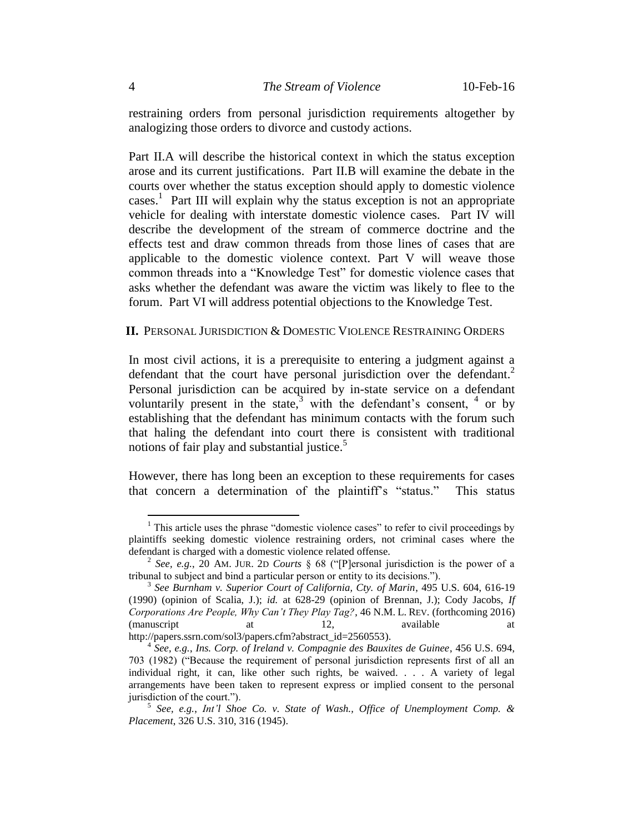restraining orders from personal jurisdiction requirements altogether by analogizing those orders to divorce and custody actions.

Part II.A will describe the historical context in which the status exception arose and its current justifications. Part II.B will examine the debate in the courts over whether the status exception should apply to domestic violence cases.<sup>1</sup> Part III will explain why the status exception is not an appropriate vehicle for dealing with interstate domestic violence cases. Part IV will describe the development of the stream of commerce doctrine and the effects test and draw common threads from those lines of cases that are applicable to the domestic violence context. Part V will weave those common threads into a "Knowledge Test" for domestic violence cases that asks whether the defendant was aware the victim was likely to flee to the forum. Part VI will address potential objections to the Knowledge Test.

#### **II.** PERSONAL JURISDICTION & DOMESTIC VIOLENCE RESTRAINING ORDERS

In most civil actions, it is a prerequisite to entering a judgment against a defendant that the court have personal jurisdiction over the defendant.<sup>2</sup> Personal jurisdiction can be acquired by in-state service on a defendant voluntarily present in the state,<sup>3</sup> with the defendant's consent,  $4$  or by establishing that the defendant has minimum contacts with the forum such that haling the defendant into court there is consistent with traditional notions of fair play and substantial justice. 5

However, there has long been an exception to these requirements for cases that concern a determination of the plaintiff's "status." This status

 $<sup>1</sup>$  This article uses the phrase "domestic violence cases" to refer to civil proceedings by</sup> plaintiffs seeking domestic violence restraining orders, not criminal cases where the defendant is charged with a domestic violence related offense.

<sup>2</sup> *See, e.g.*, 20 AM. JUR. 2D *Courts* § 68 ("[P]ersonal jurisdiction is the power of a tribunal to subject and bind a particular person or entity to its decisions.").

<sup>&</sup>lt;sup>3</sup> See Burnham v. Superior Court of California, Cty. of Marin, 495 U.S. 604, 616-19 (1990) (opinion of Scalia, J.); *id.* at 628-29 (opinion of Brennan, J.); Cody Jacobs, *If Corporations Are People, Why Can't They Play Tag?*, 46 N.M. L. REV. (forthcoming 2016) (manuscript at 12, available at two at two available at  $\alpha$ http://papers.ssrn.com/sol3/papers.cfm?abstract\_id=2560553).

<sup>4</sup> *See, e.g.*, *Ins. Corp. of Ireland v. Compagnie des Bauxites de Guinee*, 456 U.S. 694, 703 (1982) ("Because the requirement of personal jurisdiction represents first of all an individual right, it can, like other such rights, be waived. . . . A variety of legal arrangements have been taken to represent express or implied consent to the personal jurisdiction of the court.").

<sup>5</sup> *See, e.g.*, *Int'l Shoe Co. v. State of Wash., Office of Unemployment Comp. & Placement*, 326 U.S. 310, 316 (1945).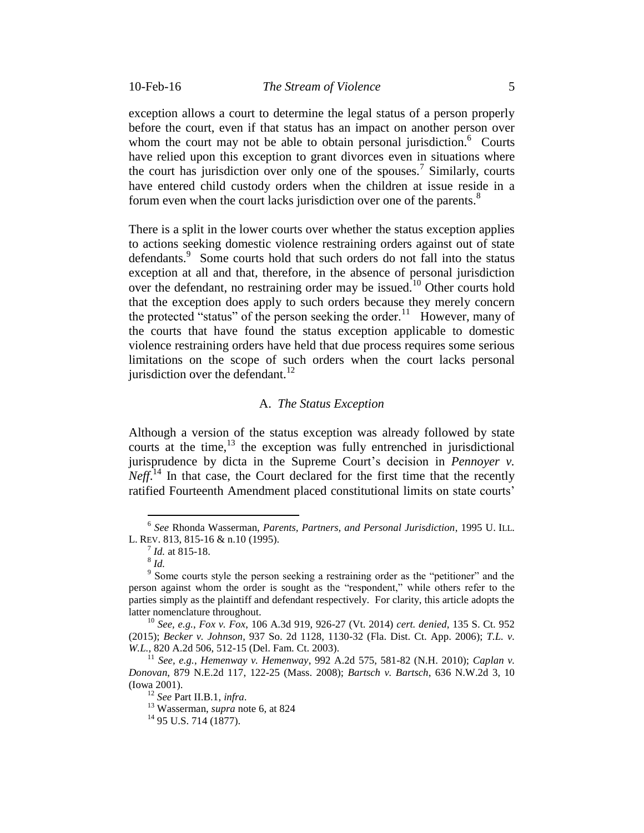exception allows a court to determine the legal status of a person properly before the court, even if that status has an impact on another person over whom the court may not be able to obtain personal jurisdiction.<sup>6</sup> Courts have relied upon this exception to grant divorces even in situations where the court has jurisdiction over only one of the spouses.<sup>7</sup> Similarly, courts have entered child custody orders when the children at issue reside in a forum even when the court lacks jurisdiction over one of the parents.<sup>8</sup>

There is a split in the lower courts over whether the status exception applies to actions seeking domestic violence restraining orders against out of state defendants.<sup>9</sup> Some courts hold that such orders do not fall into the status exception at all and that, therefore, in the absence of personal jurisdiction over the defendant, no restraining order may be issued.<sup>10</sup> Other courts hold that the exception does apply to such orders because they merely concern the protected "status" of the person seeking the order.<sup>11</sup> However, many of the courts that have found the status exception applicable to domestic violence restraining orders have held that due process requires some serious limitations on the scope of such orders when the court lacks personal jurisdiction over the defendant. $12$ 

#### A. *The Status Exception*

Although a version of the status exception was already followed by state courts at the time, $13$  the exception was fully entrenched in jurisdictional jurisprudence by dicta in the Supreme Court's decision in *Pennoyer v. Neff.*<sup>14</sup> In that case, the Court declared for the first time that the recently ratified Fourteenth Amendment placed constitutional limits on state courts'

<sup>6</sup> *See* Rhonda Wasserman, *Parents, Partners, and Personal Jurisdiction*, 1995 U. ILL. L. REV. 813, 815-16 & n.10 (1995).

<sup>7</sup> *Id.* at 815-18.

<sup>8</sup> *Id.*

<sup>&</sup>lt;sup>9</sup> Some courts style the person seeking a restraining order as the "petitioner" and the person against whom the order is sought as the "respondent," while others refer to the parties simply as the plaintiff and defendant respectively. For clarity, this article adopts the latter nomenclature throughout.

<sup>10</sup> *See, e.g.*, *Fox v. Fox*, 106 A.3d 919, 926-27 (Vt. 2014) *cert. denied*, 135 S. Ct. 952 (2015); *Becker v. Johnson*, 937 So. 2d 1128, 1130-32 (Fla. Dist. Ct. App. 2006); *T.L. v. W.L.*, 820 A.2d 506, 512-15 (Del. Fam. Ct. 2003).

<sup>11</sup> *See, e.g.*, *Hemenway v. Hemenway*, 992 A.2d 575, 581-82 (N.H. 2010); *Caplan v. Donovan*, 879 N.E.2d 117, 122-25 (Mass. 2008); *Bartsch v. Bartsch*, 636 N.W.2d 3, 10 (Iowa 2001).

<sup>12</sup> *See* Part II.B.1, *infra*.

<sup>13</sup> Wasserman, *supra* note 6, at 824

 $^{14}$  95 U.S. 714 (1877).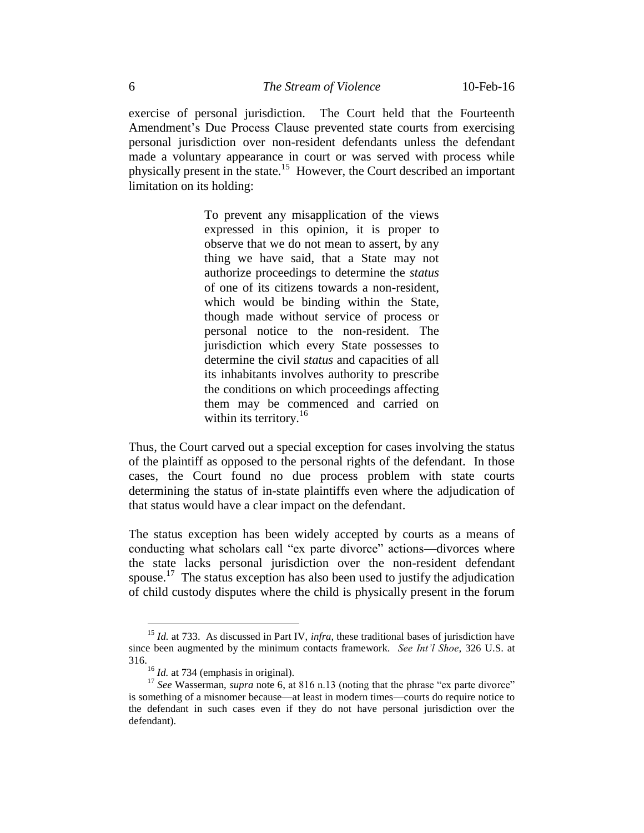exercise of personal jurisdiction. The Court held that the Fourteenth Amendment's Due Process Clause prevented state courts from exercising personal jurisdiction over non-resident defendants unless the defendant made a voluntary appearance in court or was served with process while physically present in the state.<sup>15</sup> However, the Court described an important limitation on its holding:

> To prevent any misapplication of the views expressed in this opinion, it is proper to observe that we do not mean to assert, by any thing we have said, that a State may not authorize proceedings to determine the *status* of one of its citizens towards a non-resident, which would be binding within the State, though made without service of process or personal notice to the non-resident. The jurisdiction which every State possesses to determine the civil *status* and capacities of all its inhabitants involves authority to prescribe the conditions on which proceedings affecting them may be commenced and carried on within its territory. $16$

Thus, the Court carved out a special exception for cases involving the status of the plaintiff as opposed to the personal rights of the defendant. In those cases, the Court found no due process problem with state courts determining the status of in-state plaintiffs even where the adjudication of that status would have a clear impact on the defendant.

The status exception has been widely accepted by courts as a means of conducting what scholars call "ex parte divorce" actions—divorces where the state lacks personal jurisdiction over the non-resident defendant spouse.<sup>17</sup> The status exception has also been used to justify the adjudication of child custody disputes where the child is physically present in the forum

<sup>&</sup>lt;sup>15</sup> *Id.* at 733. As discussed in Part IV, *infra*, these traditional bases of jurisdiction have since been augmented by the minimum contacts framework. *See Int'l Shoe*, 326 U.S. at 316.

<sup>&</sup>lt;sup>16</sup> *Id.* at 734 (emphasis in original).

<sup>&</sup>lt;sup>17</sup> See Wasserman, *supra* note 6, at 816 n.13 (noting that the phrase "ex parte divorce" is something of a misnomer because—at least in modern times—courts do require notice to the defendant in such cases even if they do not have personal jurisdiction over the defendant).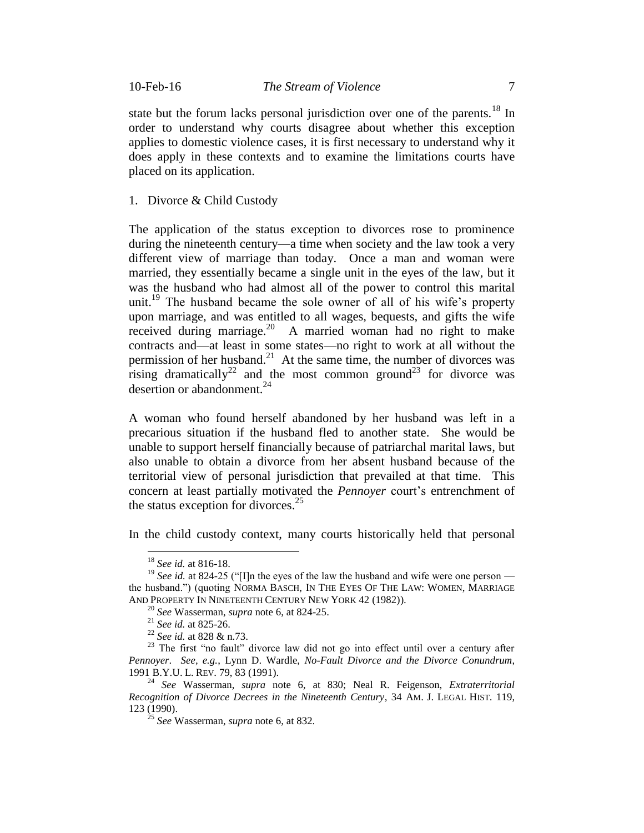state but the forum lacks personal jurisdiction over one of the parents.<sup>18</sup> In order to understand why courts disagree about whether this exception applies to domestic violence cases, it is first necessary to understand why it does apply in these contexts and to examine the limitations courts have placed on its application.

1. Divorce & Child Custody

The application of the status exception to divorces rose to prominence during the nineteenth century—a time when society and the law took a very different view of marriage than today. Once a man and woman were married, they essentially became a single unit in the eyes of the law, but it was the husband who had almost all of the power to control this marital unit.<sup>19</sup> The husband became the sole owner of all of his wife's property upon marriage, and was entitled to all wages, bequests, and gifts the wife received during marriage.<sup>20</sup> A married woman had no right to make contracts and—at least in some states—no right to work at all without the permission of her husband.<sup>21</sup> At the same time, the number of divorces was rising dramatically<sup>22</sup> and the most common ground<sup>23</sup> for divorce was desertion or abandonment. $^{24}$ 

A woman who found herself abandoned by her husband was left in a precarious situation if the husband fled to another state. She would be unable to support herself financially because of patriarchal marital laws, but also unable to obtain a divorce from her absent husband because of the territorial view of personal jurisdiction that prevailed at that time. This concern at least partially motivated the *Pennoyer* court's entrenchment of the status exception for divorces.<sup>25</sup>

In the child custody context, many courts historically held that personal

<sup>18</sup> *See id.* at 816-18.

<sup>&</sup>lt;sup>19</sup> *See id.* at 824-25 ("[I]n the eyes of the law the husband and wife were one person the husband.") (quoting NORMA BASCH, IN THE EYES OF THE LAW: WOMEN, MARRIAGE AND PROPERTY IN NINETEENTH CENTURY NEW YORK 42 (1982)).

<sup>20</sup> *See* Wasserman, *supra* note 6, at 824-25.

<sup>21</sup> *See id.* at 825-26.

<sup>22</sup> *See id.* at 828 & n.73.

<sup>&</sup>lt;sup>23</sup> The first "no fault" divorce law did not go into effect until over a century after *Pennoyer*. *See, e.g.*, Lynn D. Wardle, *No-Fault Divorce and the Divorce Conundrum*, 1991 B.Y.U. L. REV. 79, 83 (1991).

<sup>24</sup> *See* Wasserman, *supra* note 6, at 830; Neal R. Feigenson, *Extraterritorial Recognition of Divorce Decrees in the Nineteenth Century*, 34 AM. J. LEGAL HIST. 119, 123 (1990).

<sup>25</sup> *See* Wasserman, *supra* note 6, at 832.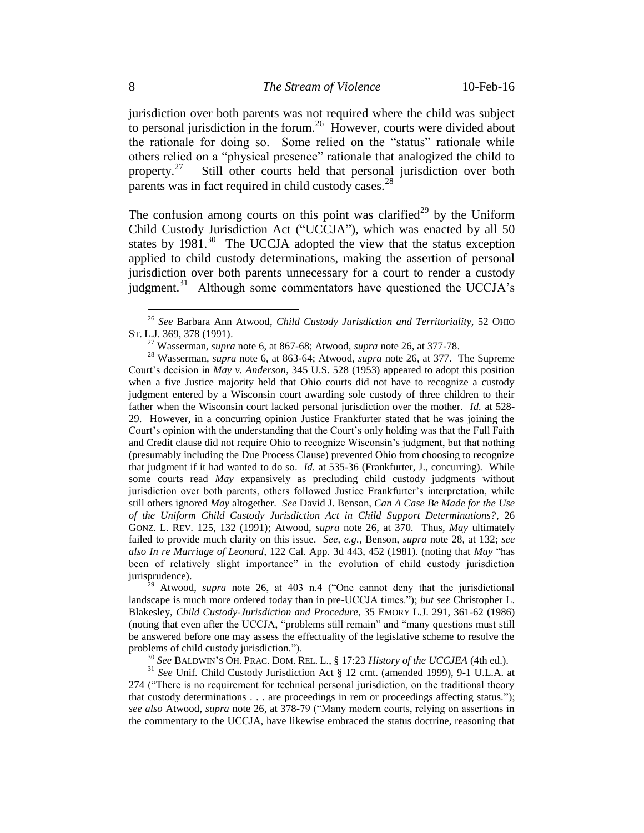jurisdiction over both parents was not required where the child was subject to personal jurisdiction in the forum.<sup>26</sup> However, courts were divided about the rationale for doing so. Some relied on the "status" rationale while others relied on a "physical presence" rationale that analogized the child to property.<sup>27</sup> Still other courts held that personal jurisdiction over both parents was in fact required in child custody cases. $^{28}$ 

The confusion among courts on this point was clarified<sup>29</sup> by the Uniform Child Custody Jurisdiction Act ("UCCJA"), which was enacted by all 50 states by 1981.<sup>30</sup> The UCCJA adopted the view that the status exception applied to child custody determinations, making the assertion of personal jurisdiction over both parents unnecessary for a court to render a custody judgment.<sup>31</sup> Although some commentators have questioned the UCCJA's

<sup>26</sup> *See* Barbara Ann Atwood, *Child Custody Jurisdiction and Territoriality*, 52 OHIO ST. L.J. 369, 378 (1991).

<sup>27</sup> Wasserman, *supra* note 6, at 867-68; Atwood, *supra* note 26, at 377-78.

<sup>28</sup> Wasserman, *supra* note 6, at 863-64; Atwood, *supra* note 26, at 377. The Supreme Court's decision in *May v. Anderson*, 345 U.S. 528 (1953) appeared to adopt this position when a five Justice majority held that Ohio courts did not have to recognize a custody judgment entered by a Wisconsin court awarding sole custody of three children to their father when the Wisconsin court lacked personal jurisdiction over the mother. *Id.* at 528- 29. However, in a concurring opinion Justice Frankfurter stated that he was joining the Court's opinion with the understanding that the Court's only holding was that the Full Faith and Credit clause did not require Ohio to recognize Wisconsin's judgment, but that nothing (presumably including the Due Process Clause) prevented Ohio from choosing to recognize that judgment if it had wanted to do so. *Id.* at 535-36 (Frankfurter, J., concurring). While some courts read *May* expansively as precluding child custody judgments without jurisdiction over both parents, others followed Justice Frankfurter's interpretation, while still others ignored *May* altogether. *See* David J. Benson, *Can A Case Be Made for the Use of the Uniform Child Custody Jurisdiction Act in Child Support Determinations?*, 26 GONZ. L. REV. 125, 132 (1991); Atwood, *supra* note 26, at 370. Thus, *May* ultimately failed to provide much clarity on this issue. *See, e.g.*, Benson, *supra* note 28, at 132; *see also In re Marriage of Leonard*, 122 Cal. App. 3d 443, 452 (1981). (noting that *May* "has been of relatively slight importance" in the evolution of child custody jurisdiction jurisprudence).

<sup>29</sup> Atwood, *supra* note 26, at 403 n.4 ("One cannot deny that the jurisdictional landscape is much more ordered today than in pre-UCCJA times."); *but see* Christopher L. Blakesley, *Child Custody-Jurisdiction and Procedure*, 35 EMORY L.J. 291, 361-62 (1986) (noting that even after the UCCJA, "problems still remain" and "many questions must still be answered before one may assess the effectuality of the legislative scheme to resolve the problems of child custody jurisdiction.").

<sup>30</sup> *See* BALDWIN'S OH. PRAC. DOM. REL. L., § 17:23 *History of the UCCJEA* (4th ed.).

<sup>31</sup> *See* Unif. Child Custody Jurisdiction Act § 12 cmt. (amended 1999), 9-1 U.L.A. at 274 ("There is no requirement for technical personal jurisdiction, on the traditional theory that custody determinations . . . are proceedings in rem or proceedings affecting status."); *see also* Atwood, *supra* note 26, at 378-79 ("Many modern courts, relying on assertions in the commentary to the UCCJA, have likewise embraced the status doctrine, reasoning that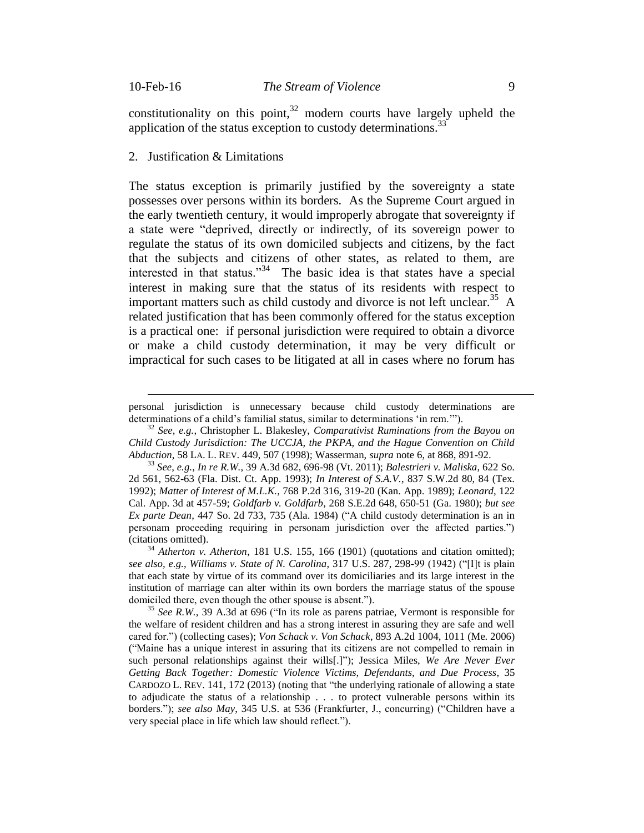$\overline{a}$ 

constitutionality on this point, $32$  modern courts have largely upheld the application of the status exception to custody determinations.<sup>33</sup>

#### 2. Justification & Limitations

The status exception is primarily justified by the sovereignty a state possesses over persons within its borders. As the Supreme Court argued in the early twentieth century, it would improperly abrogate that sovereignty if a state were "deprived, directly or indirectly, of its sovereign power to regulate the status of its own domiciled subjects and citizens, by the fact that the subjects and citizens of other states, as related to them, are interested in that status."<sup>34</sup> The basic idea is that states have a special interest in making sure that the status of its residents with respect to important matters such as child custody and divorce is not left unclear.<sup>35</sup> A related justification that has been commonly offered for the status exception is a practical one: if personal jurisdiction were required to obtain a divorce or make a child custody determination, it may be very difficult or impractical for such cases to be litigated at all in cases where no forum has

<sup>32</sup> *See, e.g.*, Christopher L. Blakesley, *Comparativist Ruminations from the Bayou on Child Custody Jurisdiction: The UCCJA, the PKPA, and the Hague Convention on Child Abduction*, 58 LA. L. REV. 449, 507 (1998); Wasserman, *supra* note 6, at 868, 891-92.

personal jurisdiction is unnecessary because child custody determinations are determinations of a child's familial status, similar to determinations 'in rem.'").

<sup>33</sup> *See, e.g.*, *In re R.W.*, 39 A.3d 682, 696-98 (Vt. 2011); *Balestrieri v. Maliska*, 622 So. 2d 561, 562-63 (Fla. Dist. Ct. App. 1993); *In Interest of S.A.V.*, 837 S.W.2d 80, 84 (Tex. 1992); *Matter of Interest of M.L.K.*, 768 P.2d 316, 319-20 (Kan. App. 1989); *Leonard*, 122 Cal. App. 3d at 457-59; *Goldfarb v. Goldfarb*, 268 S.E.2d 648, 650-51 (Ga. 1980); *but see Ex parte Dean*, 447 So. 2d 733, 735 (Ala. 1984) ("A child custody determination is an in personam proceeding requiring in personam jurisdiction over the affected parties.") (citations omitted).

<sup>&</sup>lt;sup>34</sup> *Atherton v. Atherton*, 181 U.S. 155, 166 (1901) (quotations and citation omitted); *see also, e.g.*, *Williams v. State of N. Carolina*, 317 U.S. 287, 298-99 (1942) ("[I]t is plain that each state by virtue of its command over its domiciliaries and its large interest in the institution of marriage can alter within its own borders the marriage status of the spouse domiciled there, even though the other spouse is absent.").

<sup>35</sup> *See R.W.*, 39 A.3d at 696 ("In its role as parens patriae, Vermont is responsible for the welfare of resident children and has a strong interest in assuring they are safe and well cared for.") (collecting cases); *Von Schack v. Von Schack*, 893 A.2d 1004, 1011 (Me. 2006) ("Maine has a unique interest in assuring that its citizens are not compelled to remain in such personal relationships against their wills[.]"); Jessica Miles, *We Are Never Ever Getting Back Together: Domestic Violence Victims, Defendants, and Due Process*, 35 CARDOZO L. REV. 141, 172 (2013) (noting that "the underlying rationale of allowing a state to adjudicate the status of a relationship . . . to protect vulnerable persons within its borders."); *see also May*, 345 U.S. at 536 (Frankfurter, J., concurring) ("Children have a very special place in life which law should reflect.").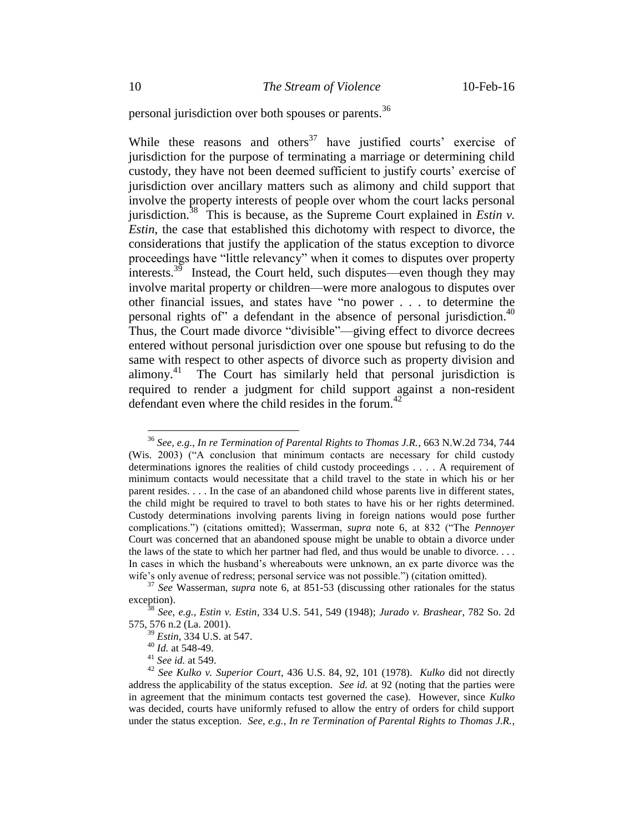personal jurisdiction over both spouses or parents. 36

While these reasons and others $37$  have justified courts' exercise of jurisdiction for the purpose of terminating a marriage or determining child custody, they have not been deemed sufficient to justify courts' exercise of jurisdiction over ancillary matters such as alimony and child support that involve the property interests of people over whom the court lacks personal jurisdiction.<sup>38</sup> This is because, as the Supreme Court explained in *Estin v*. *Estin*, the case that established this dichotomy with respect to divorce, the considerations that justify the application of the status exception to divorce proceedings have "little relevancy" when it comes to disputes over property interests.<sup>39</sup> Instead, the Court held, such disputes—even though they may involve marital property or children—were more analogous to disputes over other financial issues, and states have "no power . . . to determine the personal rights of" a defendant in the absence of personal jurisdiction.<sup>40</sup> Thus, the Court made divorce "divisible"—giving effect to divorce decrees entered without personal jurisdiction over one spouse but refusing to do the same with respect to other aspects of divorce such as property division and alimony. 41 The Court has similarly held that personal jurisdiction is required to render a judgment for child support against a non-resident defendant even where the child resides in the forum. $42$ 

<sup>36</sup> *See, e.g.*, *In re Termination of Parental Rights to Thomas J.R.*, 663 N.W.2d 734, 744 (Wis. 2003) ("A conclusion that minimum contacts are necessary for child custody determinations ignores the realities of child custody proceedings . . . . A requirement of minimum contacts would necessitate that a child travel to the state in which his or her parent resides. . . . In the case of an abandoned child whose parents live in different states, the child might be required to travel to both states to have his or her rights determined. Custody determinations involving parents living in foreign nations would pose further complications.") (citations omitted); Wasserman, *supra* note 6, at 832 ("The *Pennoyer* Court was concerned that an abandoned spouse might be unable to obtain a divorce under the laws of the state to which her partner had fled, and thus would be unable to divorce. . . . In cases in which the husband's whereabouts were unknown, an ex parte divorce was the wife's only avenue of redress; personal service was not possible.") (citation omitted).

<sup>37</sup> *See* Wasserman, *supra* note 6, at 851-53 (discussing other rationales for the status exception).

<sup>38</sup> *See, e.g.*, *Estin v. Estin*, 334 U.S. 541, 549 (1948); *Jurado v. Brashear*, 782 So. 2d 575, 576 n.2 (La. 2001).

<sup>39</sup> *Estin*, 334 U.S. at 547.

<sup>40</sup> *Id.* at 548-49.

<sup>41</sup> *See id.* at 549.

<sup>42</sup> *See Kulko v. Superior Court*, 436 U.S. 84, 92, 101 (1978). *Kulko* did not directly address the applicability of the status exception. *See id.* at 92 (noting that the parties were in agreement that the minimum contacts test governed the case). However, since *Kulko* was decided, courts have uniformly refused to allow the entry of orders for child support under the status exception. *See, e.g.*, *In re Termination of Parental Rights to Thomas J.R.*,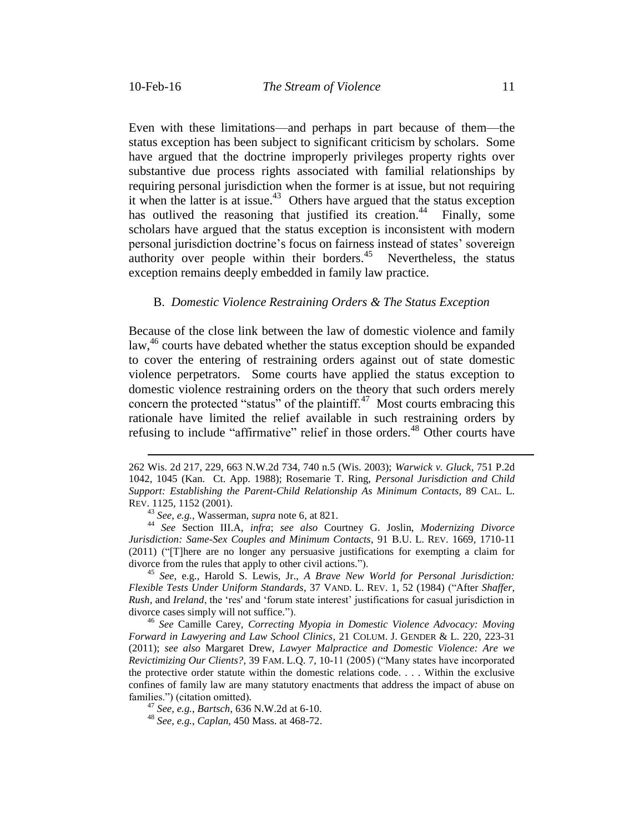$\overline{a}$ 

Even with these limitations—and perhaps in part because of them—the status exception has been subject to significant criticism by scholars. Some have argued that the doctrine improperly privileges property rights over substantive due process rights associated with familial relationships by requiring personal jurisdiction when the former is at issue, but not requiring it when the latter is at issue.<sup>43</sup> Others have argued that the status exception has outlived the reasoning that justified its creation.<sup>44</sup> Finally, some scholars have argued that the status exception is inconsistent with modern personal jurisdiction doctrine's focus on fairness instead of states' sovereign authority over people within their borders.<sup>45</sup> Nevertheless, the status exception remains deeply embedded in family law practice.

#### B. *Domestic Violence Restraining Orders & The Status Exception*

Because of the close link between the law of domestic violence and family law,  $46$  courts have debated whether the status exception should be expanded to cover the entering of restraining orders against out of state domestic violence perpetrators. Some courts have applied the status exception to domestic violence restraining orders on the theory that such orders merely concern the protected "status" of the plaintiff.<sup>47</sup> Most courts embracing this rationale have limited the relief available in such restraining orders by refusing to include "affirmative" relief in those orders.<sup>48</sup> Other courts have

<sup>45</sup> *See*, e.g., Harold S. Lewis, Jr., *A Brave New World for Personal Jurisdiction: Flexible Tests Under Uniform Standards*, 37 VAND. L. REV. 1, 52 (1984) ("After *Shaffer*, *Rush*, and *Ireland*, the 'res' and 'forum state interest' justifications for casual jurisdiction in divorce cases simply will not suffice.").

<sup>46</sup> *See* Camille Carey, *Correcting Myopia in Domestic Violence Advocacy: Moving Forward in Lawyering and Law School Clinics*, 21 COLUM. J. GENDER & L. 220, 223-31 (2011); *see also* Margaret Drew, *Lawyer Malpractice and Domestic Violence: Are we Revictimizing Our Clients?*, 39 FAM. L.Q. 7, 10-11 (2005) ("Many states have incorporated the protective order statute within the domestic relations code. . . . Within the exclusive confines of family law are many statutory enactments that address the impact of abuse on families.") (citation omitted)*.* 

<sup>47</sup> *See, e.g.*, *Bartsch*, 636 N.W.2d at 6-10.

<sup>48</sup> *See, e.g.*, *Caplan*, 450 Mass. at 468-72.

<sup>262</sup> Wis. 2d 217, 229, 663 N.W.2d 734, 740 n.5 (Wis. 2003); *Warwick v. Gluck*, 751 P.2d 1042, 1045 (Kan. Ct. App. 1988); Rosemarie T. Ring, *Personal Jurisdiction and Child Support: Establishing the Parent-Child Relationship As Minimum Contacts*, 89 CAL. L. REV. 1125, 1152 (2001).

<sup>43</sup> *See, e.g.*, Wasserman, *supra* note 6, at 821.

<sup>44</sup> *See* Section III.A, *infra*; *see also* Courtney G. Joslin, *Modernizing Divorce Jurisdiction: Same-Sex Couples and Minimum Contacts*, 91 B.U. L. REV. 1669, 1710-11 (2011) ("[T]here are no longer any persuasive justifications for exempting a claim for divorce from the rules that apply to other civil actions.").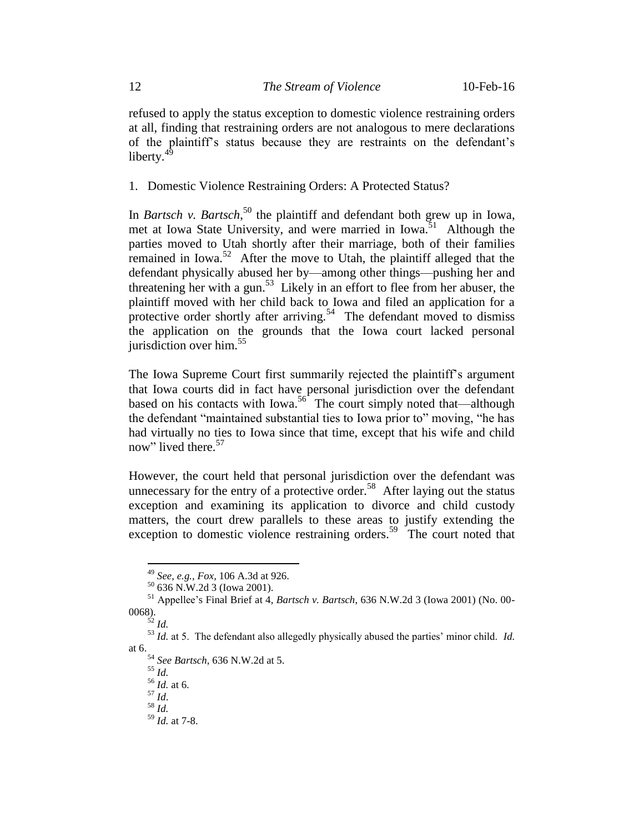refused to apply the status exception to domestic violence restraining orders at all, finding that restraining orders are not analogous to mere declarations of the plaintiff's status because they are restraints on the defendant's liberty. $4\frac{4}{3}$ 

1. Domestic Violence Restraining Orders: A Protected Status?

In *Bartsch v. Bartsch*, <sup>50</sup> the plaintiff and defendant both grew up in Iowa, met at Iowa State University, and were married in Iowa.<sup>51</sup> Although the parties moved to Utah shortly after their marriage, both of their families remained in Iowa.<sup>52</sup> After the move to Utah, the plaintiff alleged that the defendant physically abused her by—among other things—pushing her and threatening her with a gun. 53 Likely in an effort to flee from her abuser, the plaintiff moved with her child back to Iowa and filed an application for a protective order shortly after arriving.<sup>54</sup> The defendant moved to dismiss the application on the grounds that the Iowa court lacked personal jurisdiction over him. $55$ 

The Iowa Supreme Court first summarily rejected the plaintiff's argument that Iowa courts did in fact have personal jurisdiction over the defendant based on his contacts with Iowa.<sup>56</sup> The court simply noted that—although the defendant "maintained substantial ties to Iowa prior to" moving, "he has had virtually no ties to Iowa since that time, except that his wife and child now" lived there.<sup>57</sup>

However, the court held that personal jurisdiction over the defendant was unnecessary for the entry of a protective order.<sup>58</sup> After laying out the status exception and examining its application to divorce and child custody matters, the court drew parallels to these areas to justify extending the exception to domestic violence restraining orders.<sup>59</sup> The court noted that

 $\overline{a}$ 

<sup>54</sup> *See Bartsch*, 636 N.W.2d at 5.

<sup>55</sup> *Id.*

 $^{56}$  *Id.* at 6. <sup>57</sup> *Id*.

<sup>58</sup> *Id.*

<sup>49</sup> *See, e.g.*, *Fox*, 106 A.3d at 926.

<sup>50 636</sup> N.W.2d 3 (Iowa 2001).

<sup>51</sup> Appellee's Final Brief at 4, *Bartsch v. Bartsch*, 636 N.W.2d 3 (Iowa 2001) (No. 00- 0068).

 $^{52}$  *Id.* 

<sup>53</sup> *Id.* at 5. The defendant also allegedly physically abused the parties' minor child. *Id.* at 6.

<sup>59</sup> *Id.* at 7-8.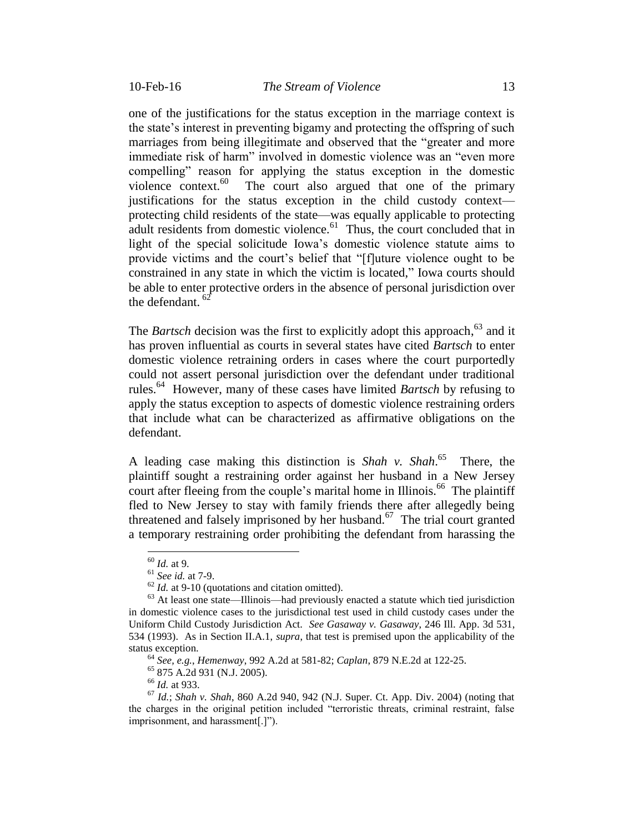one of the justifications for the status exception in the marriage context is the state's interest in preventing bigamy and protecting the offspring of such marriages from being illegitimate and observed that the "greater and more immediate risk of harm" involved in domestic violence was an "even more compelling" reason for applying the status exception in the domestic violence context.<sup>60</sup> The court also argued that one of the primary justifications for the status exception in the child custody context protecting child residents of the state—was equally applicable to protecting adult residents from domestic violence.<sup>61</sup> Thus, the court concluded that in light of the special solicitude Iowa's domestic violence statute aims to provide victims and the court's belief that "[f]uture violence ought to be constrained in any state in which the victim is located," Iowa courts should be able to enter protective orders in the absence of personal jurisdiction over the defendant.  $62$ 

The *Bartsch* decision was the first to explicitly adopt this approach,<sup>63</sup> and it has proven influential as courts in several states have cited *Bartsch* to enter domestic violence retraining orders in cases where the court purportedly could not assert personal jurisdiction over the defendant under traditional rules. 64 However, many of these cases have limited *Bartsch* by refusing to apply the status exception to aspects of domestic violence restraining orders that include what can be characterized as affirmative obligations on the defendant.

A leading case making this distinction is *Shah v. Shah*. 65 There, the plaintiff sought a restraining order against her husband in a New Jersey court after fleeing from the couple's marital home in Illinois.<sup>66</sup> The plaintiff fled to New Jersey to stay with family friends there after allegedly being threatened and falsely imprisoned by her husband.<sup>67</sup> The trial court granted a temporary restraining order prohibiting the defendant from harassing the

 $\overline{a}$ 

<sup>66</sup> *Id.* at 933.

<sup>60</sup> *Id.* at 9.

<sup>61</sup> *See id.* at 7-9.

 $62$  *Id.* at 9-10 (quotations and citation omitted).

<sup>63</sup> At least one state—Illinois—had previously enacted a statute which tied jurisdiction in domestic violence cases to the jurisdictional test used in child custody cases under the Uniform Child Custody Jurisdiction Act. *See Gasaway v. Gasaway*, 246 Ill. App. 3d 531, 534 (1993).As in Section II.A.1, *supra*, that test is premised upon the applicability of the status exception.

<sup>64</sup> *See, e.g.*, *Hemenway*, 992 A.2d at 581-82; *Caplan*, 879 N.E.2d at 122-25.

<sup>65</sup> 875 A.2d 931 (N.J. 2005).

<sup>67</sup> *Id.*; *Shah v. Shah*, 860 A.2d 940, 942 (N.J. Super. Ct. App. Div. 2004) (noting that the charges in the original petition included "terroristic threats, criminal restraint, false imprisonment, and harassment[.]").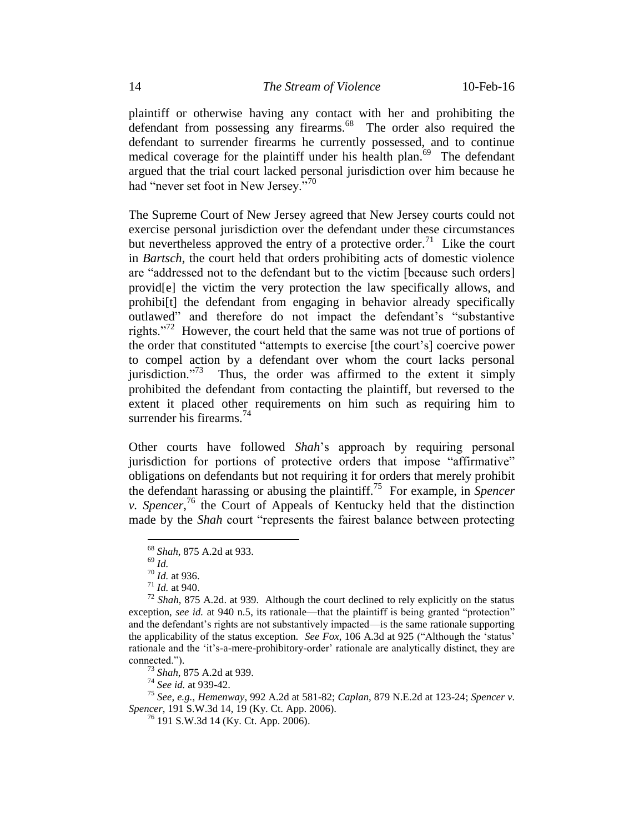plaintiff or otherwise having any contact with her and prohibiting the defendant from possessing any firearms.<sup>68</sup> The order also required the defendant to surrender firearms he currently possessed, and to continue medical coverage for the plaintiff under his health plan.<sup>69</sup> The defendant argued that the trial court lacked personal jurisdiction over him because he had "never set foot in New Jersey."<sup>70</sup>

The Supreme Court of New Jersey agreed that New Jersey courts could not exercise personal jurisdiction over the defendant under these circumstances but nevertheless approved the entry of a protective order.<sup>71</sup> Like the court in *Bartsch*, the court held that orders prohibiting acts of domestic violence are "addressed not to the defendant but to the victim [because such orders] provid[e] the victim the very protection the law specifically allows, and prohibilt) the defendant from engaging in behavior already specifically outlawed" and therefore do not impact the defendant's "substantive rights."<sup>72</sup> However, the court held that the same was not true of portions of the order that constituted "attempts to exercise [the court's] coercive power to compel action by a defendant over whom the court lacks personal iurisdiction." $73$  Thus, the order was affirmed to the extent it simply prohibited the defendant from contacting the plaintiff, but reversed to the extent it placed other requirements on him such as requiring him to surrender his firearms.<sup>74</sup>

Other courts have followed *Shah*'s approach by requiring personal jurisdiction for portions of protective orders that impose "affirmative" obligations on defendants but not requiring it for orders that merely prohibit the defendant harassing or abusing the plaintiff.<sup>75</sup> For example, in *Spencer v. Spencer*, <sup>76</sup> the Court of Appeals of Kentucky held that the distinction made by the *Shah* court "represents the fairest balance between protecting

 $\overline{a}$ 

<sup>73</sup> *Shah*, 875 A.2d at 939.

<sup>74</sup> *See id.* at 939-42.

<sup>75</sup> *See, e.g.*, *Hemenway*, 992 A.2d at 581-82; *Caplan*, 879 N.E.2d at 123-24; *Spencer v. Spencer*, 191 S.W.3d 14, 19 (Ky. Ct. App. 2006).

 $^{76}$  191 S.W.3d 14 (Ky. Ct. App. 2006).

<sup>68</sup> *Shah*, 875 A.2d at 933.

<sup>69</sup> *Id.*

<sup>70</sup> *Id.* at 936.

 $^{71}$  *Id.* at 940.

<sup>72</sup> *Shah*, 875 A.2d. at 939. Although the court declined to rely explicitly on the status exception, *see id.* at 940 n.5, its rationale—that the plaintiff is being granted "protection" and the defendant's rights are not substantively impacted—is the same rationale supporting the applicability of the status exception. *See Fox*, 106 A.3d at 925 ("Although the 'status' rationale and the 'it's-a-mere-prohibitory-order' rationale are analytically distinct, they are connected.").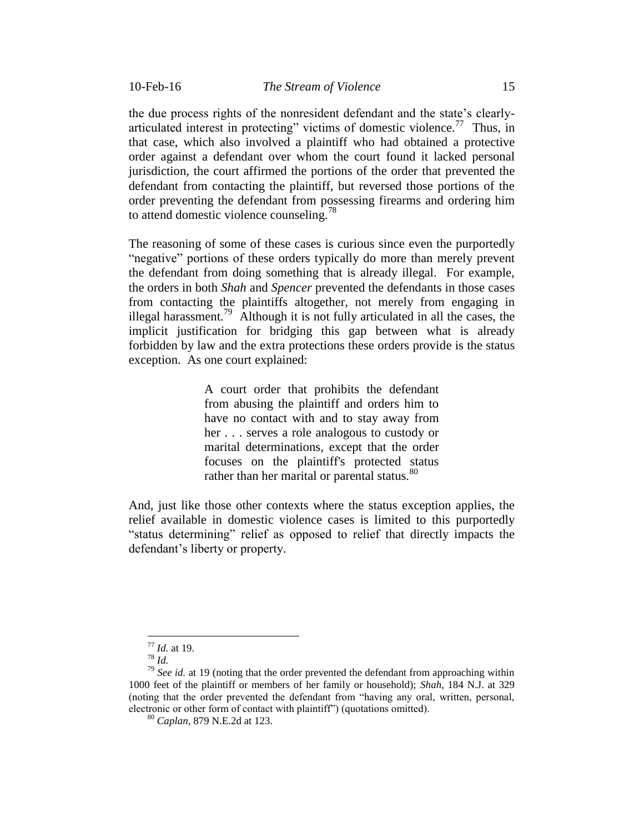the due process rights of the nonresident defendant and the state's clearlyarticulated interest in protecting" victims of domestic violence.<sup>77</sup> Thus, in that case, which also involved a plaintiff who had obtained a protective order against a defendant over whom the court found it lacked personal jurisdiction, the court affirmed the portions of the order that prevented the defendant from contacting the plaintiff, but reversed those portions of the order preventing the defendant from possessing firearms and ordering him to attend domestic violence counseling.<sup>78</sup>

The reasoning of some of these cases is curious since even the purportedly "negative" portions of these orders typically do more than merely prevent the defendant from doing something that is already illegal. For example, the orders in both *Shah* and *Spencer* prevented the defendants in those cases from contacting the plaintiffs altogether, not merely from engaging in illegal harassment.<sup>79</sup> Although it is not fully articulated in all the cases, the implicit justification for bridging this gap between what is already forbidden by law and the extra protections these orders provide is the status exception. As one court explained:

> A court order that prohibits the defendant from abusing the plaintiff and orders him to have no contact with and to stay away from her . . . serves a role analogous to custody or marital determinations, except that the order focuses on the plaintiff's protected status rather than her marital or parental status.<sup>80</sup>

And, just like those other contexts where the status exception applies, the relief available in domestic violence cases is limited to this purportedly "status determining" relief as opposed to relief that directly impacts the defendant's liberty or property.

<sup>77</sup> *Id.* at 19.

<sup>78</sup> *Id.*

<sup>&</sup>lt;sup>79</sup> *See id.* at 19 (noting that the order prevented the defendant from approaching within 1000 feet of the plaintiff or members of her family or household); *Shah*, 184 N.J. at 329 (noting that the order prevented the defendant from "having any oral, written, personal, electronic or other form of contact with plaintiff") (quotations omitted).

<sup>80</sup> *Caplan*, 879 N.E.2d at 123.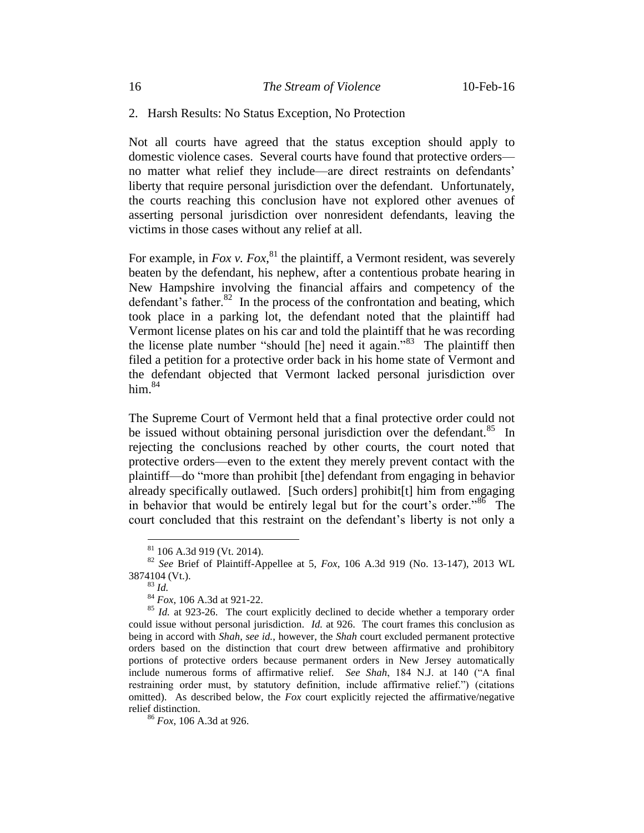#### 2. Harsh Results: No Status Exception, No Protection

Not all courts have agreed that the status exception should apply to domestic violence cases. Several courts have found that protective orders no matter what relief they include—are direct restraints on defendants' liberty that require personal jurisdiction over the defendant. Unfortunately, the courts reaching this conclusion have not explored other avenues of asserting personal jurisdiction over nonresident defendants, leaving the victims in those cases without any relief at all.

For example, in *Fox v. Fox*,  $81$  the plaintiff, a Vermont resident, was severely beaten by the defendant, his nephew, after a contentious probate hearing in New Hampshire involving the financial affairs and competency of the defendant's father. $82$  In the process of the confrontation and beating, which took place in a parking lot, the defendant noted that the plaintiff had Vermont license plates on his car and told the plaintiff that he was recording the license plate number "should [he] need it again."<sup>83</sup> The plaintiff then filed a petition for a protective order back in his home state of Vermont and the defendant objected that Vermont lacked personal jurisdiction over him. $84$ 

The Supreme Court of Vermont held that a final protective order could not be issued without obtaining personal jurisdiction over the defendant.<sup>85</sup> In rejecting the conclusions reached by other courts, the court noted that protective orders—even to the extent they merely prevent contact with the plaintiff—do "more than prohibit [the] defendant from engaging in behavior already specifically outlawed. [Such orders] prohibit[t] him from engaging in behavior that would be entirely legal but for the court's order."<sup>86</sup> The court concluded that this restraint on the defendant's liberty is not only a

 $81$  106 A.3d 919 (Vt. 2014).

<sup>82</sup> *See* Brief of Plaintiff-Appellee at 5, *Fox*, 106 A.3d 919 (No. 13-147), 2013 WL 3874104 (Vt.).

<sup>83</sup> *Id.*

<sup>84</sup> *Fox*, 106 A.3d at 921-22.

<sup>&</sup>lt;sup>85</sup> *Id.* at 923-26. The court explicitly declined to decide whether a temporary order could issue without personal jurisdiction. *Id.* at 926. The court frames this conclusion as being in accord with *Shah*, *see id.*, however, the *Shah* court excluded permanent protective orders based on the distinction that court drew between affirmative and prohibitory portions of protective orders because permanent orders in New Jersey automatically include numerous forms of affirmative relief. *See Shah*, 184 N.J. at 140 ("A final restraining order must, by statutory definition, include affirmative relief.") (citations omitted). As described below, the *Fox* court explicitly rejected the affirmative/negative relief distinction.

<sup>86</sup> *Fox*, 106 A.3d at 926.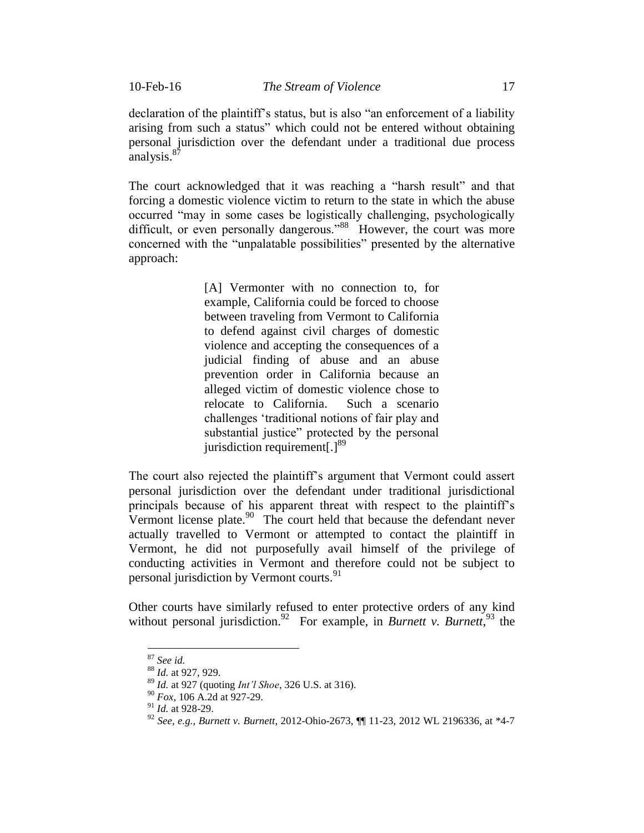declaration of the plaintiff's status, but is also "an enforcement of a liability arising from such a status" which could not be entered without obtaining personal jurisdiction over the defendant under a traditional due process analysis.<sup>87</sup>

The court acknowledged that it was reaching a "harsh result" and that forcing a domestic violence victim to return to the state in which the abuse occurred "may in some cases be logistically challenging, psychologically difficult, or even personally dangerous."<sup>88</sup> However, the court was more concerned with the "unpalatable possibilities" presented by the alternative approach:

> [A] Vermonter with no connection to, for example, California could be forced to choose between traveling from Vermont to California to defend against civil charges of domestic violence and accepting the consequences of a judicial finding of abuse and an abuse prevention order in California because an alleged victim of domestic violence chose to relocate to California. Such a scenario challenges 'traditional notions of fair play and substantial justice" protected by the personal jurisdiction requirement[.]<sup>89</sup>

The court also rejected the plaintiff's argument that Vermont could assert personal jurisdiction over the defendant under traditional jurisdictional principals because of his apparent threat with respect to the plaintiff's Vermont license plate. $90$  The court held that because the defendant never actually travelled to Vermont or attempted to contact the plaintiff in Vermont, he did not purposefully avail himself of the privilege of conducting activities in Vermont and therefore could not be subject to personal jurisdiction by Vermont courts.<sup>91</sup>

Other courts have similarly refused to enter protective orders of any kind without personal jurisdiction.<sup>92</sup> For example, in *Burnett v. Burnett*,<sup>93</sup> the

<sup>87</sup> *See id.*

<sup>88</sup> *Id.* at 927, 929.

<sup>89</sup> *Id.* at 927 (quoting *Int'l Shoe*, 326 U.S. at 316).

<sup>90</sup> *Fox*, 106 A.2d at 927-29.

<sup>91</sup> *Id.* at 928-29.

<sup>92</sup> *See, e.g.*, *Burnett v. Burnett*, 2012-Ohio-2673, ¶¶ 11-23, 2012 WL 2196336, at \*4-7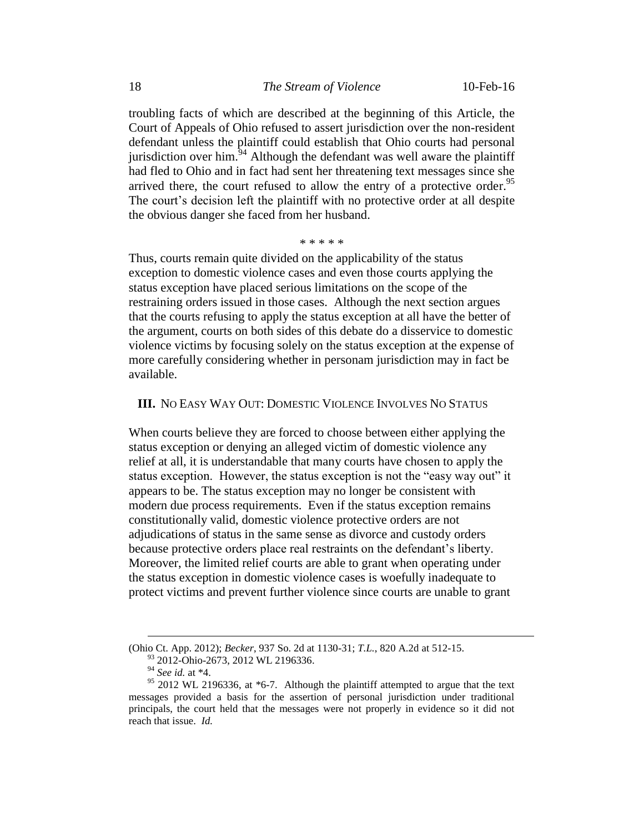troubling facts of which are described at the beginning of this Article, the Court of Appeals of Ohio refused to assert jurisdiction over the non-resident defendant unless the plaintiff could establish that Ohio courts had personal jurisdiction over him.<sup>94</sup> Although the defendant was well aware the plaintiff had fled to Ohio and in fact had sent her threatening text messages since she arrived there, the court refused to allow the entry of a protective order.<sup>95</sup> The court's decision left the plaintiff with no protective order at all despite the obvious danger she faced from her husband.

#### \* \* \* \* \*

Thus, courts remain quite divided on the applicability of the status exception to domestic violence cases and even those courts applying the status exception have placed serious limitations on the scope of the restraining orders issued in those cases. Although the next section argues that the courts refusing to apply the status exception at all have the better of the argument, courts on both sides of this debate do a disservice to domestic violence victims by focusing solely on the status exception at the expense of more carefully considering whether in personam jurisdiction may in fact be available.

### **III.** NO EASY WAY OUT: DOMESTIC VIOLENCE INVOLVES NO STATUS

When courts believe they are forced to choose between either applying the status exception or denying an alleged victim of domestic violence any relief at all, it is understandable that many courts have chosen to apply the status exception. However, the status exception is not the "easy way out" it appears to be. The status exception may no longer be consistent with modern due process requirements. Even if the status exception remains constitutionally valid, domestic violence protective orders are not adjudications of status in the same sense as divorce and custody orders because protective orders place real restraints on the defendant's liberty. Moreover, the limited relief courts are able to grant when operating under the status exception in domestic violence cases is woefully inadequate to protect victims and prevent further violence since courts are unable to grant

<sup>(</sup>Ohio Ct. App. 2012); *Becker*, 937 So. 2d at 1130-31; *T.L.*, 820 A.2d at 512-15.

<sup>93 2012-</sup>Ohio-2673, 2012 WL 2196336.

<sup>94</sup> *See id.* at \*4.

 $95$  2012 WL 2196336, at  $*6$ -7. Although the plaintiff attempted to argue that the text messages provided a basis for the assertion of personal jurisdiction under traditional principals, the court held that the messages were not properly in evidence so it did not reach that issue. *Id.*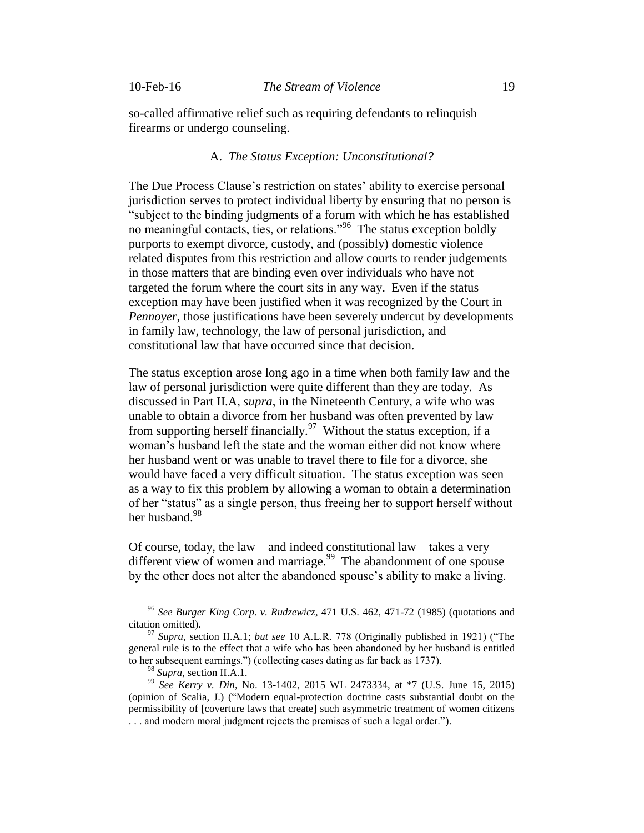so-called affirmative relief such as requiring defendants to relinquish firearms or undergo counseling.

# A. *The Status Exception: Unconstitutional?*

The Due Process Clause's restriction on states' ability to exercise personal jurisdiction serves to protect individual liberty by ensuring that no person is "subject to the binding judgments of a forum with which he has established no meaningful contacts, ties, or relations."<sup>96</sup> The status exception boldly purports to exempt divorce, custody, and (possibly) domestic violence related disputes from this restriction and allow courts to render judgements in those matters that are binding even over individuals who have not targeted the forum where the court sits in any way. Even if the status exception may have been justified when it was recognized by the Court in *Pennoyer*, those justifications have been severely undercut by developments in family law, technology, the law of personal jurisdiction, and constitutional law that have occurred since that decision.

The status exception arose long ago in a time when both family law and the law of personal jurisdiction were quite different than they are today. As discussed in Part II.A, *supra*, in the Nineteenth Century, a wife who was unable to obtain a divorce from her husband was often prevented by law from supporting herself financially.<sup>97</sup> Without the status exception, if a woman's husband left the state and the woman either did not know where her husband went or was unable to travel there to file for a divorce, she would have faced a very difficult situation. The status exception was seen as a way to fix this problem by allowing a woman to obtain a determination of her "status" as a single person, thus freeing her to support herself without her husband.<sup>98</sup>

Of course, today, the law—and indeed constitutional law—takes a very different view of women and marriage.<sup>99</sup> The abandonment of one spouse by the other does not alter the abandoned spouse's ability to make a living.

<sup>96</sup> *See Burger King Corp. v. Rudzewicz*, 471 U.S. 462, 471-72 (1985) (quotations and citation omitted).

<sup>97</sup> *Supra*, section II.A.1; *but see* 10 A.L.R. 778 (Originally published in 1921) ("The general rule is to the effect that a wife who has been abandoned by her husband is entitled to her subsequent earnings.") (collecting cases dating as far back as 1737).

<sup>98</sup> *Supra*, section II.A.1*.*

<sup>99</sup> *See Kerry v. Din*, No. 13-1402, 2015 WL 2473334, at \*7 (U.S. June 15, 2015) (opinion of Scalia, J.) ("Modern equal-protection doctrine casts substantial doubt on the permissibility of [coverture laws that create] such asymmetric treatment of women citizens . . . and modern moral judgment rejects the premises of such a legal order.").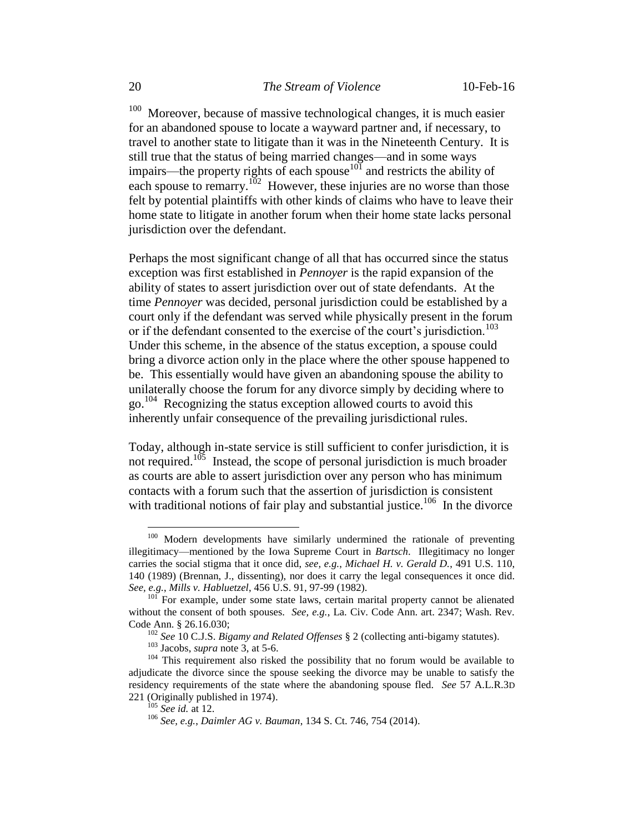100 Moreover, because of massive technological changes, it is much easier for an abandoned spouse to locate a wayward partner and, if necessary, to travel to another state to litigate than it was in the Nineteenth Century. It is still true that the status of being married changes—and in some ways impairs—the property rights of each spouse $10\degree$  and restricts the ability of each spouse to remarry.<sup>102</sup> However, these injuries are no worse than those felt by potential plaintiffs with other kinds of claims who have to leave their home state to litigate in another forum when their home state lacks personal jurisdiction over the defendant.

Perhaps the most significant change of all that has occurred since the status exception was first established in *Pennoyer* is the rapid expansion of the ability of states to assert jurisdiction over out of state defendants. At the time *Pennoyer* was decided, personal jurisdiction could be established by a court only if the defendant was served while physically present in the forum or if the defendant consented to the exercise of the court's jurisdiction.<sup>103</sup> Under this scheme, in the absence of the status exception, a spouse could bring a divorce action only in the place where the other spouse happened to be. This essentially would have given an abandoning spouse the ability to unilaterally choose the forum for any divorce simply by deciding where to go. 104 Recognizing the status exception allowed courts to avoid this inherently unfair consequence of the prevailing jurisdictional rules.

Today, although in-state service is still sufficient to confer jurisdiction, it is not required.<sup>105</sup> Instead, the scope of personal jurisdiction is much broader as courts are able to assert jurisdiction over any person who has minimum contacts with a forum such that the assertion of jurisdiction is consistent with traditional notions of fair play and substantial justice.<sup>106</sup> In the divorce

<sup>&</sup>lt;sup>100</sup> Modern developments have similarly undermined the rationale of preventing illegitimacy—mentioned by the Iowa Supreme Court in *Bartsch*. Illegitimacy no longer carries the social stigma that it once did, *see, e.g.*, *Michael H. v. Gerald D.*, 491 U.S. 110, 140 (1989) (Brennan, J., dissenting), nor does it carry the legal consequences it once did. *See, e.g.*, *Mills v. Habluetzel*, 456 U.S. 91, 97-99 (1982).

<sup>101</sup> For example, under some state laws, certain marital property cannot be alienated without the consent of both spouses. *See, e.g.*, La. Civ. Code Ann. art. 2347; Wash. Rev. Code Ann. § 26.16.030;

<sup>102</sup> *See* 10 C.J.S. *Bigamy and Related Offenses* § 2 (collecting anti-bigamy statutes).

<sup>103</sup> Jacobs, *supra* note 3, at 5-6.

<sup>&</sup>lt;sup>104</sup> This requirement also risked the possibility that no forum would be available to adjudicate the divorce since the spouse seeking the divorce may be unable to satisfy the residency requirements of the state where the abandoning spouse fled. *See* 57 A.L.R.3D 221 (Originally published in 1974).

<sup>105</sup> *See id.* at 12.

<sup>106</sup> *See, e.g.*, *Daimler AG v. Bauman*, 134 S. Ct. 746, 754 (2014).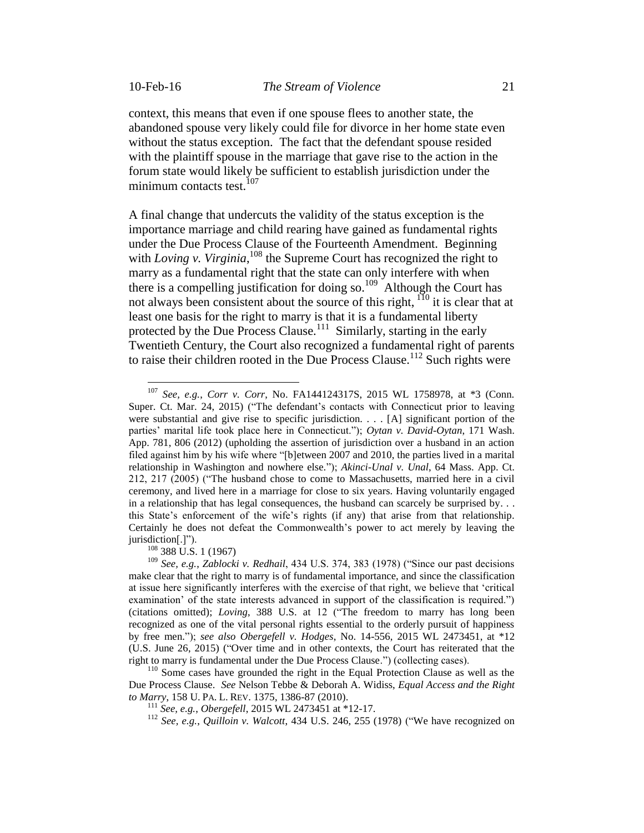$\overline{a}$ 

context, this means that even if one spouse flees to another state, the abandoned spouse very likely could file for divorce in her home state even without the status exception. The fact that the defendant spouse resided with the plaintiff spouse in the marriage that gave rise to the action in the forum state would likely be sufficient to establish jurisdiction under the minimum contacts test.<sup>107</sup>

A final change that undercuts the validity of the status exception is the importance marriage and child rearing have gained as fundamental rights under the Due Process Clause of the Fourteenth Amendment. Beginning with *Loving v. Virginia*, <sup>108</sup> the Supreme Court has recognized the right to marry as a fundamental right that the state can only interfere with when there is a compelling justification for doing so.<sup>109</sup> Although the Court has not always been consistent about the source of this right, <sup>110</sup> it is clear that at least one basis for the right to marry is that it is a fundamental liberty protected by the Due Process Clause.<sup>111</sup> Similarly, starting in the early Twentieth Century, the Court also recognized a fundamental right of parents to raise their children rooted in the Due Process Clause.<sup>112</sup> Such rights were

<sup>108</sup> 388 U.S. 1 (1967)

<sup>107</sup> *See, e.g.*, *Corr v. Corr*, No. FA144124317S, 2015 WL 1758978, at \*3 (Conn. Super. Ct. Mar. 24, 2015) ("The defendant's contacts with Connecticut prior to leaving were substantial and give rise to specific jurisdiction.  $\ldots$  [A] significant portion of the parties' marital life took place here in Connecticut."); *Oytan v. David-Oytan*, 171 Wash. App. 781, 806 (2012) (upholding the assertion of jurisdiction over a husband in an action filed against him by his wife where "[b]etween 2007 and 2010, the parties lived in a marital relationship in Washington and nowhere else."); *Akinci-Unal v. Unal*, 64 Mass. App. Ct. 212, 217 (2005) ("The husband chose to come to Massachusetts, married here in a civil ceremony, and lived here in a marriage for close to six years. Having voluntarily engaged in a relationship that has legal consequences, the husband can scarcely be surprised by. . . this State's enforcement of the wife's rights (if any) that arise from that relationship. Certainly he does not defeat the Commonwealth's power to act merely by leaving the iurisdiction[.]").

<sup>109</sup> *See, e.g.*, *Zablocki v. Redhail*, 434 U.S. 374, 383 (1978) ("Since our past decisions make clear that the right to marry is of fundamental importance, and since the classification at issue here significantly interferes with the exercise of that right, we believe that 'critical examination' of the state interests advanced in support of the classification is required.") (citations omitted); *Loving*, 388 U.S. at 12 ("The freedom to marry has long been recognized as one of the vital personal rights essential to the orderly pursuit of happiness by free men."); *see also Obergefell v. Hodges*, No. 14-556, 2015 WL 2473451, at \*12 (U.S. June 26, 2015) ("Over time and in other contexts, the Court has reiterated that the right to marry is fundamental under the Due Process Clause.") (collecting cases).

<sup>&</sup>lt;sup>110</sup> Some cases have grounded the right in the Equal Protection Clause as well as the Due Process Clause. *See* Nelson Tebbe & Deborah A. Widiss, *Equal Access and the Right to Marry*, 158 U. PA. L. REV. 1375, 1386-87 (2010).

<sup>111</sup> *See, e.g.*, *Obergefell*, 2015 WL 2473451 at \*12-17.

<sup>112</sup> *See, e.g.*, *Quilloin v. Walcott*, 434 U.S. 246, 255 (1978) ("We have recognized on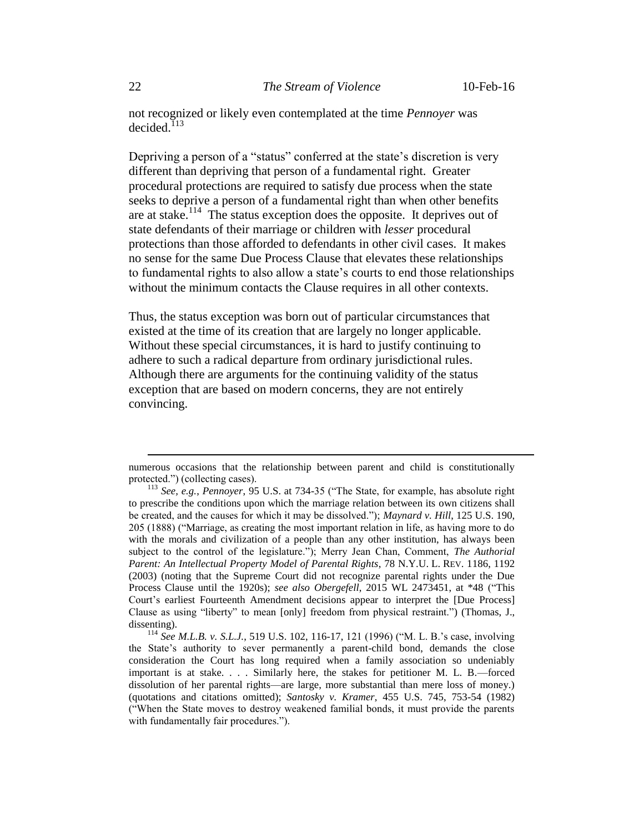not recognized or likely even contemplated at the time *Pennoyer* was decided. $113$ 

Depriving a person of a "status" conferred at the state's discretion is very different than depriving that person of a fundamental right. Greater procedural protections are required to satisfy due process when the state seeks to deprive a person of a fundamental right than when other benefits are at stake.<sup>114</sup> The status exception does the opposite. It deprives out of state defendants of their marriage or children with *lesser* procedural protections than those afforded to defendants in other civil cases. It makes no sense for the same Due Process Clause that elevates these relationships to fundamental rights to also allow a state's courts to end those relationships without the minimum contacts the Clause requires in all other contexts.

Thus, the status exception was born out of particular circumstances that existed at the time of its creation that are largely no longer applicable. Without these special circumstances, it is hard to justify continuing to adhere to such a radical departure from ordinary jurisdictional rules. Although there are arguments for the continuing validity of the status exception that are based on modern concerns, they are not entirely convincing.

numerous occasions that the relationship between parent and child is constitutionally protected.") (collecting cases).

<sup>113</sup> *See, e.g.*, *Pennoyer*, 95 U.S. at 734-35 ("The State, for example, has absolute right to prescribe the conditions upon which the marriage relation between its own citizens shall be created, and the causes for which it may be dissolved."); *Maynard v. Hill*, 125 U.S. 190, 205 (1888) ("Marriage, as creating the most important relation in life, as having more to do with the morals and civilization of a people than any other institution, has always been subject to the control of the legislature."); Merry Jean Chan, Comment, *The Authorial Parent: An Intellectual Property Model of Parental Rights*, 78 N.Y.U. L. REV. 1186, 1192 (2003) (noting that the Supreme Court did not recognize parental rights under the Due Process Clause until the 1920s); *see also Obergefell*, 2015 WL 2473451, at \*48 ("This Court's earliest Fourteenth Amendment decisions appear to interpret the [Due Process] Clause as using "liberty" to mean [only] freedom from physical restraint.") (Thomas, J., dissenting).

<sup>114</sup> *See M.L.B. v. S.L.J.*, 519 U.S. 102, 116-17, 121 (1996) ("M. L. B.'s case, involving the State's authority to sever permanently a parent-child bond, demands the close consideration the Court has long required when a family association so undeniably important is at stake. . . . Similarly here, the stakes for petitioner M. L. B.—forced dissolution of her parental rights—are large, more substantial than mere loss of money.) (quotations and citations omitted); *Santosky v. Kramer*, 455 U.S. 745, 753-54 (1982) ("When the State moves to destroy weakened familial bonds, it must provide the parents with fundamentally fair procedures.").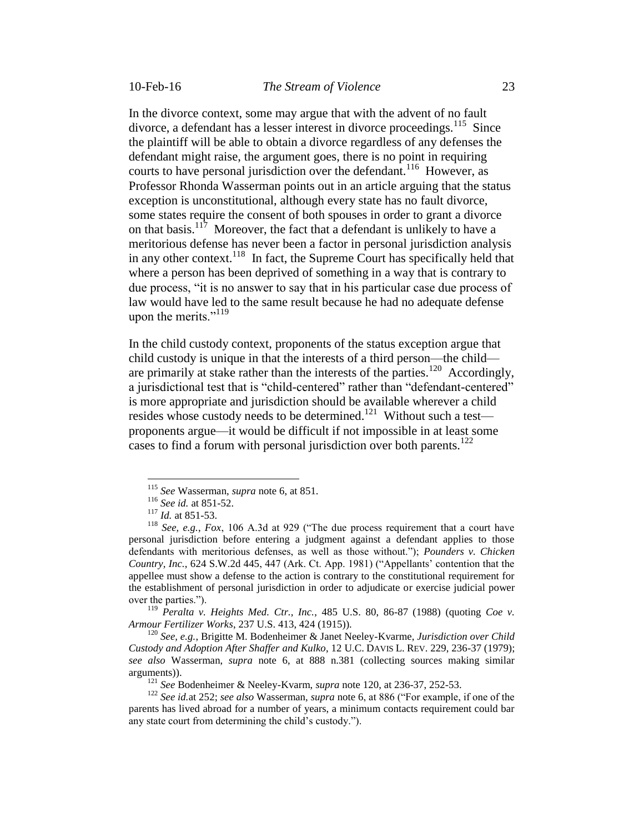In the divorce context, some may argue that with the advent of no fault divorce, a defendant has a lesser interest in divorce proceedings.<sup>115</sup> Since the plaintiff will be able to obtain a divorce regardless of any defenses the defendant might raise, the argument goes, there is no point in requiring courts to have personal jurisdiction over the defendant.<sup>116</sup> However, as Professor Rhonda Wasserman points out in an article arguing that the status exception is unconstitutional, although every state has no fault divorce, some states require the consent of both spouses in order to grant a divorce on that basis.<sup>117</sup> Moreover, the fact that a defendant is unlikely to have a meritorious defense has never been a factor in personal jurisdiction analysis in any other context.<sup>118</sup> In fact, the Supreme Court has specifically held that where a person has been deprived of something in a way that is contrary to due process, "it is no answer to say that in his particular case due process of law would have led to the same result because he had no adequate defense upon the merits." $119$ 

In the child custody context, proponents of the status exception argue that child custody is unique in that the interests of a third person—the child are primarily at stake rather than the interests of the parties.<sup>120</sup> Accordingly, a jurisdictional test that is "child-centered" rather than "defendant-centered" is more appropriate and jurisdiction should be available wherever a child resides whose custody needs to be determined.<sup>121</sup> Without such a test proponents argue—it would be difficult if not impossible in at least some cases to find a forum with personal jurisdiction over both parents.<sup>122</sup>

 $\overline{a}$ 

<sup>119</sup> *Peralta v. Heights Med. Ctr., Inc.*, 485 U.S. 80, 86-87 (1988) (quoting *Coe v. Armour Fertilizer Works*, 237 U.S. 413, 424 (1915)).

<sup>120</sup> *See, e.g.*, Brigitte M. Bodenheimer & Janet Neeley-Kvarme, *Jurisdiction over Child Custody and Adoption After Shaffer and Kulko*, 12 U.C. DAVIS L. REV. 229, 236-37 (1979); *see also* Wasserman, *supra* note 6, at 888 n.381 (collecting sources making similar arguments)).

<sup>121</sup> *See* Bodenheimer & Neeley-Kvarm, *supra* note 120, at 236-37, 252-53.

<sup>122</sup> *See id.*at 252; *see also* Wasserman, *supra* note 6, at 886 ("For example, if one of the parents has lived abroad for a number of years, a minimum contacts requirement could bar any state court from determining the child's custody.").

<sup>115</sup> *See* Wasserman, *supra* note 6, at 851.

<sup>116</sup> *See id.* at 851-52.

<sup>117</sup> *Id.* at 851-53.

<sup>118</sup> *See, e.g.*, *Fox*, 106 A.3d at 929 ("The due process requirement that a court have personal jurisdiction before entering a judgment against a defendant applies to those defendants with meritorious defenses, as well as those without."); *Pounders v. Chicken Country, Inc.*, 624 S.W.2d 445, 447 (Ark. Ct. App. 1981) ("Appellants' contention that the appellee must show a defense to the action is contrary to the constitutional requirement for the establishment of personal jurisdiction in order to adjudicate or exercise judicial power over the parties.").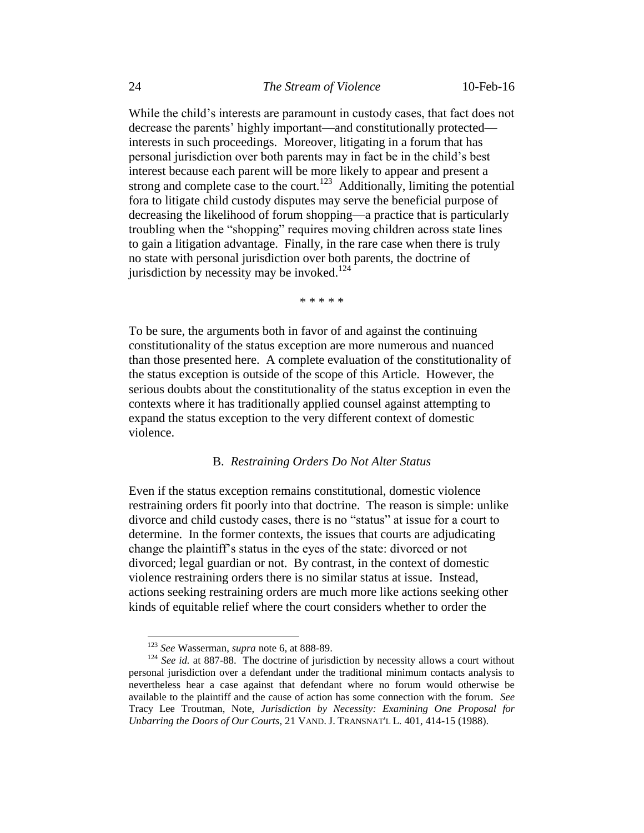While the child's interests are paramount in custody cases, that fact does not decrease the parents' highly important—and constitutionally protected interests in such proceedings. Moreover, litigating in a forum that has personal jurisdiction over both parents may in fact be in the child's best interest because each parent will be more likely to appear and present a strong and complete case to the court.<sup>123</sup> Additionally, limiting the potential fora to litigate child custody disputes may serve the beneficial purpose of decreasing the likelihood of forum shopping—a practice that is particularly troubling when the "shopping" requires moving children across state lines to gain a litigation advantage. Finally, in the rare case when there is truly no state with personal jurisdiction over both parents, the doctrine of jurisdiction by necessity may be invoked.<sup>124</sup>

\* \* \* \* \*

To be sure, the arguments both in favor of and against the continuing constitutionality of the status exception are more numerous and nuanced than those presented here. A complete evaluation of the constitutionality of the status exception is outside of the scope of this Article. However, the serious doubts about the constitutionality of the status exception in even the contexts where it has traditionally applied counsel against attempting to expand the status exception to the very different context of domestic violence.

#### B. *Restraining Orders Do Not Alter Status*

Even if the status exception remains constitutional, domestic violence restraining orders fit poorly into that doctrine. The reason is simple: unlike divorce and child custody cases, there is no "status" at issue for a court to determine. In the former contexts, the issues that courts are adjudicating change the plaintiff's status in the eyes of the state: divorced or not divorced; legal guardian or not. By contrast, in the context of domestic violence restraining orders there is no similar status at issue. Instead, actions seeking restraining orders are much more like actions seeking other kinds of equitable relief where the court considers whether to order the

<sup>123</sup> *See* Wasserman, *supra* note 6, at 888-89.

<sup>&</sup>lt;sup>124</sup> *See id.* at 887-88. The doctrine of jurisdiction by necessity allows a court without personal jurisdiction over a defendant under the traditional minimum contacts analysis to nevertheless hear a case against that defendant where no forum would otherwise be available to the plaintiff and the cause of action has some connection with the forum. *See*  Tracy Lee Troutman, Note, *Jurisdiction by Necessity: Examining One Proposal for Unbarring the Doors of Our Courts*, 21 VAND. J. TRANSNAT'L L. 401, 414-15 (1988).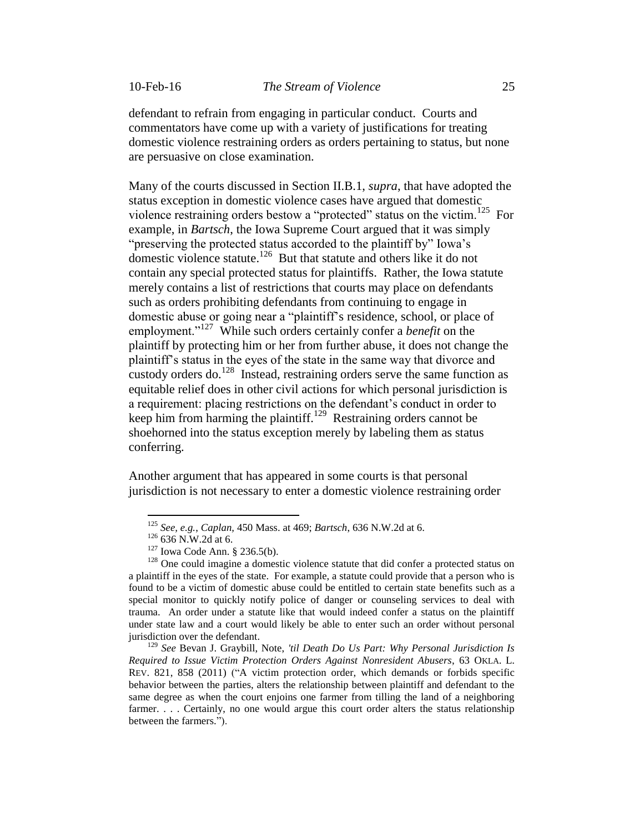defendant to refrain from engaging in particular conduct. Courts and commentators have come up with a variety of justifications for treating domestic violence restraining orders as orders pertaining to status, but none are persuasive on close examination.

Many of the courts discussed in Section II.B.1, *supra*, that have adopted the status exception in domestic violence cases have argued that domestic violence restraining orders bestow a "protected" status on the victim.<sup>125</sup> For example, in *Bartsch*, the Iowa Supreme Court argued that it was simply "preserving the protected status accorded to the plaintiff by" Iowa's domestic violence statute.<sup>126</sup> But that statute and others like it do not contain any special protected status for plaintiffs. Rather, the Iowa statute merely contains a list of restrictions that courts may place on defendants such as orders prohibiting defendants from continuing to engage in domestic abuse or going near a "plaintiff's residence, school, or place of employment."<sup>127</sup> While such orders certainly confer a *benefit* on the plaintiff by protecting him or her from further abuse, it does not change the plaintiff's status in the eyes of the state in the same way that divorce and custody orders do.<sup>128</sup> Instead, restraining orders serve the same function as equitable relief does in other civil actions for which personal jurisdiction is a requirement: placing restrictions on the defendant's conduct in order to keep him from harming the plaintiff.<sup>129</sup> Restraining orders cannot be shoehorned into the status exception merely by labeling them as status conferring.

Another argument that has appeared in some courts is that personal jurisdiction is not necessary to enter a domestic violence restraining order

<sup>125</sup> *See, e.g.*, *Caplan,* 450 Mass. at 469; *Bartsch*, 636 N.W.2d at 6.

<sup>&</sup>lt;sup>126</sup> 636 N.W.2d at 6.

<sup>127</sup> Iowa Code Ann. § 236.5(b).

<sup>&</sup>lt;sup>128</sup> One could imagine a domestic violence statute that did confer a protected status on a plaintiff in the eyes of the state. For example, a statute could provide that a person who is found to be a victim of domestic abuse could be entitled to certain state benefits such as a special monitor to quickly notify police of danger or counseling services to deal with trauma. An order under a statute like that would indeed confer a status on the plaintiff under state law and a court would likely be able to enter such an order without personal jurisdiction over the defendant.

<sup>129</sup> *See* Bevan J. Graybill, Note, *'til Death Do Us Part: Why Personal Jurisdiction Is Required to Issue Victim Protection Orders Against Nonresident Abusers*, 63 OKLA. L. REV. 821, 858 (2011) ("A victim protection order, which demands or forbids specific behavior between the parties, alters the relationship between plaintiff and defendant to the same degree as when the court enjoins one farmer from tilling the land of a neighboring farmer. . . . Certainly, no one would argue this court order alters the status relationship between the farmers.").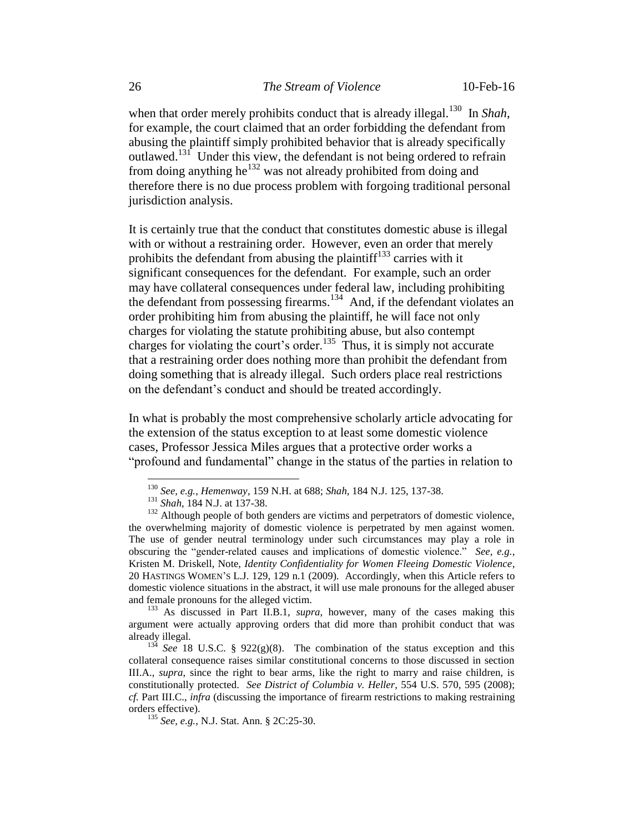when that order merely prohibits conduct that is already illegal.<sup>130</sup> In *Shah*, for example, the court claimed that an order forbidding the defendant from abusing the plaintiff simply prohibited behavior that is already specifically outlawed.<sup>131</sup> Under this view, the defendant is not being ordered to refrain from doing anything he<sup>132</sup> was not already prohibited from doing and therefore there is no due process problem with forgoing traditional personal jurisdiction analysis.

It is certainly true that the conduct that constitutes domestic abuse is illegal with or without a restraining order. However, even an order that merely prohibits the defendant from abusing the plaintiff<sup>133</sup> carries with it significant consequences for the defendant. For example, such an order may have collateral consequences under federal law, including prohibiting the defendant from possessing firearms.<sup>134</sup> And, if the defendant violates an order prohibiting him from abusing the plaintiff, he will face not only charges for violating the statute prohibiting abuse, but also contempt charges for violating the court's order.<sup>135</sup> Thus, it is simply not accurate that a restraining order does nothing more than prohibit the defendant from doing something that is already illegal. Such orders place real restrictions on the defendant's conduct and should be treated accordingly.

In what is probably the most comprehensive scholarly article advocating for the extension of the status exception to at least some domestic violence cases, Professor Jessica Miles argues that a protective order works a "profound and fundamental" change in the status of the parties in relation to

 $\overline{a}$ 

<sup>133</sup> As discussed in Part II.B.1, *supra*, however, many of the cases making this argument were actually approving orders that did more than prohibit conduct that was already illegal.

<sup>134</sup> *See* 18 U.S.C. § 922(g)(8). The combination of the status exception and this collateral consequence raises similar constitutional concerns to those discussed in section III.A., *supra*, since the right to bear arms, like the right to marry and raise children, is constitutionally protected. *See District of Columbia v. Heller*, 554 U.S. 570, 595 (2008); *cf.* Part III.C., *infra* (discussing the importance of firearm restrictions to making restraining orders effective).

<sup>135</sup> *See, e.g.*, N.J. Stat. Ann. § 2C:25-30.

<sup>130</sup> *See, e.g.*, *Hemenway*, 159 N.H. at 688; *Shah*, 184 N.J. 125, 137-38.

<sup>131</sup> *Shah*, 184 N.J. at 137-38.

 $132$  Although people of both genders are victims and perpetrators of domestic violence, the overwhelming majority of domestic violence is perpetrated by men against women. The use of gender neutral terminology under such circumstances may play a role in obscuring the "gender-related causes and implications of domestic violence." *See, e.g.*, Kristen M. Driskell, Note, *Identity Confidentiality for Women Fleeing Domestic Violence*, 20 HASTINGS WOMEN'S L.J. 129, 129 n.1 (2009). Accordingly, when this Article refers to domestic violence situations in the abstract, it will use male pronouns for the alleged abuser and female pronouns for the alleged victim.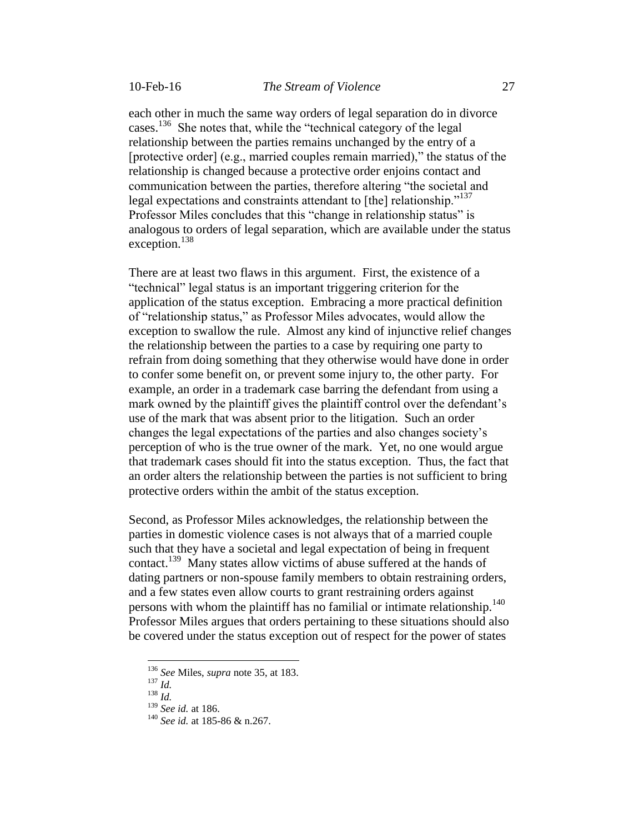each other in much the same way orders of legal separation do in divorce cases.<sup>136</sup> She notes that, while the "technical category of the legal relationship between the parties remains unchanged by the entry of a [protective order] (e.g., married couples remain married)," the status of the relationship is changed because a protective order enjoins contact and communication between the parties, therefore altering "the societal and legal expectations and constraints attendant to [the] relationship."<sup>137</sup> Professor Miles concludes that this "change in relationship status" is analogous to orders of legal separation, which are available under the status exception.<sup>138</sup>

There are at least two flaws in this argument. First, the existence of a "technical" legal status is an important triggering criterion for the application of the status exception. Embracing a more practical definition of "relationship status," as Professor Miles advocates, would allow the exception to swallow the rule. Almost any kind of injunctive relief changes the relationship between the parties to a case by requiring one party to refrain from doing something that they otherwise would have done in order to confer some benefit on, or prevent some injury to, the other party. For example, an order in a trademark case barring the defendant from using a mark owned by the plaintiff gives the plaintiff control over the defendant's use of the mark that was absent prior to the litigation. Such an order changes the legal expectations of the parties and also changes society's perception of who is the true owner of the mark. Yet, no one would argue that trademark cases should fit into the status exception. Thus, the fact that an order alters the relationship between the parties is not sufficient to bring protective orders within the ambit of the status exception.

Second, as Professor Miles acknowledges, the relationship between the parties in domestic violence cases is not always that of a married couple such that they have a societal and legal expectation of being in frequent contact.<sup>139</sup> Many states allow victims of abuse suffered at the hands of dating partners or non-spouse family members to obtain restraining orders, and a few states even allow courts to grant restraining orders against persons with whom the plaintiff has no familial or intimate relationship.<sup>140</sup> Professor Miles argues that orders pertaining to these situations should also be covered under the status exception out of respect for the power of states

<sup>137</sup> *Id.*

 $\overline{a}$ 

<sup>138</sup> *Id.*

<sup>136</sup> *See* Miles, *supra* note 35, at 183.

<sup>139</sup> *See id.* at 186.

<sup>140</sup> *See id.* at 185-86 & n.267.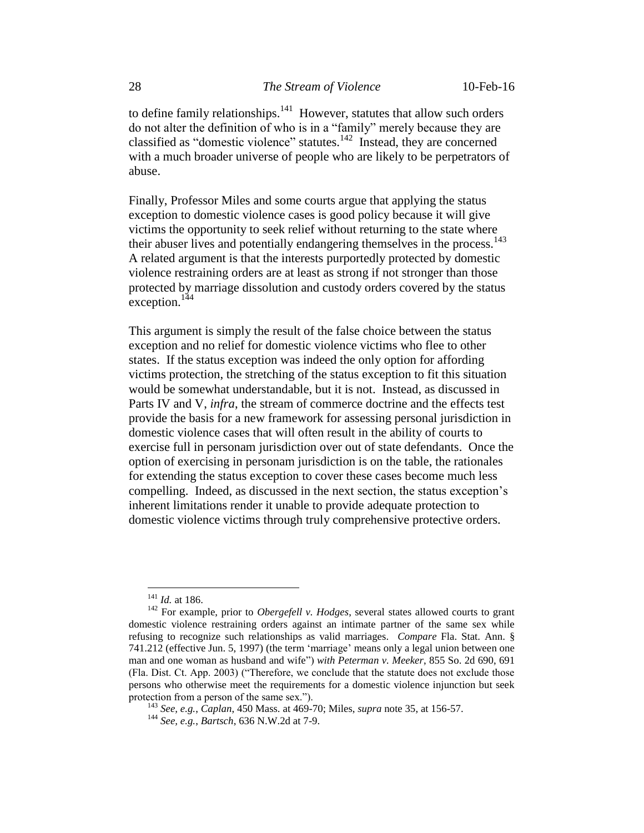to define family relationships.<sup>141</sup> However, statutes that allow such orders do not alter the definition of who is in a "family" merely because they are classified as "domestic violence" statutes. $142$  Instead, they are concerned with a much broader universe of people who are likely to be perpetrators of abuse.

Finally, Professor Miles and some courts argue that applying the status exception to domestic violence cases is good policy because it will give victims the opportunity to seek relief without returning to the state where their abuser lives and potentially endangering themselves in the process.<sup>143</sup> A related argument is that the interests purportedly protected by domestic violence restraining orders are at least as strong if not stronger than those protected by marriage dissolution and custody orders covered by the status exception.<sup>144</sup>

This argument is simply the result of the false choice between the status exception and no relief for domestic violence victims who flee to other states. If the status exception was indeed the only option for affording victims protection, the stretching of the status exception to fit this situation would be somewhat understandable, but it is not. Instead, as discussed in Parts IV and V, *infra*, the stream of commerce doctrine and the effects test provide the basis for a new framework for assessing personal jurisdiction in domestic violence cases that will often result in the ability of courts to exercise full in personam jurisdiction over out of state defendants. Once the option of exercising in personam jurisdiction is on the table, the rationales for extending the status exception to cover these cases become much less compelling. Indeed, as discussed in the next section, the status exception's inherent limitations render it unable to provide adequate protection to domestic violence victims through truly comprehensive protective orders.

<sup>141</sup> *Id.* at 186.

<sup>&</sup>lt;sup>142</sup> For example, prior to *Obergefell v. Hodges*, several states allowed courts to grant domestic violence restraining orders against an intimate partner of the same sex while refusing to recognize such relationships as valid marriages. *Compare* Fla. Stat. Ann. § 741.212 (effective Jun. 5, 1997) (the term 'marriage' means only a legal union between one man and one woman as husband and wife") *with Peterman v. Meeker*, 855 So. 2d 690, 691 (Fla. Dist. Ct. App. 2003) ("Therefore, we conclude that the statute does not exclude those persons who otherwise meet the requirements for a domestic violence injunction but seek protection from a person of the same sex.").

<sup>143</sup> *See, e.g.*, *Caplan*, 450 Mass. at 469-70; Miles, *supra* note 35, at 156-57.

<sup>144</sup> *See, e.g.*, *Bartsch*, 636 N.W.2d at 7-9.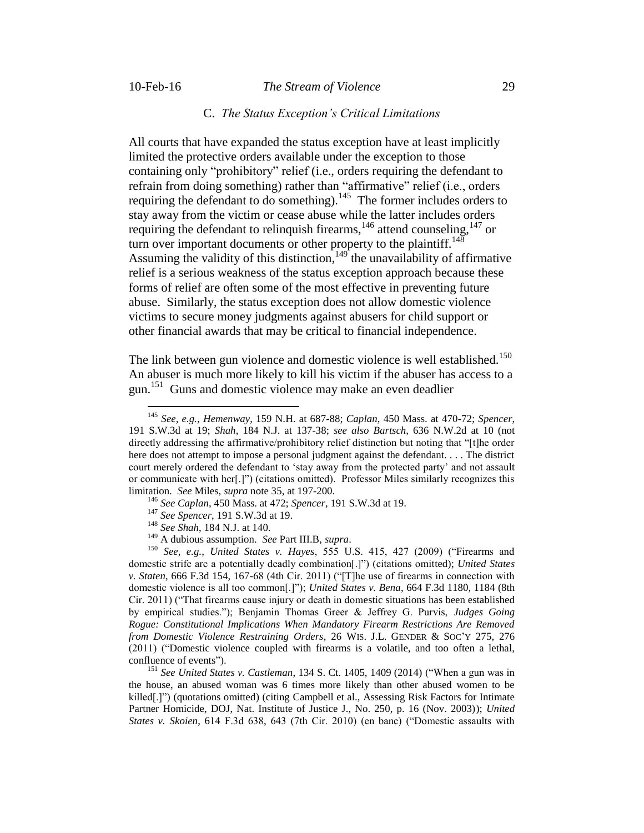$\overline{a}$ 

#### 10-Feb-16 *The Stream of Violence* 29

#### C. *The Status Exception's Critical Limitations*

All courts that have expanded the status exception have at least implicitly limited the protective orders available under the exception to those containing only "prohibitory" relief (i.e., orders requiring the defendant to refrain from doing something) rather than "affirmative" relief (i.e., orders requiring the defendant to do something).<sup>145</sup> The former includes orders to stay away from the victim or cease abuse while the latter includes orders requiring the defendant to relinquish firearms, $146$  attend counseling,  $147$  or turn over important documents or other property to the plaintiff.<sup>148</sup> Assuming the validity of this distinction,  $149$  the unavailability of affirmative relief is a serious weakness of the status exception approach because these forms of relief are often some of the most effective in preventing future abuse. Similarly, the status exception does not allow domestic violence victims to secure money judgments against abusers for child support or other financial awards that may be critical to financial independence.

The link between gun violence and domestic violence is well established.<sup>150</sup> An abuser is much more likely to kill his victim if the abuser has access to a gun.<sup>151</sup> Guns and domestic violence may make an even deadlier

<sup>145</sup> *See, e.g.*, *Hemenway*, 159 N.H. at 687-88; *Caplan*, 450 Mass. at 470-72; *Spencer*, 191 S.W.3d at 19; *Shah*, 184 N.J. at 137-38; *see also Bartsch*, 636 N.W.2d at 10 (not directly addressing the affirmative/prohibitory relief distinction but noting that "[t]he order here does not attempt to impose a personal judgment against the defendant. . . . The district court merely ordered the defendant to 'stay away from the protected party' and not assault or communicate with her[.]") (citations omitted). Professor Miles similarly recognizes this limitation. *See* Miles, *supra* note 35, at 197-200.

<sup>146</sup> *See Caplan*, 450 Mass. at 472; *Spencer*, 191 S.W.3d at 19.

<sup>147</sup> *See Spencer*, 191 S.W.3d at 19.

<sup>148</sup> *See Shah*, 184 N.J. at 140.

<sup>149</sup> A dubious assumption. *See* Part III.B, *supra*.

<sup>150</sup> *See, e.g.*, *United States v. Hayes*, 555 U.S. 415, 427 (2009) ("Firearms and domestic strife are a potentially deadly combination[.]") (citations omitted); *United States v. Staten*, 666 F.3d 154, 167-68 (4th Cir. 2011) ("[T]he use of firearms in connection with domestic violence is all too common[.]"); *United States v. Bena*, 664 F.3d 1180, 1184 (8th Cir. 2011) ("That firearms cause injury or death in domestic situations has been established by empirical studies."); Benjamin Thomas Greer & Jeffrey G. Purvis, *Judges Going Rogue: Constitutional Implications When Mandatory Firearm Restrictions Are Removed from Domestic Violence Restraining Orders*, 26 WIS. J.L. GENDER & SOC'Y 275, 276 (2011) ("Domestic violence coupled with firearms is a volatile, and too often a lethal, confluence of events").

<sup>151</sup> *See United States v. Castleman*, 134 S. Ct. 1405, 1409 (2014) ("When a gun was in the house, an abused woman was 6 times more likely than other abused women to be killed[.]") (quotations omitted) (citing Campbell et al., Assessing Risk Factors for Intimate Partner Homicide, DOJ, Nat. Institute of Justice J., No. 250, p. 16 (Nov. 2003)); *United States v. Skoien*, 614 F.3d 638, 643 (7th Cir. 2010) (en banc) ("Domestic assaults with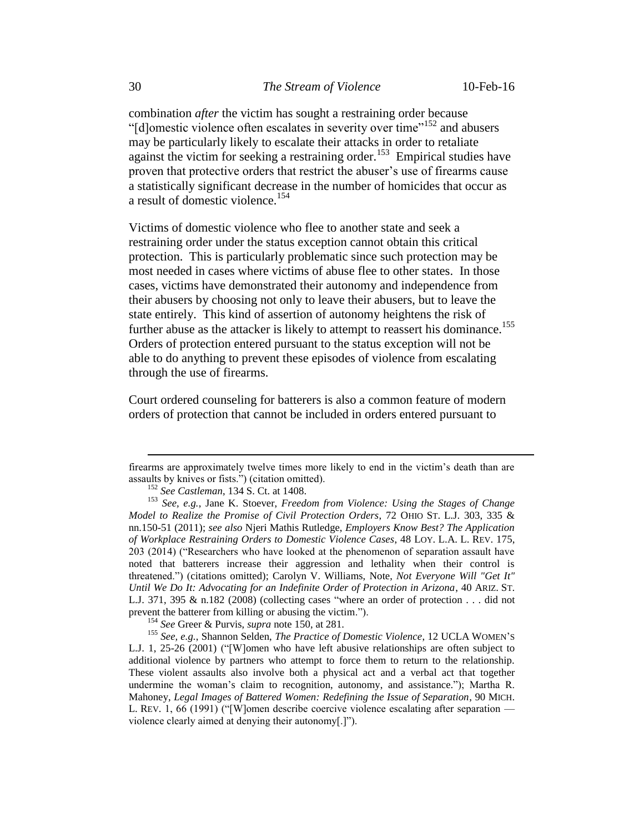combination *after* the victim has sought a restraining order because "[d]omestic violence often escalates in severity over time"<sup>152</sup> and abusers may be particularly likely to escalate their attacks in order to retaliate against the victim for seeking a restraining order.<sup>153</sup> Empirical studies have proven that protective orders that restrict the abuser's use of firearms cause a statistically significant decrease in the number of homicides that occur as a result of domestic violence.<sup>154</sup>

Victims of domestic violence who flee to another state and seek a restraining order under the status exception cannot obtain this critical protection. This is particularly problematic since such protection may be most needed in cases where victims of abuse flee to other states. In those cases, victims have demonstrated their autonomy and independence from their abusers by choosing not only to leave their abusers, but to leave the state entirely. This kind of assertion of autonomy heightens the risk of further abuse as the attacker is likely to attempt to reassert his dominance.<sup>155</sup> Orders of protection entered pursuant to the status exception will not be able to do anything to prevent these episodes of violence from escalating through the use of firearms.

Court ordered counseling for batterers is also a common feature of modern orders of protection that cannot be included in orders entered pursuant to

firearms are approximately twelve times more likely to end in the victim's death than are assaults by knives or fists.") (citation omitted).

<sup>152</sup> *See Castleman*, 134 S. Ct. at 1408.

<sup>153</sup> *See, e.g.*, Jane K. Stoever, *Freedom from Violence: Using the Stages of Change Model to Realize the Promise of Civil Protection Orders*, 72 OHIO ST. L.J. 303, 335 & nn.150-51 (2011); *see also* Njeri Mathis Rutledge, *Employers Know Best? The Application of Workplace Restraining Orders to Domestic Violence Cases*, 48 LOY. L.A. L. REV. 175, 203 (2014) ("Researchers who have looked at the phenomenon of separation assault have noted that batterers increase their aggression and lethality when their control is threatened.") (citations omitted); Carolyn V. Williams, Note, *Not Everyone Will "Get It" Until We Do It: Advocating for an Indefinite Order of Protection in Arizona*, 40 ARIZ. ST. L.J. 371, 395 & n.182 (2008) (collecting cases "where an order of protection . . . did not prevent the batterer from killing or abusing the victim.").

<sup>154</sup> *See* Greer & Purvis, *supra* note 150, at 281.

<sup>155</sup> *See, e.g.*, Shannon Selden, *The Practice of Domestic Violence*, 12 UCLA WOMEN'<sup>S</sup> L.J. 1, 25-26 (2001) ("[W]omen who have left abusive relationships are often subject to additional violence by partners who attempt to force them to return to the relationship. These violent assaults also involve both a physical act and a verbal act that together undermine the woman's claim to recognition, autonomy, and assistance."); Martha R. Mahoney, *Legal Images of Battered Women: Redefining the Issue of Separation*, 90 MICH. L. REV. 1, 66 (1991) ("[W]omen describe coercive violence escalating after separation violence clearly aimed at denying their autonomy[.]").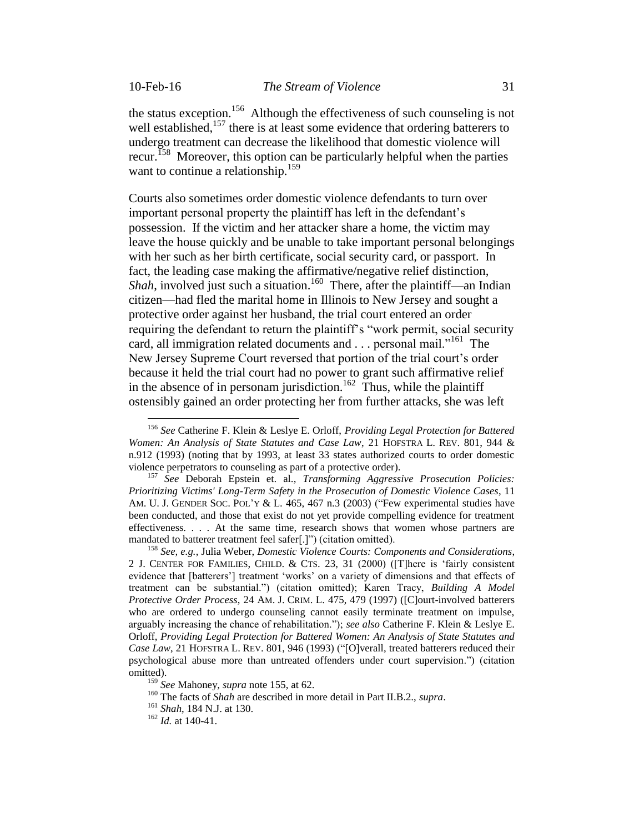$\overline{a}$ 

the status exception.<sup>156</sup> Although the effectiveness of such counseling is not well established,<sup>157</sup> there is at least some evidence that ordering batterers to undergo treatment can decrease the likelihood that domestic violence will recur.<sup>158</sup> Moreover, this option can be particularly helpful when the parties want to continue a relationship.<sup>159</sup>

Courts also sometimes order domestic violence defendants to turn over important personal property the plaintiff has left in the defendant's possession. If the victim and her attacker share a home, the victim may leave the house quickly and be unable to take important personal belongings with her such as her birth certificate, social security card, or passport. In fact, the leading case making the affirmative/negative relief distinction, Shah, involved just such a situation.<sup>160</sup> There, after the plaintiff—an Indian citizen—had fled the marital home in Illinois to New Jersey and sought a protective order against her husband, the trial court entered an order requiring the defendant to return the plaintiff's "work permit, social security card, all immigration related documents and . . . personal mail."<sup>161</sup> The New Jersey Supreme Court reversed that portion of the trial court's order because it held the trial court had no power to grant such affirmative relief in the absence of in personam jurisdiction.<sup>162</sup> Thus, while the plaintiff ostensibly gained an order protecting her from further attacks, she was left

<sup>156</sup> *See* Catherine F. Klein & Leslye E. Orloff, *Providing Legal Protection for Battered Women: An Analysis of State Statutes and Case Law*, 21 HOFSTRA L. REV. 801, 944 & n.912 (1993) (noting that by 1993, at least 33 states authorized courts to order domestic violence perpetrators to counseling as part of a protective order).

<sup>157</sup> *See* Deborah Epstein et. al.*, Transforming Aggressive Prosecution Policies: Prioritizing Victims' Long-Term Safety in the Prosecution of Domestic Violence Cases*, 11 AM. U. J. GENDER SOC. POL'Y & L. 465, 467 n.3 (2003) ("Few experimental studies have been conducted, and those that exist do not yet provide compelling evidence for treatment effectiveness. . . . At the same time, research shows that women whose partners are mandated to batterer treatment feel safer[.]") (citation omitted).

<sup>158</sup> *See, e.g.*, Julia Weber, *Domestic Violence Courts: Components and Considerations*, 2 J. CENTER FOR FAMILIES, CHILD. & CTS. 23, 31 (2000) ([T]here is 'fairly consistent evidence that [batterers'] treatment 'works' on a variety of dimensions and that effects of treatment can be substantial.") (citation omitted); Karen Tracy, *Building A Model Protective Order Process*, 24 AM. J. CRIM. L. 475, 479 (1997) ([C]ourt-involved batterers who are ordered to undergo counseling cannot easily terminate treatment on impulse, arguably increasing the chance of rehabilitation."); *see also* Catherine F. Klein & Leslye E. Orloff, *Providing Legal Protection for Battered Women: An Analysis of State Statutes and Case Law*, 21 HOFSTRA L. REV. 801, 946 (1993) ("[O]verall, treated batterers reduced their psychological abuse more than untreated offenders under court supervision.") (citation omitted).

<sup>159</sup> *See* Mahoney, *supra* note 155, at 62.

<sup>160</sup> The facts of *Shah* are described in more detail in Part II.B.2., *supra*.

<sup>161</sup> *Shah*, 184 N.J. at 130.

<sup>162</sup> *Id.* at 140-41.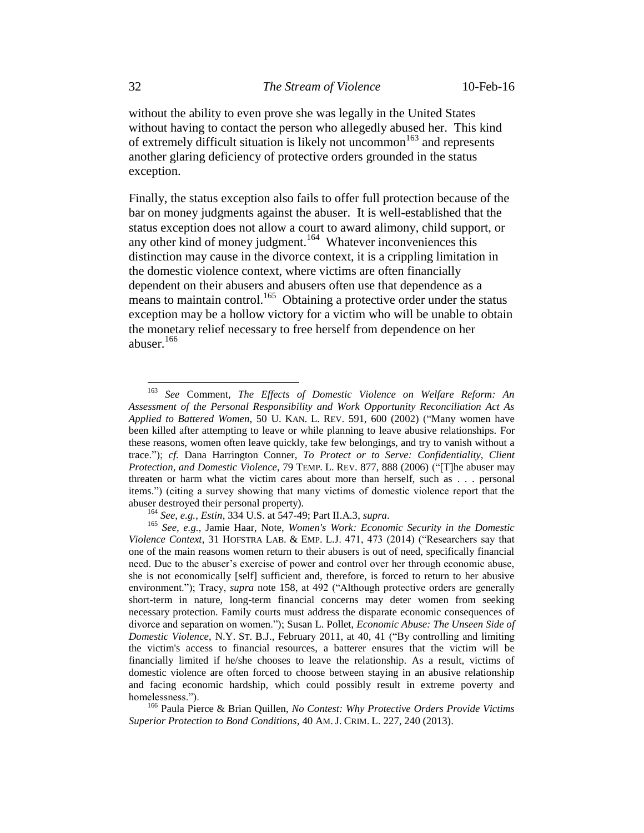without the ability to even prove she was legally in the United States without having to contact the person who allegedly abused her. This kind of extremely difficult situation is likely not uncommon<sup>163</sup> and represents another glaring deficiency of protective orders grounded in the status exception.

Finally, the status exception also fails to offer full protection because of the bar on money judgments against the abuser. It is well-established that the status exception does not allow a court to award alimony, child support, or any other kind of money judgment.<sup>164</sup> Whatever inconveniences this distinction may cause in the divorce context, it is a crippling limitation in the domestic violence context, where victims are often financially dependent on their abusers and abusers often use that dependence as a means to maintain control.<sup>165</sup> Obtaining a protective order under the status exception may be a hollow victory for a victim who will be unable to obtain the monetary relief necessary to free herself from dependence on her abuser.<sup>166</sup>

<sup>166</sup> Paula Pierce & Brian Quillen, *No Contest: Why Protective Orders Provide Victims Superior Protection to Bond Conditions*, 40 AM. J. CRIM. L. 227, 240 (2013).

<sup>163</sup> *See* Comment, *The Effects of Domestic Violence on Welfare Reform: An Assessment of the Personal Responsibility and Work Opportunity Reconciliation Act As Applied to Battered Women,* 50 U. KAN. L. REV. 591, 600 (2002) ("Many women have been killed after attempting to leave or while planning to leave abusive relationships. For these reasons, women often leave quickly, take few belongings, and try to vanish without a trace."); *cf.* Dana Harrington Conner, *To Protect or to Serve: Confidentiality, Client Protection, and Domestic Violence*, 79 TEMP. L. REV. 877, 888 (2006) ("[T]he abuser may threaten or harm what the victim cares about more than herself, such as . . . personal items.") (citing a survey showing that many victims of domestic violence report that the abuser destroyed their personal property).

<sup>164</sup> *See, e.g.*, *Estin*, 334 U.S. at 547-49; Part II.A.3, *supra*.

<sup>165</sup> *See, e.g.*, Jamie Haar, Note, *Women's Work: Economic Security in the Domestic Violence Context*, 31 HOFSTRA LAB. & EMP. L.J. 471, 473 (2014) ("Researchers say that one of the main reasons women return to their abusers is out of need, specifically financial need. Due to the abuser's exercise of power and control over her through economic abuse, she is not economically [self] sufficient and, therefore, is forced to return to her abusive environment."); Tracy, *supra* note 158, at 492 ("Although protective orders are generally short-term in nature, long-term financial concerns may deter women from seeking necessary protection. Family courts must address the disparate economic consequences of divorce and separation on women."); Susan L. Pollet, *Economic Abuse: The Unseen Side of Domestic Violence*, N.Y. ST. B.J., February 2011, at 40, 41 ("By controlling and limiting the victim's access to financial resources, a batterer ensures that the victim will be financially limited if he/she chooses to leave the relationship. As a result, victims of domestic violence are often forced to choose between staying in an abusive relationship and facing economic hardship, which could possibly result in extreme poverty and homelessness.").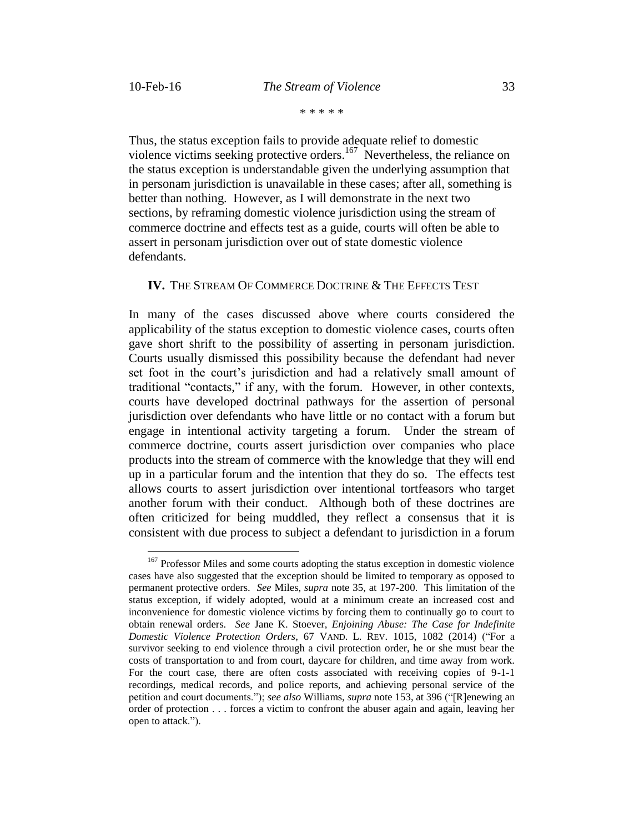$\overline{a}$ 

Thus, the status exception fails to provide adequate relief to domestic violence victims seeking protective orders.<sup>167</sup> Nevertheless, the reliance on the status exception is understandable given the underlying assumption that in personam jurisdiction is unavailable in these cases; after all, something is better than nothing. However, as I will demonstrate in the next two sections, by reframing domestic violence jurisdiction using the stream of commerce doctrine and effects test as a guide, courts will often be able to assert in personam jurisdiction over out of state domestic violence defendants.

### **IV.** THE STREAM OF COMMERCE DOCTRINE & THE EFFECTS TEST

In many of the cases discussed above where courts considered the applicability of the status exception to domestic violence cases, courts often gave short shrift to the possibility of asserting in personam jurisdiction. Courts usually dismissed this possibility because the defendant had never set foot in the court's jurisdiction and had a relatively small amount of traditional "contacts," if any, with the forum. However, in other contexts, courts have developed doctrinal pathways for the assertion of personal jurisdiction over defendants who have little or no contact with a forum but engage in intentional activity targeting a forum. Under the stream of commerce doctrine, courts assert jurisdiction over companies who place products into the stream of commerce with the knowledge that they will end up in a particular forum and the intention that they do so. The effects test allows courts to assert jurisdiction over intentional tortfeasors who target another forum with their conduct. Although both of these doctrines are often criticized for being muddled, they reflect a consensus that it is consistent with due process to subject a defendant to jurisdiction in a forum

<sup>&</sup>lt;sup>167</sup> Professor Miles and some courts adopting the status exception in domestic violence cases have also suggested that the exception should be limited to temporary as opposed to permanent protective orders. *See* Miles, *supra* note 35, at 197-200. This limitation of the status exception, if widely adopted, would at a minimum create an increased cost and inconvenience for domestic violence victims by forcing them to continually go to court to obtain renewal orders. *See* Jane K. Stoever, *Enjoining Abuse: The Case for Indefinite Domestic Violence Protection Orders*, 67 VAND. L. REV. 1015, 1082 (2014) ("For a survivor seeking to end violence through a civil protection order, he or she must bear the costs of transportation to and from court, daycare for children, and time away from work. For the court case, there are often costs associated with receiving copies of 9-1-1 recordings, medical records, and police reports, and achieving personal service of the petition and court documents."); *see also* Williams, *supra* note 153, at 396 ("[R]enewing an order of protection . . . forces a victim to confront the abuser again and again, leaving her open to attack.").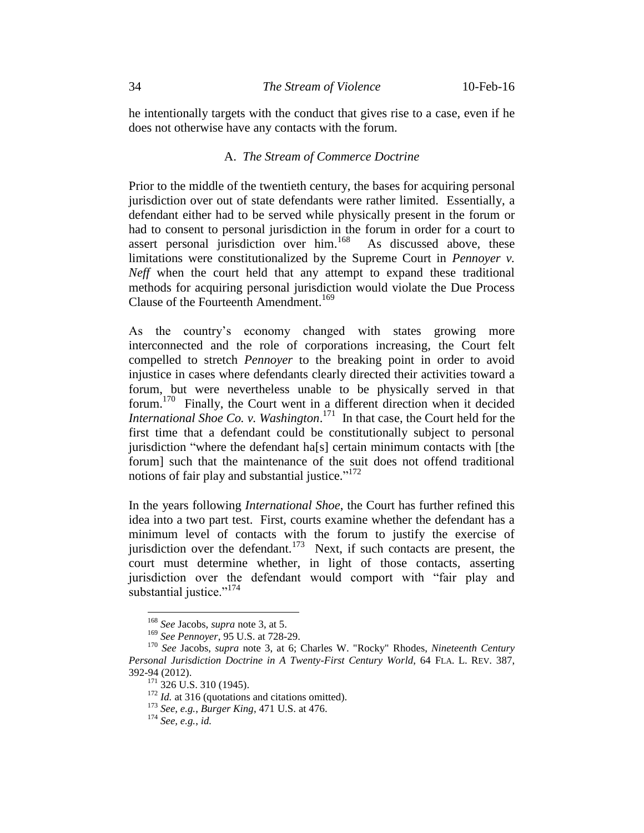he intentionally targets with the conduct that gives rise to a case, even if he does not otherwise have any contacts with the forum.

# A. *The Stream of Commerce Doctrine*

Prior to the middle of the twentieth century, the bases for acquiring personal jurisdiction over out of state defendants were rather limited. Essentially, a defendant either had to be served while physically present in the forum or had to consent to personal jurisdiction in the forum in order for a court to assert personal jurisdiction over him. 168 As discussed above, these limitations were constitutionalized by the Supreme Court in *Pennoyer v. Neff* when the court held that any attempt to expand these traditional methods for acquiring personal jurisdiction would violate the Due Process Clause of the Fourteenth Amendment.<sup>169</sup>

As the country's economy changed with states growing more interconnected and the role of corporations increasing, the Court felt compelled to stretch *Pennoyer* to the breaking point in order to avoid injustice in cases where defendants clearly directed their activities toward a forum, but were nevertheless unable to be physically served in that forum.<sup>170</sup> Finally, the Court went in a different direction when it decided *International Shoe Co. v. Washington*. 171 In that case, the Court held for the first time that a defendant could be constitutionally subject to personal jurisdiction "where the defendant ha[s] certain minimum contacts with [the forum] such that the maintenance of the suit does not offend traditional notions of fair play and substantial justice."<sup>172</sup>

In the years following *International Shoe*, the Court has further refined this idea into a two part test. First, courts examine whether the defendant has a minimum level of contacts with the forum to justify the exercise of jurisdiction over the defendant.<sup>173</sup> Next, if such contacts are present, the court must determine whether, in light of those contacts, asserting jurisdiction over the defendant would comport with "fair play and substantial justice."<sup>174</sup>

<sup>168</sup> *See* Jacobs, *supra* note 3, at 5.

<sup>169</sup> *See Pennoyer*, 95 U.S. at 728-29.

<sup>170</sup> *See* Jacobs, *supra* note 3, at 6; Charles W. "Rocky" Rhodes, *Nineteenth Century Personal Jurisdiction Doctrine in A Twenty-First Century World*, 64 FLA. L. REV. 387, 392-94 (2012).

 $^{171}$  326 U.S. 310 (1945).

<sup>&</sup>lt;sup>172</sup> *Id.* at 316 (quotations and citations omitted).

<sup>173</sup> *See, e.g.*, *Burger King*, 471 U.S. at 476.

<sup>174</sup> *See, e.g.*, *id.*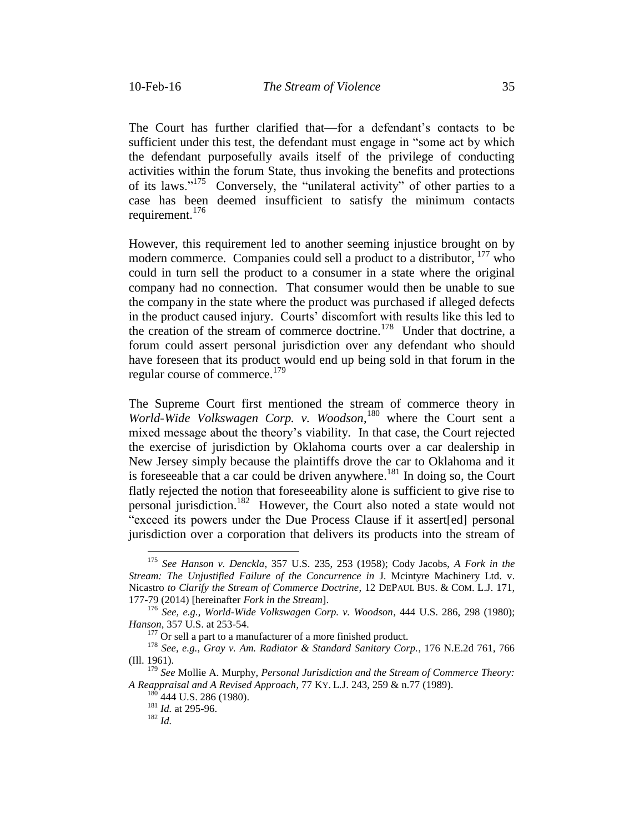The Court has further clarified that—for a defendant's contacts to be sufficient under this test, the defendant must engage in "some act by which the defendant purposefully avails itself of the privilege of conducting activities within the forum State, thus invoking the benefits and protections of its laws."<sup>175</sup> Conversely, the "unilateral activity" of other parties to a case has been deemed insufficient to satisfy the minimum contacts requirement.<sup>176</sup>

However, this requirement led to another seeming injustice brought on by modern commerce. Companies could sell a product to a distributor, <sup>177</sup> who could in turn sell the product to a consumer in a state where the original company had no connection. That consumer would then be unable to sue the company in the state where the product was purchased if alleged defects in the product caused injury. Courts' discomfort with results like this led to the creation of the stream of commerce doctrine.<sup>178</sup> Under that doctrine, a forum could assert personal jurisdiction over any defendant who should have foreseen that its product would end up being sold in that forum in the regular course of commerce.<sup>179</sup>

The Supreme Court first mentioned the stream of commerce theory in *World-Wide Volkswagen Corp. v. Woodson*, <sup>180</sup> where the Court sent a mixed message about the theory's viability. In that case, the Court rejected the exercise of jurisdiction by Oklahoma courts over a car dealership in New Jersey simply because the plaintiffs drove the car to Oklahoma and it is foreseeable that a car could be driven anywhere. <sup>181</sup> In doing so, the Court flatly rejected the notion that foreseeability alone is sufficient to give rise to personal jurisdiction. 182 However, the Court also noted a state would not "exceed its powers under the Due Process Clause if it assert[ed] personal jurisdiction over a corporation that delivers its products into the stream of

<sup>175</sup> *See Hanson v. Denckla*, 357 U.S. 235, 253 (1958); Cody Jacobs, *A Fork in the Stream: The Unjustified Failure of the Concurrence in* J. Mcintyre Machinery Ltd. v. Nicastro *to Clarify the Stream of Commerce Doctrine*, 12 DEPAUL BUS. & COM. L.J. 171, 177-79 (2014) [hereinafter *Fork in the Stream*].

<sup>176</sup> *See, e.g.*, *World-Wide Volkswagen Corp. v. Woodson*, 444 U.S. 286, 298 (1980); *Hanson*, 357 U.S. at 253-54.

 $177$  Or sell a part to a manufacturer of a more finished product.

<sup>178</sup> *See, e.g.*, *Gray v. Am. Radiator & Standard Sanitary Corp.*, 176 N.E.2d 761, 766 (Ill. 1961).

<sup>179</sup> *See* Mollie A. Murphy, *Personal Jurisdiction and the Stream of Commerce Theory: A Reappraisal and A Revised Approach*, 77 KY. L.J. 243, 259 & n.77 (1989).

 $180$  444 U.S. 286 (1980).

<sup>181</sup> *Id.* at 295-96.

<sup>182</sup> *Id.*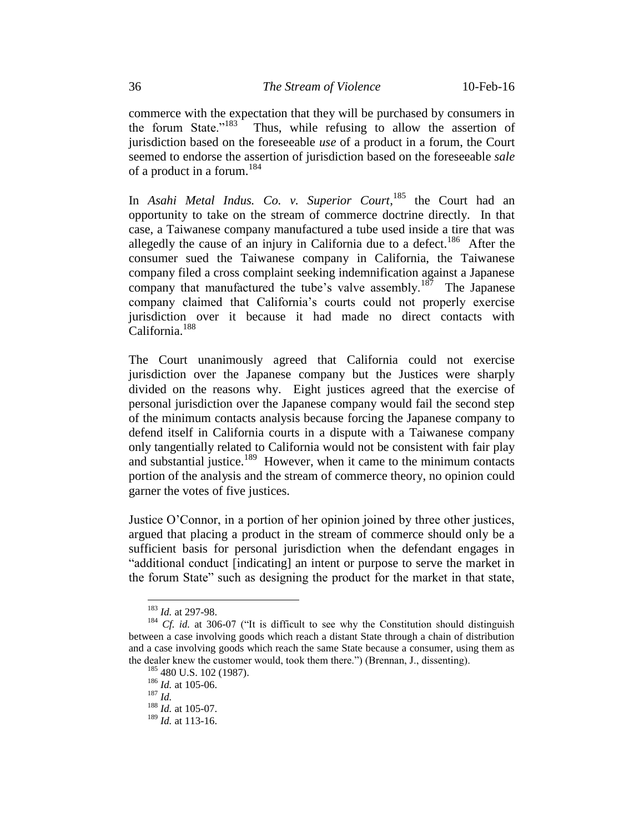commerce with the expectation that they will be purchased by consumers in the forum State."<sup>183</sup> Thus, while refusing to allow the assertion of jurisdiction based on the foreseeable *use* of a product in a forum, the Court seemed to endorse the assertion of jurisdiction based on the foreseeable *sale*  of a product in a forum.<sup>184</sup>

In *Asahi Metal Indus. Co. v. Superior Court*, <sup>185</sup> the Court had an opportunity to take on the stream of commerce doctrine directly. In that case, a Taiwanese company manufactured a tube used inside a tire that was allegedly the cause of an injury in California due to a defect.<sup>186</sup> After the consumer sued the Taiwanese company in California, the Taiwanese company filed a cross complaint seeking indemnification against a Japanese company that manufactured the tube's valve assembly.<sup>187</sup> The Japanese company claimed that California's courts could not properly exercise jurisdiction over it because it had made no direct contacts with California.<sup>188</sup>

The Court unanimously agreed that California could not exercise jurisdiction over the Japanese company but the Justices were sharply divided on the reasons why. Eight justices agreed that the exercise of personal jurisdiction over the Japanese company would fail the second step of the minimum contacts analysis because forcing the Japanese company to defend itself in California courts in a dispute with a Taiwanese company only tangentially related to California would not be consistent with fair play and substantial justice.<sup>189</sup> However, when it came to the minimum contacts portion of the analysis and the stream of commerce theory, no opinion could garner the votes of five justices.

Justice O'Connor, in a portion of her opinion joined by three other justices, argued that placing a product in the stream of commerce should only be a sufficient basis for personal jurisdiction when the defendant engages in "additional conduct [indicating] an intent or purpose to serve the market in the forum State" such as designing the product for the market in that state,

<sup>183</sup> *Id.* at 297-98.

<sup>&</sup>lt;sup>184</sup> *Cf. id.* at 306-07 ("It is difficult to see why the Constitution should distinguish between a case involving goods which reach a distant State through a chain of distribution and a case involving goods which reach the same State because a consumer, using them as the dealer knew the customer would, took them there.") (Brennan, J., dissenting).

<sup>&</sup>lt;sup>185</sup> 480 U.S. 102 (1987).

<sup>186</sup> *Id.* at 105-06.

<sup>187</sup> *Id.*

<sup>188</sup> *Id.* at 105-07.

<sup>189</sup> *Id.* at 113-16.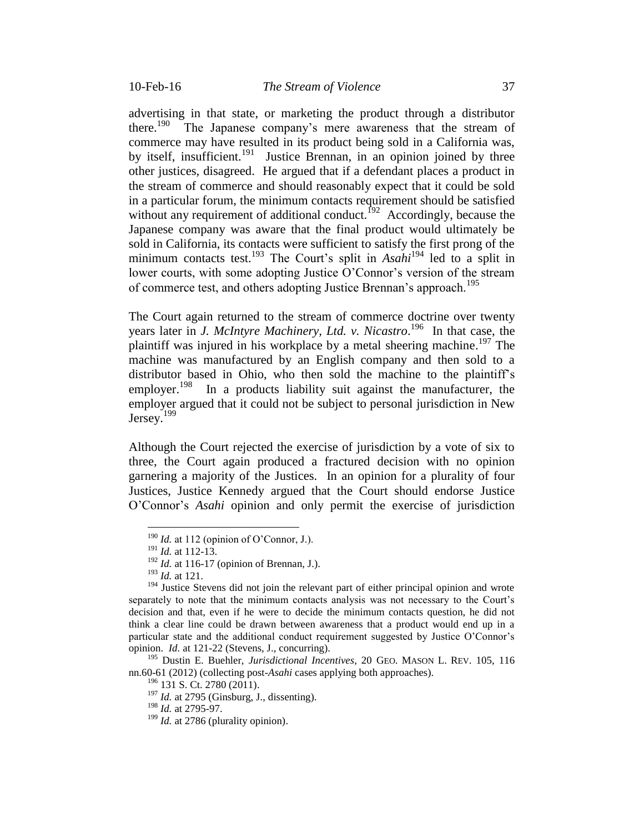advertising in that state, or marketing the product through a distributor there.<sup>190</sup> The Japanese company's mere awareness that the stream of commerce may have resulted in its product being sold in a California was, by itself, insufficient.<sup>191</sup> Justice Brennan, in an opinion joined by three other justices, disagreed. He argued that if a defendant places a product in the stream of commerce and should reasonably expect that it could be sold in a particular forum, the minimum contacts requirement should be satisfied without any requirement of additional conduct.<sup>192</sup> Accordingly, because the Japanese company was aware that the final product would ultimately be sold in California, its contacts were sufficient to satisfy the first prong of the minimum contacts test.<sup>193</sup> The Court's split in *Asahi*<sup>194</sup> led to a split in lower courts, with some adopting Justice O'Connor's version of the stream of commerce test, and others adopting Justice Brennan's approach.<sup>195</sup>

The Court again returned to the stream of commerce doctrine over twenty years later in *J. McIntyre Machinery, Ltd. v. Nicastro*. 196 In that case, the plaintiff was injured in his workplace by a metal sheering machine.<sup>197</sup> The machine was manufactured by an English company and then sold to a distributor based in Ohio, who then sold the machine to the plaintiff's employer.<sup>198</sup> In a products liability suit against the manufacturer, the employer argued that it could not be subject to personal jurisdiction in New Jersey. $199$ 

Although the Court rejected the exercise of jurisdiction by a vote of six to three, the Court again produced a fractured decision with no opinion garnering a majority of the Justices. In an opinion for a plurality of four Justices, Justice Kennedy argued that the Court should endorse Justice O'Connor's *Asahi* opinion and only permit the exercise of jurisdiction

 $\overline{a}$ 

<sup>195</sup> Dustin E. Buehler, *Jurisdictional Incentives*, 20 GEO. MASON L. REV. 105, 116 nn.60-61 (2012) (collecting post-*Asahi* cases applying both approaches).

 $190$  *Id.* at 112 (opinion of O'Connor, J.).

<sup>191</sup> *Id.* at 112-13.

<sup>192</sup> *Id.* at 116-17 (opinion of Brennan, J.).

<sup>193</sup> *Id.* at 121.

<sup>&</sup>lt;sup>194</sup> Justice Stevens did not join the relevant part of either principal opinion and wrote separately to note that the minimum contacts analysis was not necessary to the Court's decision and that, even if he were to decide the minimum contacts question, he did not think a clear line could be drawn between awareness that a product would end up in a particular state and the additional conduct requirement suggested by Justice O'Connor's opinion. *Id.* at 121-22 (Stevens, J., concurring).

<sup>&</sup>lt;sup>196</sup> 131 S. Ct. 2780 (2011).

 $197$  *Id.* at 2795 (Ginsburg, J., dissenting).

<sup>198</sup> *Id.* at 2795-97.

<sup>&</sup>lt;sup>199</sup> *Id.* at 2786 (plurality opinion).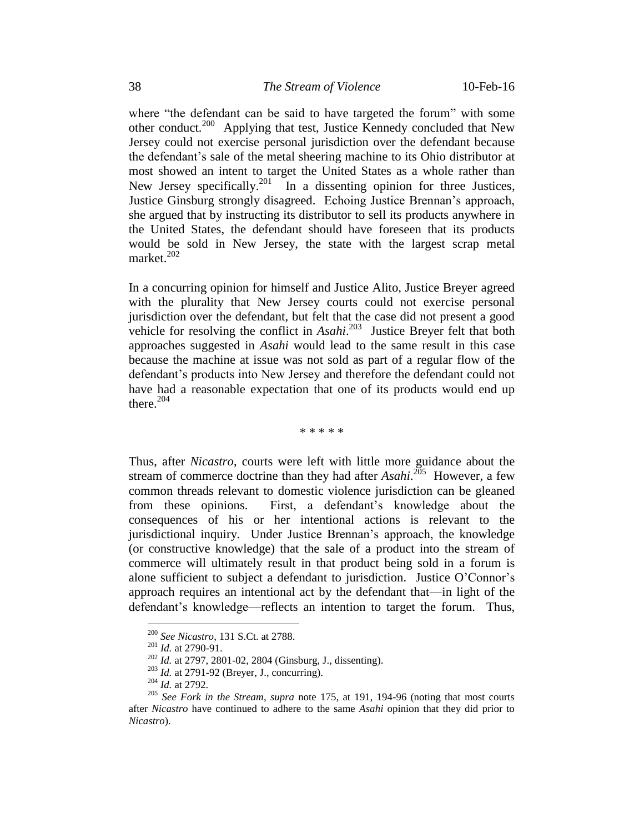where "the defendant can be said to have targeted the forum" with some other conduct.<sup>200</sup> Applying that test, Justice Kennedy concluded that New Jersey could not exercise personal jurisdiction over the defendant because the defendant's sale of the metal sheering machine to its Ohio distributor at most showed an intent to target the United States as a whole rather than New Jersey specifically.<sup>201</sup> In a dissenting opinion for three Justices, Justice Ginsburg strongly disagreed. Echoing Justice Brennan's approach, she argued that by instructing its distributor to sell its products anywhere in the United States, the defendant should have foreseen that its products would be sold in New Jersey, the state with the largest scrap metal market.<sup>202</sup>

In a concurring opinion for himself and Justice Alito, Justice Breyer agreed with the plurality that New Jersey courts could not exercise personal jurisdiction over the defendant, but felt that the case did not present a good vehicle for resolving the conflict in *Asahi*. 203 Justice Breyer felt that both approaches suggested in *Asahi* would lead to the same result in this case because the machine at issue was not sold as part of a regular flow of the defendant's products into New Jersey and therefore the defendant could not have had a reasonable expectation that one of its products would end up there. 204

\* \* \* \* \*

Thus, after *Nicastro*, courts were left with little more guidance about the stream of commerce doctrine than they had after *Asahi*. 205 However, a few common threads relevant to domestic violence jurisdiction can be gleaned from these opinions. First, a defendant's knowledge about the consequences of his or her intentional actions is relevant to the jurisdictional inquiry. Under Justice Brennan's approach, the knowledge (or constructive knowledge) that the sale of a product into the stream of commerce will ultimately result in that product being sold in a forum is alone sufficient to subject a defendant to jurisdiction. Justice O'Connor's approach requires an intentional act by the defendant that—in light of the defendant's knowledge—reflects an intention to target the forum. Thus,

<sup>200</sup> *See Nicastro*, 131 S.Ct. at 2788.

<sup>201</sup> *Id.* at 2790-91.

<sup>202</sup> *Id.* at 2797, 2801-02, 2804 (Ginsburg, J., dissenting).

<sup>203</sup> *Id.* at 2791-92 (Breyer, J., concurring).

<sup>204</sup> *Id.* at 2792.

<sup>205</sup> *See Fork in the Stream*, *supra* note 175, at 191, 194-96 (noting that most courts after *Nicastro* have continued to adhere to the same *Asahi* opinion that they did prior to *Nicastro*).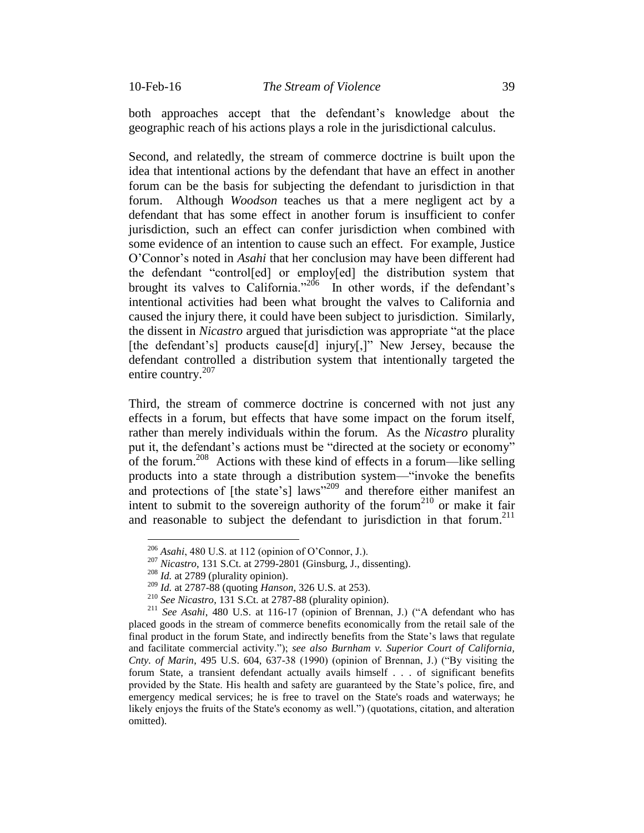both approaches accept that the defendant's knowledge about the geographic reach of his actions plays a role in the jurisdictional calculus.

Second, and relatedly, the stream of commerce doctrine is built upon the idea that intentional actions by the defendant that have an effect in another forum can be the basis for subjecting the defendant to jurisdiction in that forum. Although *Woodson* teaches us that a mere negligent act by a defendant that has some effect in another forum is insufficient to confer jurisdiction, such an effect can confer jurisdiction when combined with some evidence of an intention to cause such an effect. For example, Justice O'Connor's noted in *Asahi* that her conclusion may have been different had the defendant "control[ed] or employ[ed] the distribution system that brought its valves to California."<sup>206</sup> In other words, if the defendant's intentional activities had been what brought the valves to California and caused the injury there, it could have been subject to jurisdiction. Similarly, the dissent in *Nicastro* argued that jurisdiction was appropriate "at the place [the defendant's] products cause[d] injury[,]" New Jersey, because the defendant controlled a distribution system that intentionally targeted the entire country.<sup>207</sup>

Third, the stream of commerce doctrine is concerned with not just any effects in a forum, but effects that have some impact on the forum itself, rather than merely individuals within the forum. As the *Nicastro* plurality put it, the defendant's actions must be "directed at the society or economy" of the forum.<sup>208</sup> Actions with these kind of effects in a forum—like selling products into a state through a distribution system—"invoke the benefits and protections of [the state's] laws"<sup>209</sup> and therefore either manifest an intent to submit to the sovereign authority of the forum<sup>210</sup> or make it fair and reasonable to subject the defendant to jurisdiction in that forum.<sup>211</sup>

<sup>206</sup> *Asahi*, 480 U.S. at 112 (opinion of O'Connor, J.).

<sup>207</sup> *Nicastro*, 131 S.Ct. at 2799-2801 (Ginsburg, J., dissenting).

<sup>208</sup> *Id.* at 2789 (plurality opinion).

<sup>209</sup> *Id.* at 2787-88 (quoting *Hanson*, 326 U.S. at 253).

<sup>210</sup> *See Nicastro*, 131 S.Ct. at 2787-88 (plurality opinion).

<sup>211</sup> *See Asahi*, 480 U.S. at 116-17 (opinion of Brennan, J.) ("A defendant who has placed goods in the stream of commerce benefits economically from the retail sale of the final product in the forum State, and indirectly benefits from the State's laws that regulate and facilitate commercial activity."); *see also Burnham v. Superior Court of California, Cnty. of Marin*, 495 U.S. 604, 637-38 (1990) (opinion of Brennan, J.) ("By visiting the forum State, a transient defendant actually avails himself . . . of significant benefits provided by the State. His health and safety are guaranteed by the State's police, fire, and emergency medical services; he is free to travel on the State's roads and waterways; he likely enjoys the fruits of the State's economy as well.") (quotations, citation, and alteration omitted).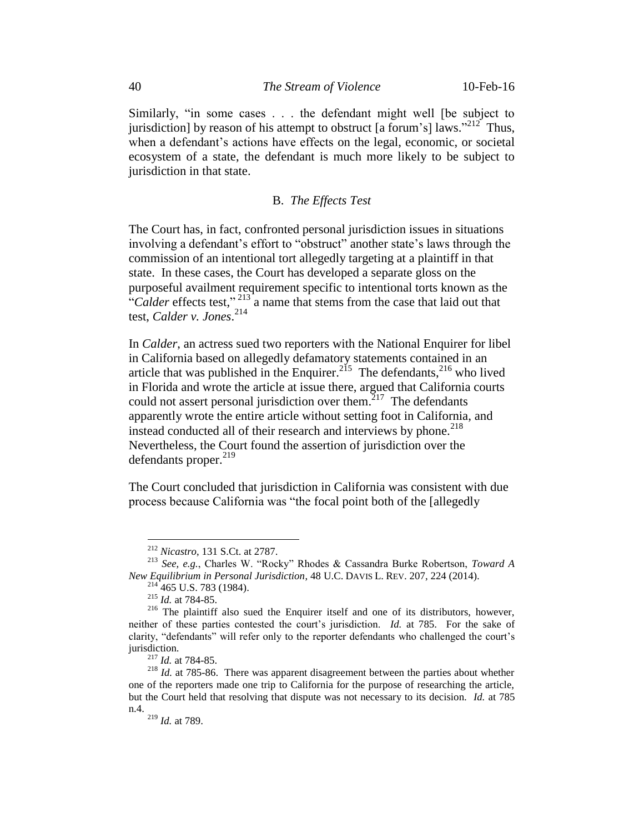Similarly, "in some cases . . . the defendant might well [be subject to jurisdiction] by reason of his attempt to obstruct [a forum's]  $\frac{1}{2}$  aws."<sup>212</sup> Thus, when a defendant's actions have effects on the legal, economic, or societal ecosystem of a state, the defendant is much more likely to be subject to jurisdiction in that state.

## B. *The Effects Test*

The Court has, in fact, confronted personal jurisdiction issues in situations involving a defendant's effort to "obstruct" another state's laws through the commission of an intentional tort allegedly targeting at a plaintiff in that state. In these cases, the Court has developed a separate gloss on the purposeful availment requirement specific to intentional torts known as the "Calder effects test,"<sup>213</sup> a name that stems from the case that laid out that test, *Calder v. Jones*. 214

In *Calder*, an actress sued two reporters with the National Enquirer for libel in California based on allegedly defamatory statements contained in an article that was published in the Enquirer.<sup>215</sup> The defendants,<sup>216</sup> who lived in Florida and wrote the article at issue there, argued that California courts could not assert personal jurisdiction over them.<sup>217</sup> The defendants apparently wrote the entire article without setting foot in California, and instead conducted all of their research and interviews by phone.<sup>218</sup> Nevertheless, the Court found the assertion of jurisdiction over the defendants proper.<sup>219</sup>

The Court concluded that jurisdiction in California was consistent with due process because California was "the focal point both of the [allegedly

<sup>212</sup> *Nicastro*, 131 S.Ct. at 2787.

<sup>213</sup> *See, e.g.*, Charles W. "Rocky" Rhodes & Cassandra Burke Robertson, *Toward A New Equilibrium in Personal Jurisdiction*, 48 U.C. DAVIS L. REV. 207, 224 (2014).

 $214$  465 U.S. 783 (1984).

<sup>215</sup> *Id.* at 784-85.

<sup>216</sup> The plaintiff also sued the Enquirer itself and one of its distributors, however, neither of these parties contested the court's jurisdiction. *Id.* at 785. For the sake of clarity, "defendants" will refer only to the reporter defendants who challenged the court's jurisdiction.

<sup>217</sup> *Id.* at 784-85.

<sup>218</sup> *Id.* at 785-86. There was apparent disagreement between the parties about whether one of the reporters made one trip to California for the purpose of researching the article, but the Court held that resolving that dispute was not necessary to its decision. *Id.* at 785 n.4.

<sup>219</sup> *Id.* at 789.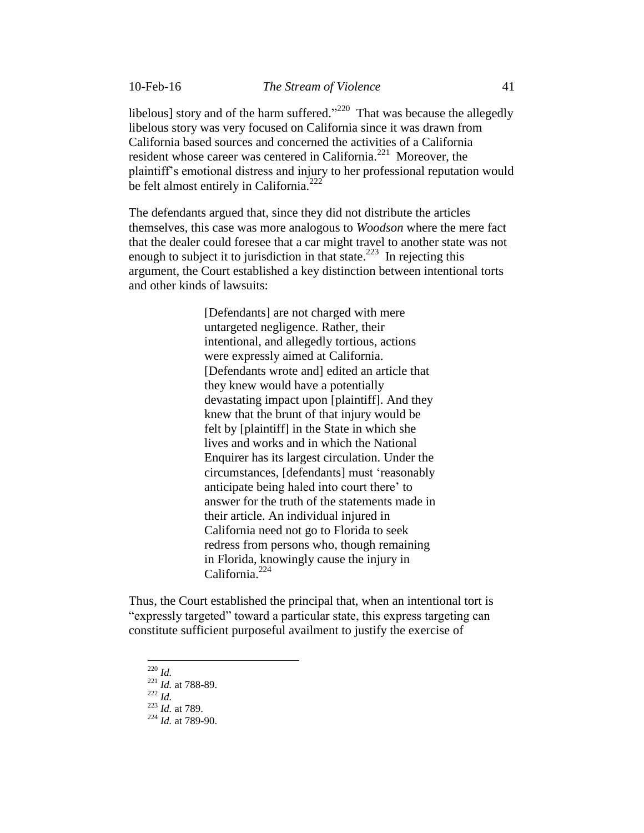libelous] story and of the harm suffered.<sup> $220$ </sup> That was because the allegedly libelous story was very focused on California since it was drawn from California based sources and concerned the activities of a California resident whose career was centered in California.<sup>221</sup> Moreover, the plaintiff's emotional distress and injury to her professional reputation would be felt almost entirely in California.<sup>222</sup>

The defendants argued that, since they did not distribute the articles themselves, this case was more analogous to *Woodson* where the mere fact that the dealer could foresee that a car might travel to another state was not enough to subject it to jurisdiction in that state.<sup>223</sup> In rejecting this argument, the Court established a key distinction between intentional torts and other kinds of lawsuits:

> [Defendants] are not charged with mere untargeted negligence. Rather, their intentional, and allegedly tortious, actions were expressly aimed at California. [Defendants wrote and] edited an article that they knew would have a potentially devastating impact upon [plaintiff]. And they knew that the brunt of that injury would be felt by [plaintiff] in the State in which she lives and works and in which the National Enquirer has its largest circulation. Under the circumstances, [defendants] must 'reasonably anticipate being haled into court there' to answer for the truth of the statements made in their article. An individual injured in California need not go to Florida to seek redress from persons who, though remaining in Florida, knowingly cause the injury in California.<sup>224</sup>

Thus, the Court established the principal that, when an intentional tort is "expressly targeted" toward a particular state, this express targeting can constitute sufficient purposeful availment to justify the exercise of

 $\overline{a}$ <sup>220</sup> *Id.*

<sup>222</sup> *Id.*

<sup>221</sup> *Id.* at 788-89.

<sup>223</sup> *Id.* at 789.

<sup>224</sup> *Id.* at 789-90.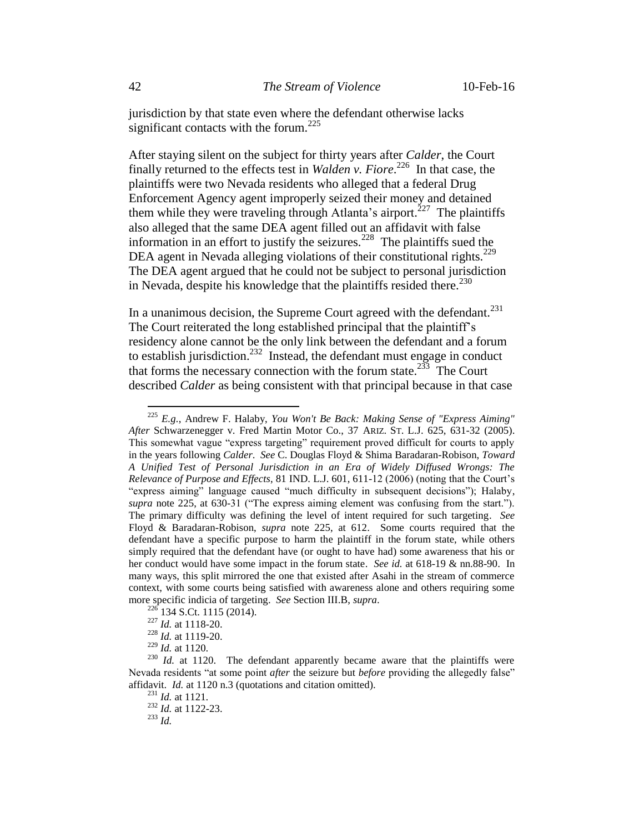jurisdiction by that state even where the defendant otherwise lacks significant contacts with the forum.<sup>225</sup>

After staying silent on the subject for thirty years after *Calder*, the Court finally returned to the effects test in *Walden v. Fiore*. 226 In that case, the plaintiffs were two Nevada residents who alleged that a federal Drug Enforcement Agency agent improperly seized their money and detained them while they were traveling through Atlanta's airport.<sup>227</sup> The plaintiffs also alleged that the same DEA agent filled out an affidavit with false information in an effort to justify the seizures.<sup>228</sup> The plaintiffs sued the DEA agent in Nevada alleging violations of their constitutional rights.<sup>229</sup> The DEA agent argued that he could not be subject to personal jurisdiction in Nevada, despite his knowledge that the plaintiffs resided there.<sup>230</sup>

In a unanimous decision, the Supreme Court agreed with the defendant. $^{231}$ The Court reiterated the long established principal that the plaintiff's residency alone cannot be the only link between the defendant and a forum to establish jurisdiction.<sup>232</sup> Instead, the defendant must engage in conduct that forms the necessary connection with the forum state.<sup>233</sup> The Court described *Calder* as being consistent with that principal because in that case

<sup>225</sup> *E.g.*, Andrew F. Halaby, *You Won't Be Back: Making Sense of "Express Aiming" After* Schwarzenegger v. Fred Martin Motor Co., 37 ARIZ. ST. L.J. 625, 631-32 (2005). This somewhat vague "express targeting" requirement proved difficult for courts to apply in the years following *Calder*. *See* C. Douglas Floyd & Shima Baradaran-Robison, *Toward A Unified Test of Personal Jurisdiction in an Era of Widely Diffused Wrongs: The Relevance of Purpose and Effects*, 81 IND. L.J. 601, 611-12 (2006) (noting that the Court's "express aiming" language caused "much difficulty in subsequent decisions"); Halaby, *supra* note 225, at 630-31 ("The express aiming element was confusing from the start."). The primary difficulty was defining the level of intent required for such targeting. *See* Floyd & Baradaran-Robison, *supra* note 225, at 612. Some courts required that the defendant have a specific purpose to harm the plaintiff in the forum state, while others simply required that the defendant have (or ought to have had) some awareness that his or her conduct would have some impact in the forum state. *See id.* at 618-19 & nn.88-90. In many ways, this split mirrored the one that existed after Asahi in the stream of commerce context, with some courts being satisfied with awareness alone and others requiring some more specific indicia of targeting. *See* Section III.B, *supra*.

<sup>134</sup> S.Ct. 1115 (2014).

<sup>227</sup> *Id.* at 1118-20.

<sup>228</sup> *Id.* at 1119-20.

<sup>229</sup> *Id.* at 1120.

<sup>&</sup>lt;sup>230</sup> *Id.* at 1120. The defendant apparently became aware that the plaintiffs were Nevada residents "at some point *after* the seizure but *before* providing the allegedly false" affidavit. *Id.* at 1120 n.3 (quotations and citation omitted).

<sup>231</sup> *Id.* at 1121. <sup>232</sup> *Id.* at 1122-23.

 $^{233}$  *Id.*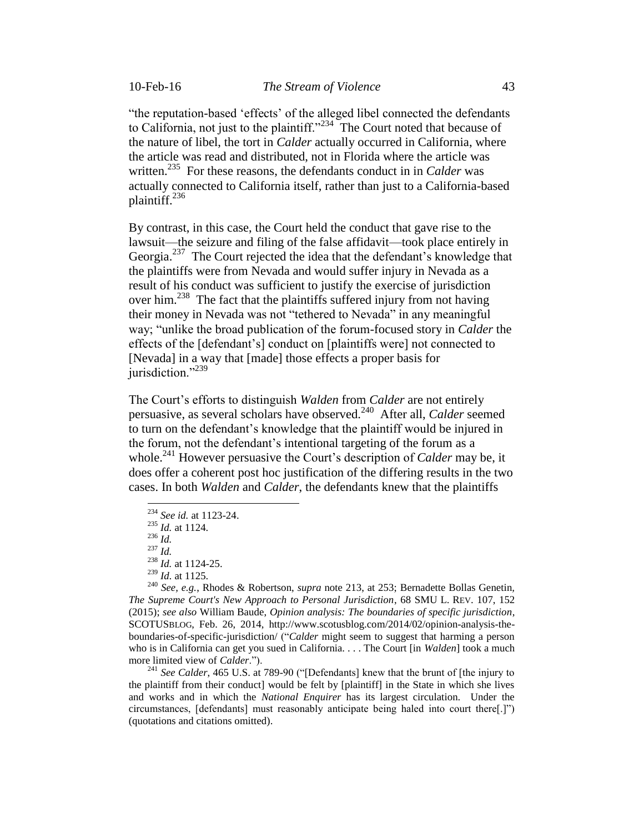"the reputation-based 'effects' of the alleged libel connected the defendants to California, not just to the plaintiff."<sup>234</sup> The Court noted that because of the nature of libel, the tort in *Calder* actually occurred in California, where the article was read and distributed, not in Florida where the article was written.<sup>235</sup> For these reasons, the defendants conduct in in *Calder* was actually connected to California itself, rather than just to a California-based plaintiff.<sup>236</sup>

By contrast, in this case, the Court held the conduct that gave rise to the lawsuit—the seizure and filing of the false affidavit—took place entirely in Georgia.<sup>237</sup> The Court rejected the idea that the defendant's knowledge that the plaintiffs were from Nevada and would suffer injury in Nevada as a result of his conduct was sufficient to justify the exercise of jurisdiction over him.<sup>238</sup> The fact that the plaintiffs suffered injury from not having their money in Nevada was not "tethered to Nevada" in any meaningful way; "unlike the broad publication of the forum-focused story in *Calder* the effects of the [defendant's] conduct on [plaintiffs were] not connected to [Nevada] in a way that [made] those effects a proper basis for jurisdiction."<sup>239</sup>

The Court's efforts to distinguish *Walden* from *Calder* are not entirely persuasive, as several scholars have observed.<sup>240</sup> After all, *Calder* seemed to turn on the defendant's knowledge that the plaintiff would be injured in the forum, not the defendant's intentional targeting of the forum as a whole. <sup>241</sup> However persuasive the Court's description of *Calder* may be, it does offer a coherent post hoc justification of the differing results in the two cases. In both *Walden* and *Calder*, the defendants knew that the plaintiffs

<sup>236</sup> *Id.*

 $\overline{a}$ 

<sup>240</sup> *See, e.g.*, Rhodes & Robertson, *supra* note 213, at 253; Bernadette Bollas Genetin*, The Supreme Court's New Approach to Personal Jurisdiction*, 68 SMU L. REV. 107, 152 (2015); *see also* William Baude, *Opinion analysis: The boundaries of specific jurisdiction*, SCOTUSBLOG, Feb. 26, 2014, http://www.scotusblog.com/2014/02/opinion-analysis-theboundaries-of-specific-jurisdiction/ ("*Calder* might seem to suggest that harming a person who is in California can get you sued in California. . . . The Court [in *Walden*] took a much more limited view of *Calder*.").

<sup>241</sup> See Calder, 465 U.S. at 789-90 ("[Defendants] knew that the brunt of [the injury to the plaintiff from their conduct] would be felt by [plaintiff] in the State in which she lives and works and in which the *National Enquirer* has its largest circulation. Under the circumstances, [defendants] must reasonably anticipate being haled into court there[.]") (quotations and citations omitted).

<sup>234</sup> *See id.* at 1123-24.

<sup>235</sup> *Id.* at 1124.

<sup>237</sup> *Id.*

<sup>238</sup> *Id.* at 1124-25.

<sup>239</sup> *Id.* at 1125.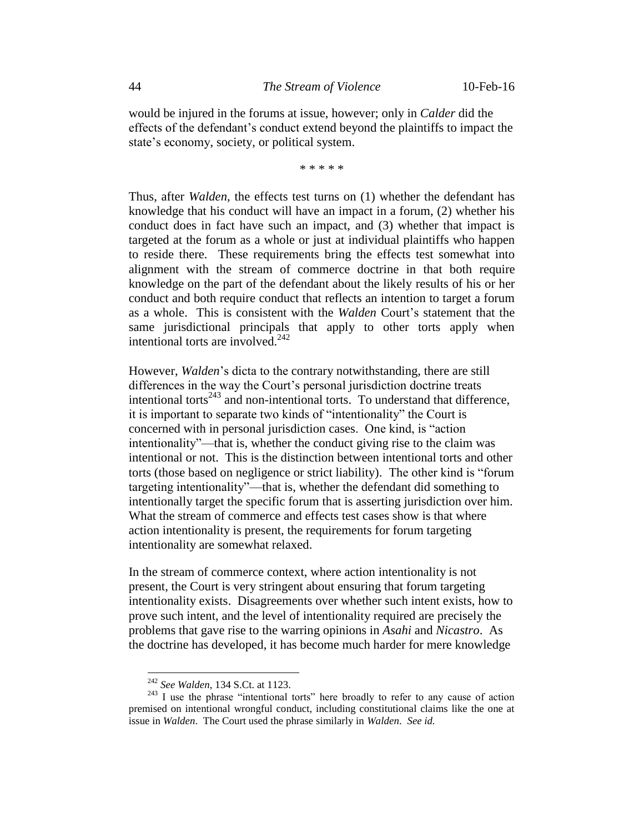would be injured in the forums at issue, however; only in *Calder* did the effects of the defendant's conduct extend beyond the plaintiffs to impact the state's economy, society, or political system.

\* \* \* \* \*

Thus, after *Walden*, the effects test turns on (1) whether the defendant has knowledge that his conduct will have an impact in a forum, (2) whether his conduct does in fact have such an impact, and (3) whether that impact is targeted at the forum as a whole or just at individual plaintiffs who happen to reside there. These requirements bring the effects test somewhat into alignment with the stream of commerce doctrine in that both require knowledge on the part of the defendant about the likely results of his or her conduct and both require conduct that reflects an intention to target a forum as a whole. This is consistent with the *Walden* Court's statement that the same jurisdictional principals that apply to other torts apply when intentional torts are involved. $^{242}$ 

However, *Walden*'s dicta to the contrary notwithstanding, there are still differences in the way the Court's personal jurisdiction doctrine treats intentional torts<sup>243</sup> and non-intentional torts. To understand that difference, it is important to separate two kinds of "intentionality" the Court is concerned with in personal jurisdiction cases. One kind, is "action intentionality"—that is, whether the conduct giving rise to the claim was intentional or not. This is the distinction between intentional torts and other torts (those based on negligence or strict liability). The other kind is "forum targeting intentionality"—that is, whether the defendant did something to intentionally target the specific forum that is asserting jurisdiction over him. What the stream of commerce and effects test cases show is that where action intentionality is present, the requirements for forum targeting intentionality are somewhat relaxed.

In the stream of commerce context, where action intentionality is not present, the Court is very stringent about ensuring that forum targeting intentionality exists. Disagreements over whether such intent exists, how to prove such intent, and the level of intentionality required are precisely the problems that gave rise to the warring opinions in *Asahi* and *Nicastro*. As the doctrine has developed, it has become much harder for mere knowledge

<sup>242</sup> *See Walden*, 134 S.Ct. at 1123.

 $243$  I use the phrase "intentional torts" here broadly to refer to any cause of action premised on intentional wrongful conduct, including constitutional claims like the one at issue in *Walden*. The Court used the phrase similarly in *Walden*. *See id.*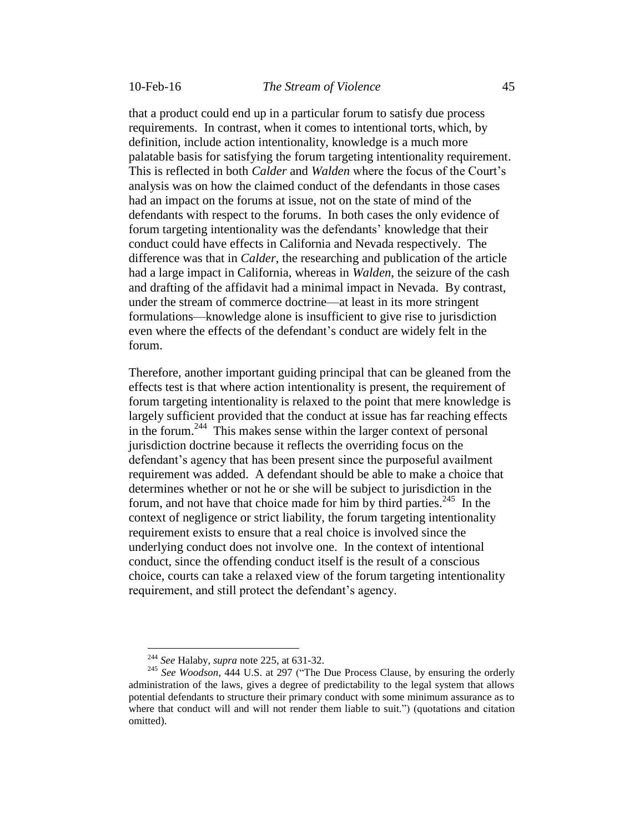that a product could end up in a particular forum to satisfy due process requirements. In contrast, when it comes to intentional torts, which, by definition, include action intentionality, knowledge is a much more palatable basis for satisfying the forum targeting intentionality requirement. This is reflected in both *Calder* and *Walden* where the focus of the Court's analysis was on how the claimed conduct of the defendants in those cases had an impact on the forums at issue, not on the state of mind of the defendants with respect to the forums. In both cases the only evidence of forum targeting intentionality was the defendants' knowledge that their conduct could have effects in California and Nevada respectively. The difference was that in *Calder*, the researching and publication of the article

had a large impact in California, whereas in *Walden*, the seizure of the cash and drafting of the affidavit had a minimal impact in Nevada. By contrast, under the stream of commerce doctrine—at least in its more stringent formulations—knowledge alone is insufficient to give rise to jurisdiction even where the effects of the defendant's conduct are widely felt in the forum.

Therefore, another important guiding principal that can be gleaned from the effects test is that where action intentionality is present, the requirement of forum targeting intentionality is relaxed to the point that mere knowledge is largely sufficient provided that the conduct at issue has far reaching effects in the forum.<sup>244</sup> This makes sense within the larger context of personal jurisdiction doctrine because it reflects the overriding focus on the defendant's agency that has been present since the purposeful availment requirement was added. A defendant should be able to make a choice that determines whether or not he or she will be subject to jurisdiction in the forum, and not have that choice made for him by third parties.<sup>245</sup> In the context of negligence or strict liability, the forum targeting intentionality requirement exists to ensure that a real choice is involved since the underlying conduct does not involve one. In the context of intentional conduct, since the offending conduct itself is the result of a conscious choice, courts can take a relaxed view of the forum targeting intentionality requirement, and still protect the defendant's agency.

<sup>244</sup> *See* Halaby, *supra* note 225, at 631-32.

<sup>245</sup> *See Woodson*, 444 U.S. at 297 ("The Due Process Clause, by ensuring the orderly administration of the laws, gives a degree of predictability to the legal system that allows potential defendants to structure their primary conduct with some minimum assurance as to where that conduct will and will not render them liable to suit.") (quotations and citation omitted).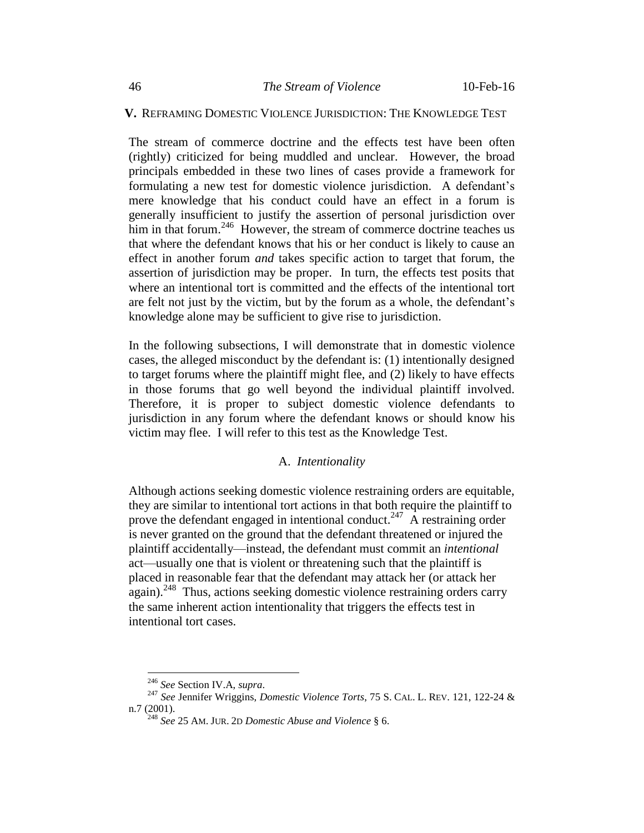### **V.** REFRAMING DOMESTIC VIOLENCE JURISDICTION: THE KNOWLEDGE TEST

The stream of commerce doctrine and the effects test have been often (rightly) criticized for being muddled and unclear. However, the broad principals embedded in these two lines of cases provide a framework for formulating a new test for domestic violence jurisdiction. A defendant's mere knowledge that his conduct could have an effect in a forum is generally insufficient to justify the assertion of personal jurisdiction over him in that forum.<sup>246</sup> However, the stream of commerce doctrine teaches us that where the defendant knows that his or her conduct is likely to cause an effect in another forum *and* takes specific action to target that forum, the assertion of jurisdiction may be proper. In turn, the effects test posits that where an intentional tort is committed and the effects of the intentional tort are felt not just by the victim, but by the forum as a whole, the defendant's knowledge alone may be sufficient to give rise to jurisdiction.

In the following subsections, I will demonstrate that in domestic violence cases, the alleged misconduct by the defendant is: (1) intentionally designed to target forums where the plaintiff might flee, and (2) likely to have effects in those forums that go well beyond the individual plaintiff involved. Therefore, it is proper to subject domestic violence defendants to jurisdiction in any forum where the defendant knows or should know his victim may flee. I will refer to this test as the Knowledge Test.

#### A. *Intentionality*

Although actions seeking domestic violence restraining orders are equitable, they are similar to intentional tort actions in that both require the plaintiff to prove the defendant engaged in intentional conduct.<sup>247</sup> A restraining order is never granted on the ground that the defendant threatened or injured the plaintiff accidentally—instead, the defendant must commit an *intentional* act—usually one that is violent or threatening such that the plaintiff is placed in reasonable fear that the defendant may attack her (or attack her again).<sup>248</sup> Thus, actions seeking domestic violence restraining orders carry the same inherent action intentionality that triggers the effects test in intentional tort cases.

<sup>246</sup> *See* Section IV.A, *supra*.

<sup>247</sup> *See* Jennifer Wriggins, *Domestic Violence Torts*, 75 S. CAL. L. REV. 121, 122-24 & n.7 (2001).

<sup>248</sup> *See* 25 AM. JUR. 2<sup>D</sup> *Domestic Abuse and Violence* § 6.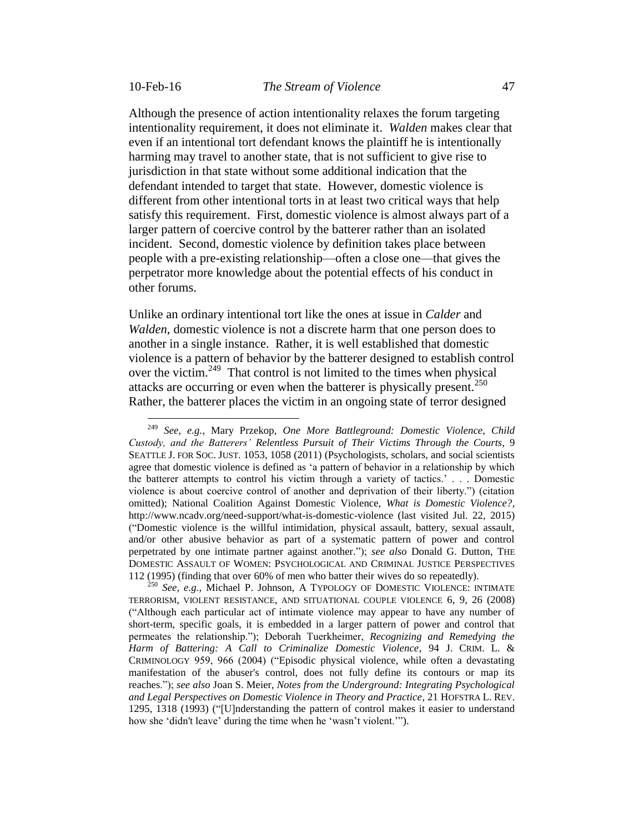Although the presence of action intentionality relaxes the forum targeting intentionality requirement, it does not eliminate it. *Walden* makes clear that even if an intentional tort defendant knows the plaintiff he is intentionally harming may travel to another state, that is not sufficient to give rise to jurisdiction in that state without some additional indication that the defendant intended to target that state. However, domestic violence is different from other intentional torts in at least two critical ways that help satisfy this requirement. First, domestic violence is almost always part of a larger pattern of coercive control by the batterer rather than an isolated incident. Second, domestic violence by definition takes place between people with a pre-existing relationship—often a close one—that gives the perpetrator more knowledge about the potential effects of his conduct in other forums.

Unlike an ordinary intentional tort like the ones at issue in *Calder* and *Walden*, domestic violence is not a discrete harm that one person does to another in a single instance. Rather, it is well established that domestic violence is a pattern of behavior by the batterer designed to establish control over the victim.<sup>249</sup> That control is not limited to the times when physical attacks are occurring or even when the batterer is physically present.<sup>250</sup> Rather, the batterer places the victim in an ongoing state of terror designed

<sup>249</sup> <sup>249</sup> *See, e.g.*, Mary Przekop, *One More Battleground: Domestic Violence, Child Custody, and the Batterers' Relentless Pursuit of Their Victims Through the Courts*, 9 SEATTLE J. FOR SOC. JUST. 1053, 1058 (2011) (Psychologists, scholars, and social scientists agree that domestic violence is defined as 'a pattern of behavior in a relationship by which the batterer attempts to control his victim through a variety of tactics.' . . . Domestic violence is about coercive control of another and deprivation of their liberty.") (citation omitted); National Coalition Against Domestic Violence, *What is Domestic Violence?*, http://www.ncadv.org/need-support/what-is-domestic-violence (last visited Jul. 22, 2015) ("Domestic violence is the willful intimidation, physical assault, battery, sexual assault, and/or other abusive behavior as part of a systematic pattern of power and control perpetrated by one intimate partner against another."); *see also* Donald G. Dutton, THE DOMESTIC ASSAULT OF WOMEN: PSYCHOLOGICAL AND CRIMINAL JUSTICE PERSPECTIVES 112 (1995) (finding that over 60% of men who batter their wives do so repeatedly).

<sup>250</sup> *See, e.g.*, Michael P. Johnson, A TYPOLOGY OF DOMESTIC VIOLENCE: INTIMATE TERRORISM, VIOLENT RESISTANCE, AND SITUATIONAL COUPLE VIOLENCE 6, 9, 26 (2008) ("Although each particular act of intimate violence may appear to have any number of short-term, specific goals, it is embedded in a larger pattern of power and control that permeates the relationship."); Deborah Tuerkheimer, *Recognizing and Remedying the Harm of Battering: A Call to Criminalize Domestic Violence*, 94 J. CRIM. L. & CRIMINOLOGY 959, 966 (2004) ("Episodic physical violence, while often a devastating manifestation of the abuser's control, does not fully define its contours or map its reaches."); *see also* Joan S. Meier, *Notes from the Underground: Integrating Psychological and Legal Perspectives on Domestic Violence in Theory and Practice*, 21 HOFSTRA L. REV. 1295, 1318 (1993) ("[U]nderstanding the pattern of control makes it easier to understand how she 'didn't leave' during the time when he 'wasn't violent.'").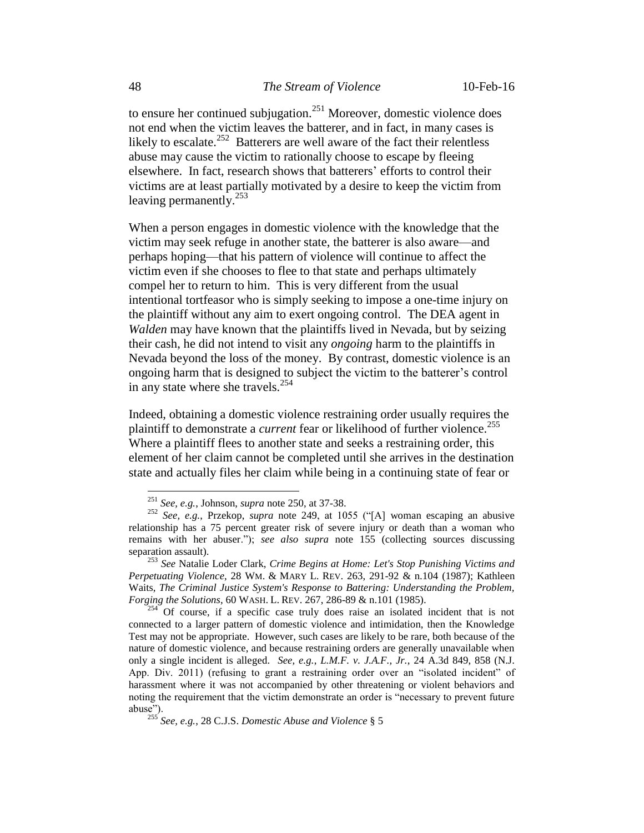to ensure her continued subjugation.<sup>251</sup> Moreover, domestic violence does not end when the victim leaves the batterer, and in fact, in many cases is likely to escalate. $^{252}$  Batterers are well aware of the fact their relentless abuse may cause the victim to rationally choose to escape by fleeing elsewhere. In fact, research shows that batterers' efforts to control their victims are at least partially motivated by a desire to keep the victim from leaving permanently.<sup>253</sup>

When a person engages in domestic violence with the knowledge that the victim may seek refuge in another state, the batterer is also aware—and perhaps hoping—that his pattern of violence will continue to affect the victim even if she chooses to flee to that state and perhaps ultimately compel her to return to him. This is very different from the usual intentional tortfeasor who is simply seeking to impose a one-time injury on the plaintiff without any aim to exert ongoing control. The DEA agent in *Walden* may have known that the plaintiffs lived in Nevada, but by seizing their cash, he did not intend to visit any *ongoing* harm to the plaintiffs in Nevada beyond the loss of the money. By contrast, domestic violence is an ongoing harm that is designed to subject the victim to the batterer's control in any state where she travels.<sup>254</sup>

Indeed, obtaining a domestic violence restraining order usually requires the plaintiff to demonstrate a *current* fear or likelihood of further violence.<sup>255</sup> Where a plaintiff flees to another state and seeks a restraining order, this element of her claim cannot be completed until she arrives in the destination state and actually files her claim while being in a continuing state of fear or

<sup>251</sup> *See, e.g.*, Johnson, *supra* note 250, at 37-38.

<sup>252</sup> *See, e.g.*, Przekop, *supra* note 249, at 1055 ("[A] woman escaping an abusive relationship has a 75 percent greater risk of severe injury or death than a woman who remains with her abuser."); *see also supra* note 155 (collecting sources discussing separation assault).

<sup>253</sup> *See* Natalie Loder Clark, *Crime Begins at Home: Let's Stop Punishing Victims and Perpetuating Violence*, 28 WM. & MARY L. REV. 263, 291-92 & n.104 (1987); Kathleen Waits, *The Criminal Justice System's Response to Battering: Understanding the Problem, Forging the Solutions*, 60 WASH. L. REV. 267, 286-89 & n.101 (1985).

<sup>254</sup> Of course, if a specific case truly does raise an isolated incident that is not connected to a larger pattern of domestic violence and intimidation, then the Knowledge Test may not be appropriate. However, such cases are likely to be rare, both because of the nature of domestic violence, and because restraining orders are generally unavailable when only a single incident is alleged. *See, e.g.*, *L.M.F. v. J.A.F., Jr.*, 24 A.3d 849, 858 (N.J. App. Div. 2011) (refusing to grant a restraining order over an "isolated incident" of harassment where it was not accompanied by other threatening or violent behaviors and noting the requirement that the victim demonstrate an order is "necessary to prevent future abuse").

<sup>255</sup> *See, e.g.*, 28 C.J.S. *Domestic Abuse and Violence* § 5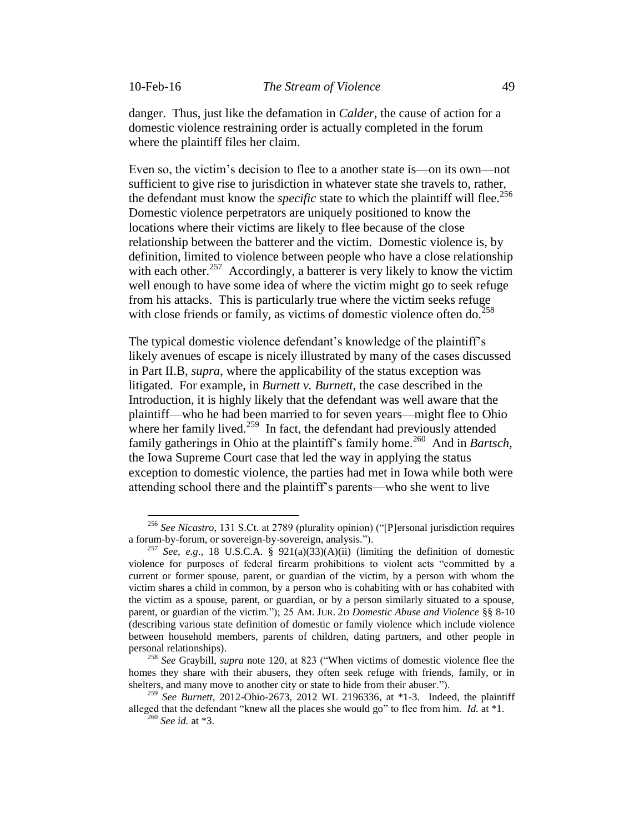danger. Thus, just like the defamation in *Calder*, the cause of action for a domestic violence restraining order is actually completed in the forum where the plaintiff files her claim.

Even so, the victim's decision to flee to a another state is—on its own—not sufficient to give rise to jurisdiction in whatever state she travels to, rather, the defendant must know the *specific* state to which the plaintiff will flee.<sup>256</sup> Domestic violence perpetrators are uniquely positioned to know the locations where their victims are likely to flee because of the close relationship between the batterer and the victim. Domestic violence is, by definition, limited to violence between people who have a close relationship with each other.<sup>257</sup> Accordingly, a batterer is very likely to know the victim well enough to have some idea of where the victim might go to seek refuge from his attacks. This is particularly true where the victim seeks refuge with close friends or family, as victims of domestic violence often do. $258$ 

The typical domestic violence defendant's knowledge of the plaintiff's likely avenues of escape is nicely illustrated by many of the cases discussed in Part II.B, *supra*, where the applicability of the status exception was litigated. For example, in *Burnett v. Burnett*, the case described in the Introduction, it is highly likely that the defendant was well aware that the plaintiff—who he had been married to for seven years—might flee to Ohio where her family lived. $259$  In fact, the defendant had previously attended family gatherings in Ohio at the plaintiff's family home.<sup>260</sup> And in *Bartsch*, the Iowa Supreme Court case that led the way in applying the status exception to domestic violence, the parties had met in Iowa while both were attending school there and the plaintiff's parents—who she went to live

<sup>256</sup> *See Nicastro*, 131 S.Ct. at 2789 (plurality opinion) ("[P]ersonal jurisdiction requires a forum-by-forum, or sovereign-by-sovereign, analysis.").

<sup>&</sup>lt;sup>257</sup> *See, e.g.*, 18 U.S.C.A. § 921(a)(33)(A)(ii) (limiting the definition of domestic violence for purposes of federal firearm prohibitions to violent acts "committed by a current or former spouse, parent, or guardian of the victim, by a person with whom the victim shares a child in common, by a person who is cohabiting with or has cohabited with the victim as a spouse, parent, or guardian, or by a person similarly situated to a spouse, parent, or guardian of the victim."); 25 AM. JUR. 2D *Domestic Abuse and Violence* §§ 8-10 (describing various state definition of domestic or family violence which include violence between household members, parents of children, dating partners, and other people in personal relationships).

<sup>258</sup> *See* Graybill, *supra* note 120, at 823 ("When victims of domestic violence flee the homes they share with their abusers, they often seek refuge with friends, family, or in shelters, and many move to another city or state to hide from their abuser.").

<sup>259</sup> *See Burnett*, 2012-Ohio-2673, 2012 WL 2196336, at \*1-3. Indeed, the plaintiff alleged that the defendant "knew all the places she would go" to flee from him. *Id.* at \*1.

<sup>260</sup> *See id.* at \*3.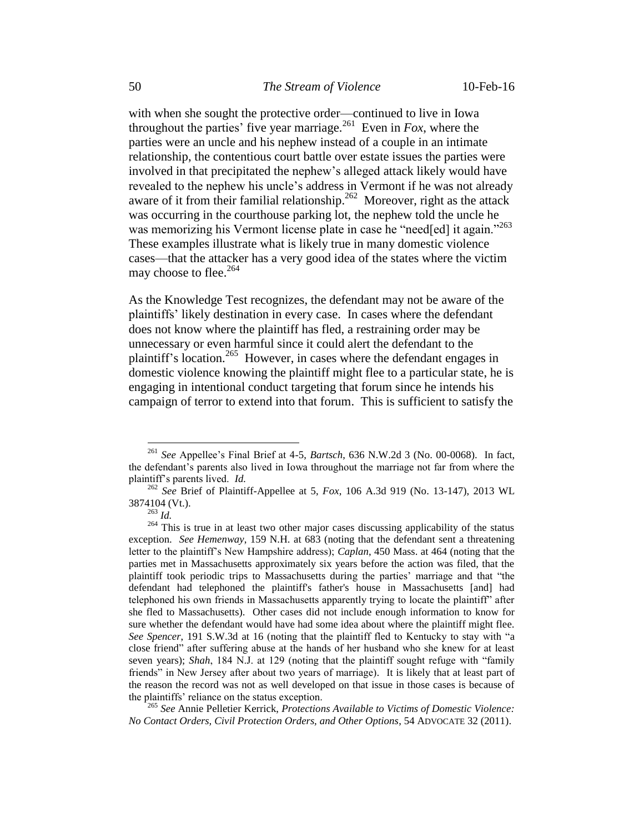with when she sought the protective order—continued to live in Iowa throughout the parties' five year marriage.<sup>261</sup> Even in  $Fox$ , where the parties were an uncle and his nephew instead of a couple in an intimate relationship, the contentious court battle over estate issues the parties were involved in that precipitated the nephew's alleged attack likely would have revealed to the nephew his uncle's address in Vermont if he was not already aware of it from their familial relationship.<sup>262</sup> Moreover, right as the attack was occurring in the courthouse parking lot, the nephew told the uncle he was memorizing his Vermont license plate in case he "need[ed] it again."<sup>263</sup> These examples illustrate what is likely true in many domestic violence cases—that the attacker has a very good idea of the states where the victim may choose to flee.<sup>264</sup>

As the Knowledge Test recognizes, the defendant may not be aware of the plaintiffs' likely destination in every case. In cases where the defendant does not know where the plaintiff has fled, a restraining order may be unnecessary or even harmful since it could alert the defendant to the plaintiff's location.<sup>265</sup> However, in cases where the defendant engages in domestic violence knowing the plaintiff might flee to a particular state, he is engaging in intentional conduct targeting that forum since he intends his campaign of terror to extend into that forum. This is sufficient to satisfy the

<sup>261</sup> *See* Appellee's Final Brief at 4-5, *Bartsch*, 636 N.W.2d 3 (No. 00-0068). In fact, the defendant's parents also lived in Iowa throughout the marriage not far from where the plaintiff's parents lived. *Id.*

<sup>262</sup> *See* Brief of Plaintiff-Appellee at 5, *Fox*, 106 A.3d 919 (No. 13-147), 2013 WL 3874104 (Vt.).

<sup>263</sup> *Id.*

<sup>&</sup>lt;sup>264</sup> This is true in at least two other major cases discussing applicability of the status exception. *See Hemenway*, 159 N.H. at 683 (noting that the defendant sent a threatening letter to the plaintiff's New Hampshire address); *Caplan*, 450 Mass. at 464 (noting that the parties met in Massachusetts approximately six years before the action was filed, that the plaintiff took periodic trips to Massachusetts during the parties' marriage and that "the defendant had telephoned the plaintiff's father's house in Massachusetts [and] had telephoned his own friends in Massachusetts apparently trying to locate the plaintiff" after she fled to Massachusetts). Other cases did not include enough information to know for sure whether the defendant would have had some idea about where the plaintiff might flee. *See Spencer*, 191 S.W.3d at 16 (noting that the plaintiff fled to Kentucky to stay with "a close friend" after suffering abuse at the hands of her husband who she knew for at least seven years); *Shah*, 184 N.J. at 129 (noting that the plaintiff sought refuge with "family friends" in New Jersey after about two years of marriage)*.* It is likely that at least part of the reason the record was not as well developed on that issue in those cases is because of the plaintiffs' reliance on the status exception.

<sup>265</sup> *See* Annie Pelletier Kerrick, *Protections Available to Victims of Domestic Violence: No Contact Orders, Civil Protection Orders, and Other Options*, 54 ADVOCATE 32 (2011).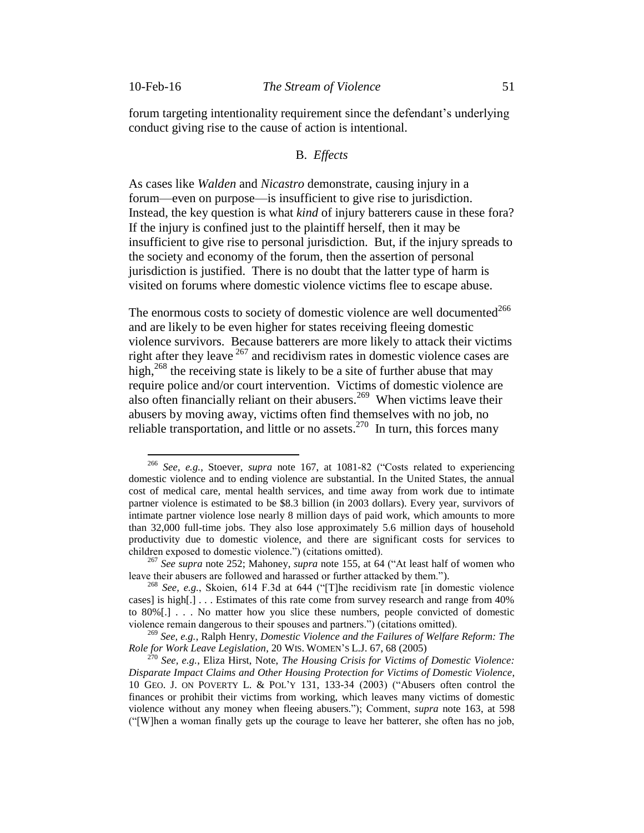$\overline{a}$ 

forum targeting intentionality requirement since the defendant's underlying conduct giving rise to the cause of action is intentional.

## B. *Effects*

As cases like *Walden* and *Nicastro* demonstrate, causing injury in a forum—even on purpose—is insufficient to give rise to jurisdiction. Instead, the key question is what *kind* of injury batterers cause in these fora? If the injury is confined just to the plaintiff herself, then it may be insufficient to give rise to personal jurisdiction. But, if the injury spreads to the society and economy of the forum, then the assertion of personal jurisdiction is justified. There is no doubt that the latter type of harm is visited on forums where domestic violence victims flee to escape abuse.

The enormous costs to society of domestic violence are well documented<sup>266</sup> and are likely to be even higher for states receiving fleeing domestic violence survivors. Because batterers are more likely to attack their victims right after they leave  $267$  and recidivism rates in domestic violence cases are high, $^{268}$  the receiving state is likely to be a site of further abuse that may require police and/or court intervention. Victims of domestic violence are also often financially reliant on their abusers. <sup>269</sup> When victims leave their abusers by moving away, victims often find themselves with no job, no reliable transportation, and little or no assets.<sup>270</sup> In turn, this forces many

<sup>266</sup> *See, e.g.*, Stoever, *supra* note 167, at 1081-82 ("Costs related to experiencing domestic violence and to ending violence are substantial. In the United States, the annual cost of medical care, mental health services, and time away from work due to intimate partner violence is estimated to be \$8.3 billion (in 2003 dollars). Every year, survivors of intimate partner violence lose nearly 8 million days of paid work, which amounts to more than 32,000 full-time jobs. They also lose approximately 5.6 million days of household productivity due to domestic violence, and there are significant costs for services to children exposed to domestic violence.") (citations omitted).

<sup>267</sup> *See supra* note 252; Mahoney, *supra* note 155, at 64 ("At least half of women who leave their abusers are followed and harassed or further attacked by them.").

<sup>268</sup> *See, e.g.*, Skoien, 614 F.3d at 644 ("[T]he recidivism rate [in domestic violence cases] is high[.] . . . Estimates of this rate come from survey research and range from 40% to 80%[.] . . . No matter how you slice these numbers, people convicted of domestic violence remain dangerous to their spouses and partners.") (citations omitted).

<sup>269</sup> *See, e.g.*, Ralph Henry, *Domestic Violence and the Failures of Welfare Reform: The Role for Work Leave Legislation*, 20 WIS. WOMEN'S L.J. 67, 68 (2005)

<sup>270</sup> *See, e.g.*, Eliza Hirst, Note, *The Housing Crisis for Victims of Domestic Violence: Disparate Impact Claims and Other Housing Protection for Victims of Domestic Violence*, 10 GEO. J. ON POVERTY L. & POL'Y 131, 133-34 (2003) ("Abusers often control the finances or prohibit their victims from working, which leaves many victims of domestic violence without any money when fleeing abusers."); Comment, *supra* note 163, at 598 ("[W]hen a woman finally gets up the courage to leave her batterer, she often has no job,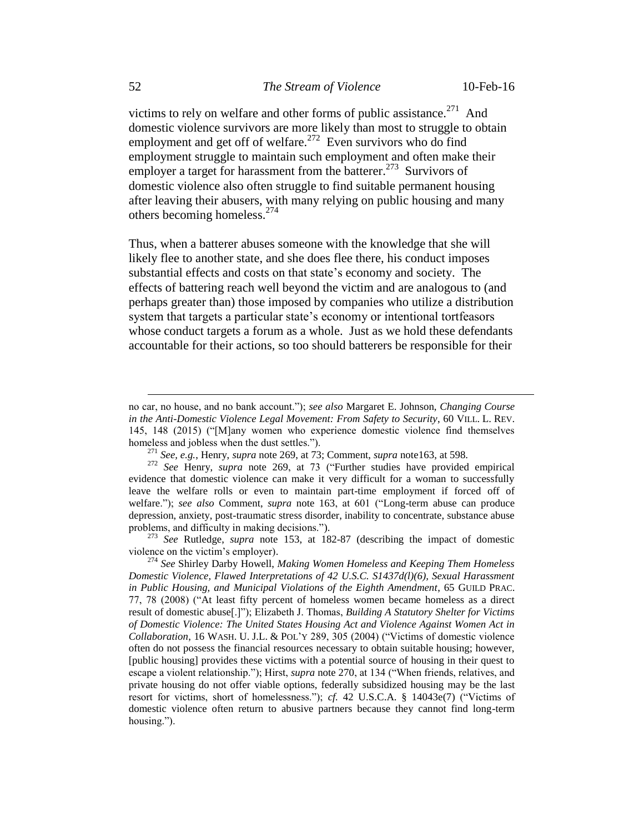victims to rely on welfare and other forms of public assistance.<sup>271</sup> And domestic violence survivors are more likely than most to struggle to obtain employment and get off of welfare. $272$  Even survivors who do find employment struggle to maintain such employment and often make their employer a target for harassment from the batterer.<sup>273</sup> Survivors of domestic violence also often struggle to find suitable permanent housing after leaving their abusers, with many relying on public housing and many others becoming homeless.<sup>274</sup>

Thus, when a batterer abuses someone with the knowledge that she will likely flee to another state, and she does flee there, his conduct imposes substantial effects and costs on that state's economy and society. The effects of battering reach well beyond the victim and are analogous to (and perhaps greater than) those imposed by companies who utilize a distribution system that targets a particular state's economy or intentional tortfeasors whose conduct targets a forum as a whole. Just as we hold these defendants accountable for their actions, so too should batterers be responsible for their

<sup>273</sup> *See* Rutledge, *supra* note 153, at 182-87 (describing the impact of domestic violence on the victim's employer).

no car, no house, and no bank account."); *see also* Margaret E. Johnson, *Changing Course in the Anti-Domestic Violence Legal Movement: From Safety to Security*, 60 VILL. L. REV. 145, 148 (2015) ("[M]any women who experience domestic violence find themselves homeless and jobless when the dust settles.").

<sup>271</sup> *See, e.g.*, Henry, *supra* note 269, at 73; Comment, *supra* note163, at 598.

<sup>&</sup>lt;sup>272</sup> See Henry, *supra* note 269, at 73 ("Further studies have provided empirical evidence that domestic violence can make it very difficult for a woman to successfully leave the welfare rolls or even to maintain part-time employment if forced off of welfare."); *see also* Comment, *supra* note 163, at 601 ("Long-term abuse can produce depression, anxiety, post-traumatic stress disorder, inability to concentrate, substance abuse problems, and difficulty in making decisions.").

<sup>274</sup> *See* Shirley Darby Howell, *Making Women Homeless and Keeping Them Homeless Domestic Violence, Flawed Interpretations of 42 U.S.C. S1437d(l)(6), Sexual Harassment in Public Housing, and Municipal Violations of the Eighth Amendment*, 65 GUILD PRAC. 77, 78 (2008) ("At least fifty percent of homeless women became homeless as a direct result of domestic abuse[.]"); Elizabeth J. Thomas, *Building A Statutory Shelter for Victims of Domestic Violence: The United States Housing Act and Violence Against Women Act in Collaboration*, 16 WASH. U. J.L. & POL'Y 289, 305 (2004) ("Victims of domestic violence often do not possess the financial resources necessary to obtain suitable housing; however, [public housing] provides these victims with a potential source of housing in their quest to escape a violent relationship."); Hirst, *supra* note 270, at 134 ("When friends, relatives, and private housing do not offer viable options, federally subsidized housing may be the last resort for victims, short of homelessness."); *cf.* 42 U.S.C.A. § 14043e(7) ("Victims of domestic violence often return to abusive partners because they cannot find long-term housing.").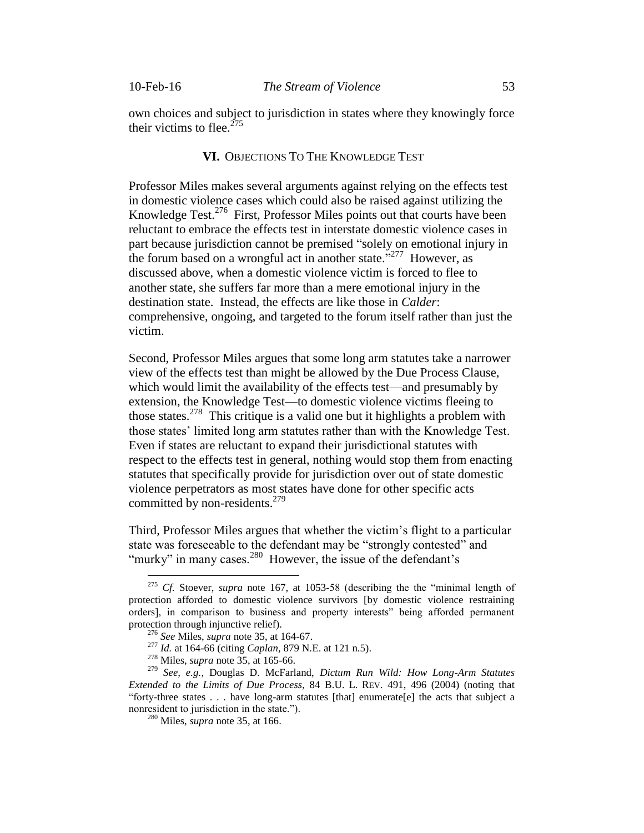own choices and subject to jurisdiction in states where they knowingly force their victims to flee.<sup>275</sup>

# **VI.** OBJECTIONS TO THE KNOWLEDGE TEST

Professor Miles makes several arguments against relying on the effects test in domestic violence cases which could also be raised against utilizing the Knowledge Test.<sup>276</sup> First, Professor Miles points out that courts have been reluctant to embrace the effects test in interstate domestic violence cases in part because jurisdiction cannot be premised "solely on emotional injury in the forum based on a wrongful act in another state.<sup>5277</sup> However, as discussed above, when a domestic violence victim is forced to flee to another state, she suffers far more than a mere emotional injury in the destination state. Instead, the effects are like those in *Calder*: comprehensive, ongoing, and targeted to the forum itself rather than just the victim.

Second, Professor Miles argues that some long arm statutes take a narrower view of the effects test than might be allowed by the Due Process Clause, which would limit the availability of the effects test—and presumably by extension, the Knowledge Test—to domestic violence victims fleeing to those states. 278 This critique is a valid one but it highlights a problem with those states' limited long arm statutes rather than with the Knowledge Test. Even if states are reluctant to expand their jurisdictional statutes with respect to the effects test in general, nothing would stop them from enacting statutes that specifically provide for jurisdiction over out of state domestic violence perpetrators as most states have done for other specific acts committed by non-residents. 279

Third, Professor Miles argues that whether the victim's flight to a particular state was foreseeable to the defendant may be "strongly contested" and "murky" in many cases.<sup>280</sup> However, the issue of the defendant's

<sup>275</sup> *Cf.* Stoever, *supra* note 167, at 1053-58 (describing the the "minimal length of protection afforded to domestic violence survivors [by domestic violence restraining orders], in comparison to business and property interests" being afforded permanent protection through injunctive relief).

<sup>276</sup> *See* Miles, *supra* note 35, at 164-67.

<sup>277</sup> *Id.* at 164-66 (citing *Caplan*, 879 N.E. at 121 n.5).

<sup>278</sup> Miles, *supra* note 35, at 165-66.

<sup>279</sup> *See, e.g.*, Douglas D. McFarland, *Dictum Run Wild: How Long-Arm Statutes Extended to the Limits of Due Process*, 84 B.U. L. REV. 491, 496 (2004) (noting that "forty-three states . . . have long-arm statutes [that] enumerate[e] the acts that subject a nonresident to jurisdiction in the state.").

<sup>280</sup> Miles, *supra* note 35, at 166.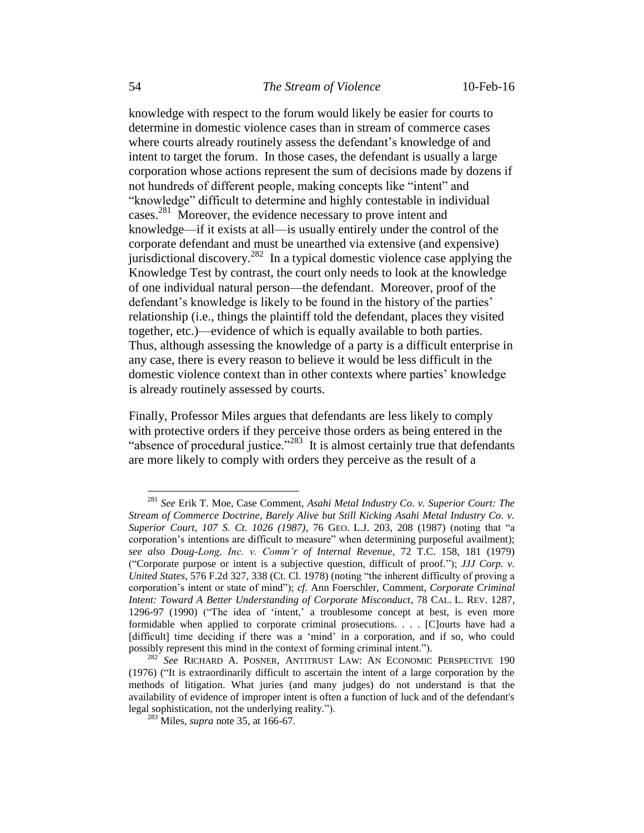knowledge with respect to the forum would likely be easier for courts to determine in domestic violence cases than in stream of commerce cases where courts already routinely assess the defendant's knowledge of and intent to target the forum. In those cases, the defendant is usually a large corporation whose actions represent the sum of decisions made by dozens if not hundreds of different people, making concepts like "intent" and "knowledge" difficult to determine and highly contestable in individual cases.<sup>281</sup> Moreover, the evidence necessary to prove intent and knowledge—if it exists at all—is usually entirely under the control of the corporate defendant and must be unearthed via extensive (and expensive) jurisdictional discovery.<sup>282</sup> In a typical domestic violence case applying the Knowledge Test by contrast, the court only needs to look at the knowledge of one individual natural person—the defendant. Moreover, proof of the defendant's knowledge is likely to be found in the history of the parties' relationship (i.e., things the plaintiff told the defendant, places they visited together, etc.)—evidence of which is equally available to both parties. Thus, although assessing the knowledge of a party is a difficult enterprise in any case, there is every reason to believe it would be less difficult in the domestic violence context than in other contexts where parties' knowledge is already routinely assessed by courts.

Finally, Professor Miles argues that defendants are less likely to comply with protective orders if they perceive those orders as being entered in the "absence of procedural justice."<sup>283</sup> It is almost certainly true that defendants are more likely to comply with orders they perceive as the result of a

<sup>281</sup> *See* Erik T. Moe, Case Comment, *Asahi Metal Industry Co. v. Superior Court: The Stream of Commerce Doctrine, Barely Alive but Still Kicking Asahi Metal Industry Co. v. Superior Court, 107 S. Ct. 1026 (1987)*, 76 GEO. L.J. 203, 208 (1987) (noting that "a corporation's intentions are difficult to measure" when determining purposeful availment); *see also Doug-Long, Inc. v. Comm'r of Internal Revenue*, 72 T.C. 158, 181 (1979) ("Corporate purpose or intent is a subjective question, difficult of proof."); *JJJ Corp. v. United States*, 576 F.2d 327, 338 (Ct. Cl. 1978) (noting "the inherent difficulty of proving a corporation's intent or state of mind"); *cf.* Ann Foerschler, Comment, *Corporate Criminal Intent: Toward A Better Understanding of Corporate Misconduct*, 78 CAL. L. REV. 1287, 1296-97 (1990) ("The idea of 'intent,' a troublesome concept at best, is even more formidable when applied to corporate criminal prosecutions. . . . [C]ourts have had a [difficult] time deciding if there was a 'mind' in a corporation, and if so, who could possibly represent this mind in the context of forming criminal intent.").

<sup>&</sup>lt;sup>282</sup> See RICHARD A. POSNER, ANTITRUST LAW: AN ECONOMIC PERSPECTIVE 190 (1976) ("It is extraordinarily difficult to ascertain the intent of a large corporation by the methods of litigation. What juries (and many judges) do not understand is that the availability of evidence of improper intent is often a function of luck and of the defendant's legal sophistication, not the underlying reality.").

<sup>283</sup> Miles, *supra* note 35, at 166-67.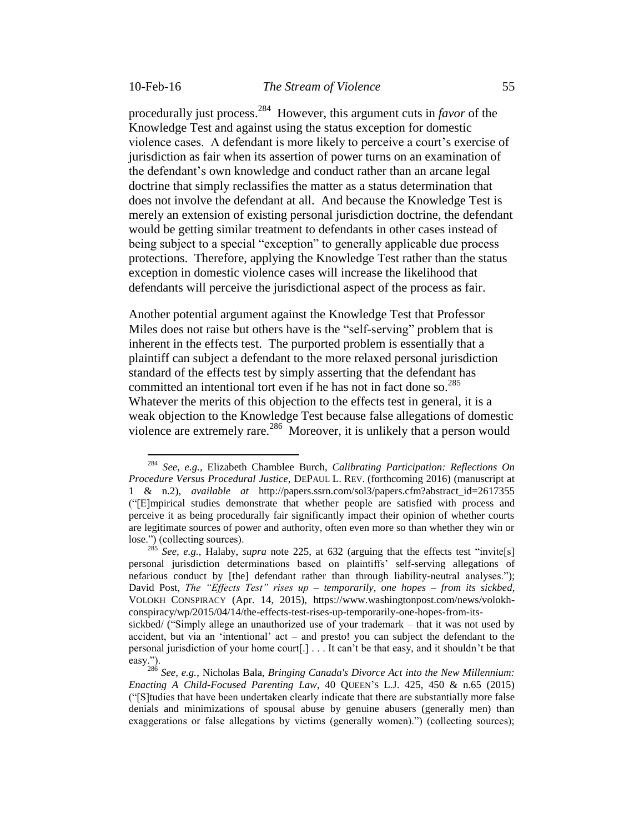$\overline{a}$ 

procedurally just process. 284 However, this argument cuts in *favor* of the Knowledge Test and against using the status exception for domestic violence cases. A defendant is more likely to perceive a court's exercise of jurisdiction as fair when its assertion of power turns on an examination of the defendant's own knowledge and conduct rather than an arcane legal doctrine that simply reclassifies the matter as a status determination that does not involve the defendant at all. And because the Knowledge Test is merely an extension of existing personal jurisdiction doctrine, the defendant would be getting similar treatment to defendants in other cases instead of being subject to a special "exception" to generally applicable due process protections. Therefore, applying the Knowledge Test rather than the status exception in domestic violence cases will increase the likelihood that defendants will perceive the jurisdictional aspect of the process as fair.

Another potential argument against the Knowledge Test that Professor Miles does not raise but others have is the "self-serving" problem that is inherent in the effects test. The purported problem is essentially that a plaintiff can subject a defendant to the more relaxed personal jurisdiction standard of the effects test by simply asserting that the defendant has committed an intentional tort even if he has not in fact done so.<sup>285</sup> Whatever the merits of this objection to the effects test in general, it is a weak objection to the Knowledge Test because false allegations of domestic violence are extremely rare.<sup>286</sup> Moreover, it is unlikely that a person would

<sup>284</sup> *See, e.g.*, Elizabeth Chamblee Burch, *Calibrating Participation: Reflections On Procedure Versus Procedural Justice*, DEPAUL L. REV. (forthcoming 2016) (manuscript at 1 & n.2), *available at* http://papers.ssrn.com/sol3/papers.cfm?abstract\_id=2617355 ("[E]mpirical studies demonstrate that whether people are satisfied with process and perceive it as being procedurally fair significantly impact their opinion of whether courts are legitimate sources of power and authority, often even more so than whether they win or lose.") (collecting sources).

<sup>285</sup> *See, e.g.*, Halaby, *supra* note 225, at 632 (arguing that the effects test "invite[s] personal jurisdiction determinations based on plaintiffs' self-serving allegations of nefarious conduct by [the] defendant rather than through liability-neutral analyses."); David Post, *The "Effects Test" rises up – temporarily, one hopes – from its sickbed*, VOLOKH CONSPIRACY (Apr. 14, 2015), https://www.washingtonpost.com/news/volokhconspiracy/wp/2015/04/14/the-effects-test-rises-up-temporarily-one-hopes-from-its-

sickbed/ ("Simply allege an unauthorized use of your trademark – that it was not used by accident, but via an 'intentional' act – and presto! you can subject the defendant to the personal jurisdiction of your home court[.] . . . It can't be that easy, and it shouldn't be that easy.").

<sup>286</sup> *See, e.g.*, Nicholas Bala, *Bringing Canada's Divorce Act into the New Millennium: Enacting A Child-Focused Parenting Law*, 40 QUEEN'S L.J. 425, 450 & n.65 (2015) ("[S]tudies that have been undertaken clearly indicate that there are substantially more false denials and minimizations of spousal abuse by genuine abusers (generally men) than exaggerations or false allegations by victims (generally women).") (collecting sources);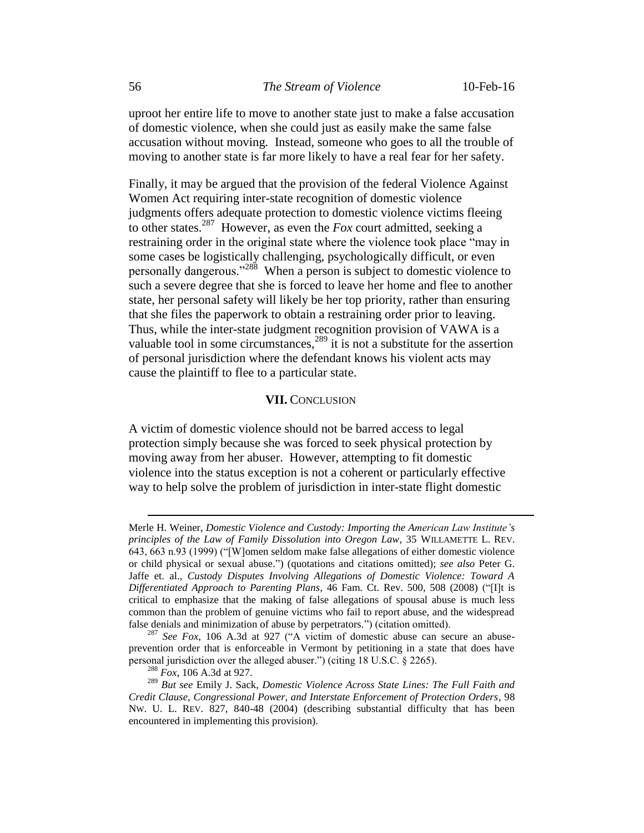uproot her entire life to move to another state just to make a false accusation of domestic violence, when she could just as easily make the same false accusation without moving. Instead, someone who goes to all the trouble of moving to another state is far more likely to have a real fear for her safety.

Finally, it may be argued that the provision of the federal Violence Against Women Act requiring inter-state recognition of domestic violence judgments offers adequate protection to domestic violence victims fleeing to other states.<sup>287</sup> However, as even the  $Fox$  court admitted, seeking a restraining order in the original state where the violence took place "may in some cases be logistically challenging, psychologically difficult, or even personally dangerous."<sup>288</sup> When a person is subject to domestic violence to such a severe degree that she is forced to leave her home and flee to another state, her personal safety will likely be her top priority, rather than ensuring that she files the paperwork to obtain a restraining order prior to leaving. Thus, while the inter-state judgment recognition provision of VAWA is a valuable tool in some circumstances,<sup>289</sup> it is not a substitute for the assertion of personal jurisdiction where the defendant knows his violent acts may cause the plaintiff to flee to a particular state.

#### **VII.** CONCLUSION

A victim of domestic violence should not be barred access to legal protection simply because she was forced to seek physical protection by moving away from her abuser. However, attempting to fit domestic violence into the status exception is not a coherent or particularly effective way to help solve the problem of jurisdiction in inter-state flight domestic

Merle H. Weiner, *Domestic Violence and Custody: Importing the American Law Institute's principles of the Law of Family Dissolution into Oregon Law*, 35 WILLAMETTE L. REV. 643, 663 n.93 (1999) ("[W]omen seldom make false allegations of either domestic violence or child physical or sexual abuse.") (quotations and citations omitted); *see also* Peter G. Jaffe et. al., *Custody Disputes Involving Allegations of Domestic Violence: Toward A Differentiated Approach to Parenting Plans*, 46 Fam. Ct. Rev. 500, 508 (2008) ("[I]t is critical to emphasize that the making of false allegations of spousal abuse is much less common than the problem of genuine victims who fail to report abuse, and the widespread false denials and minimization of abuse by perpetrators.") (citation omitted).

<sup>287</sup> *See Fox*, 106 A.3d at 927 ("A victim of domestic abuse can secure an abuseprevention order that is enforceable in Vermont by petitioning in a state that does have personal jurisdiction over the alleged abuser.") (citing 18 U.S.C. § 2265).

<sup>288</sup> *Fox*, 106 A.3d at 927.

<sup>289</sup> *But see* Emily J. Sack, *Domestic Violence Across State Lines: The Full Faith and Credit Clause, Congressional Power, and Interstate Enforcement of Protection Orders*, 98 NW. U. L. REV. 827, 840-48 (2004) (describing substantial difficulty that has been encountered in implementing this provision).